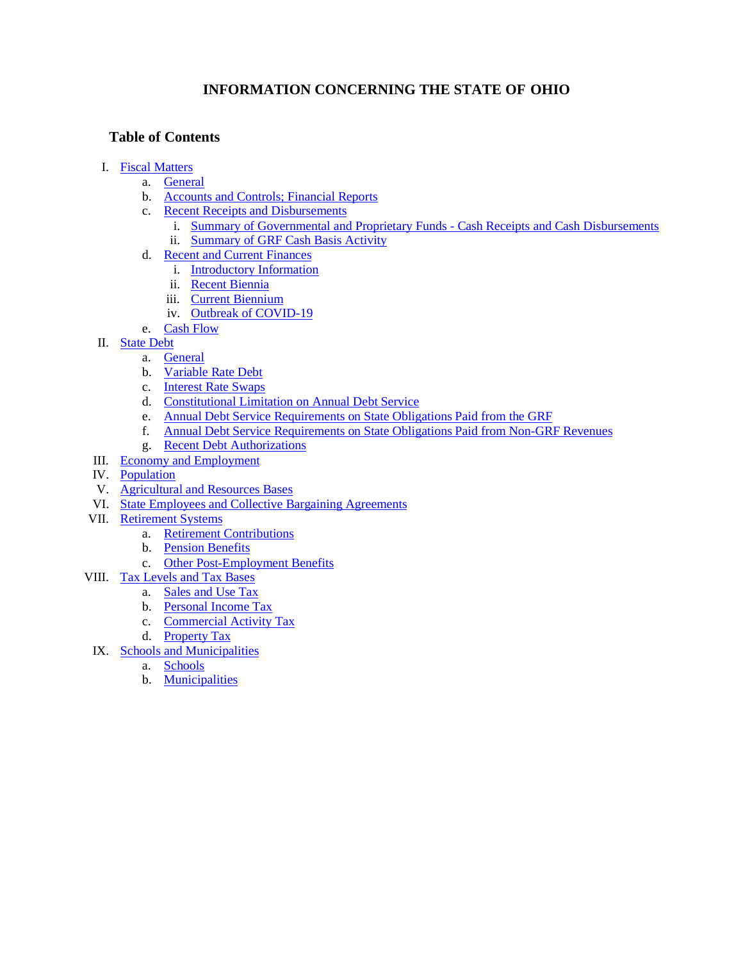# **INFORMATION CONCERNING THE STATE OF OHIO**

# **Table of Contents**

- I. [Fiscal Matters](#page-1-0)
	- a. [General](#page-1-1)
	- b. [Accounts and Controls; Financial Reports](#page-2-0)
	- c. [Recent Receipts and Disbursements](#page-3-0)
		- i. [Summary of Governmental and Proprietary Funds Cash Receipts and Cash Disbursements](#page-3-1) ii. [Summary of GRF Cash Basis Activity](#page-4-0)
	- d. [Recent and Current Finances](#page-5-0)
		- i. [Introductory Information](#page-5-1)
		- ii. [Recent Biennia](#page-5-2)
		- iii. [Current Biennium](#page-15-0)
		- iv. [Outbreak of COVID-19](#page-16-0)
	- e. [Cash Flow](#page-18-0)
- II. [State Debt](#page-18-1)
	- a. [General](#page-18-2)
	- b. [Variable Rate Debt](#page-20-0)
	- c. [Interest Rate Swaps](#page-20-1)
	- d. [Constitutional Limitation on Annual Debt Service](#page-21-0)
	- e. [Annual Debt Service Requirements on State Obligations Paid from the GRF](#page-23-0)
	- f. [Annual Debt Service Requirements on State Obligations Paid from Non-GRF Revenues](#page-24-0)
	- g. [Recent Debt Authorizations](#page-25-0)
- III. [Economy and Employment](#page-27-0)
- IV. [Population](#page-30-0)
- V. [Agricultural and Resources Bases](#page-31-0)
- VI. [State Employees and Collective Bargaining Agreements](#page-31-1)
- VII. [Retirement Systems](#page-31-2)
	- a. [Retirement Contributions](#page-33-0)
	- b. [Pension Benefits](#page-34-0)
	- c. [Other Post-Employment Benefits](#page-37-0)
- VIII. [Tax Levels and Tax Bases](#page-40-0)
	- a. [Sales and Use Tax](#page-40-1)
		- b. [Personal Income Tax](#page-40-2)
		- c. [Commercial Activity Tax](#page-42-0)
		- d. [Property Tax](#page-43-0)
- IX. [Schools and Municipalities](#page-44-0)
	- a. [Schools](#page-44-1)
	- b. [Municipalities](#page-46-0)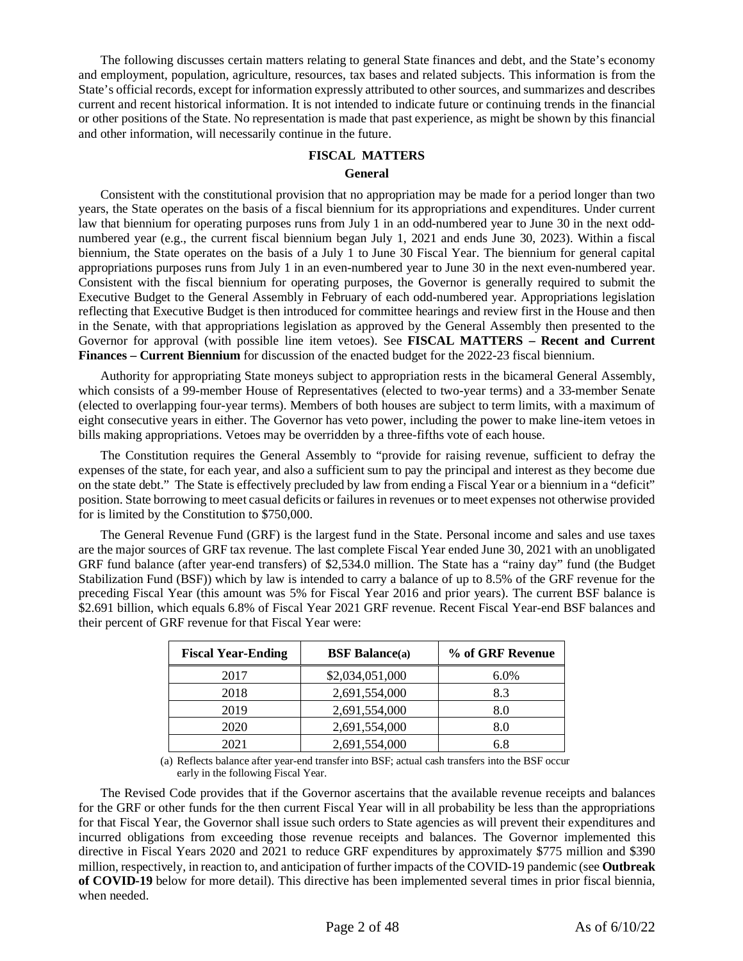<span id="page-1-0"></span>The following discusses certain matters relating to general State finances and debt, and the State's economy and employment, population, agriculture, resources, tax bases and related subjects. This information is from the State's official records, except for information expressly attributed to other sources, and summarizes and describes current and recent historical information. It is not intended to indicate future or continuing trends in the financial or other positions of the State. No representation is made that past experience, as might be shown by this financial and other information, will necessarily continue in the future.

#### **FISCAL MATTERS**

#### **General**

<span id="page-1-1"></span>Consistent with the constitutional provision that no appropriation may be made for a period longer than two years, the State operates on the basis of a fiscal biennium for its appropriations and expenditures. Under current law that biennium for operating purposes runs from July 1 in an odd-numbered year to June 30 in the next oddnumbered year (e.g., the current fiscal biennium began July 1, 2021 and ends June 30, 2023). Within a fiscal biennium, the State operates on the basis of a July 1 to June 30 Fiscal Year. The biennium for general capital appropriations purposes runs from July 1 in an even-numbered year to June 30 in the next even-numbered year. Consistent with the fiscal biennium for operating purposes, the Governor is generally required to submit the Executive Budget to the General Assembly in February of each odd-numbered year. Appropriations legislation reflecting that Executive Budget is then introduced for committee hearings and review first in the House and then in the Senate, with that appropriations legislation as approved by the General Assembly then presented to the Governor for approval (with possible line item vetoes). See **FISCAL MATTERS – Recent and Current Finances – Current Biennium** for discussion of the enacted budget for the 2022-23 fiscal biennium.

Authority for appropriating State moneys subject to appropriation rests in the bicameral General Assembly, which consists of a 99-member House of Representatives (elected to two-year terms) and a 33-member Senate (elected to overlapping four-year terms). Members of both houses are subject to term limits, with a maximum of eight consecutive years in either. The Governor has veto power, including the power to make line-item vetoes in bills making appropriations. Vetoes may be overridden by a three-fifths vote of each house.

The Constitution requires the General Assembly to "provide for raising revenue, sufficient to defray the expenses of the state, for each year, and also a sufficient sum to pay the principal and interest as they become due on the state debt." The State is effectively precluded by law from ending a Fiscal Year or a biennium in a "deficit" position. State borrowing to meet casual deficits or failures in revenues or to meet expenses not otherwise provided for is limited by the Constitution to \$750,000.

The General Revenue Fund (GRF) is the largest fund in the State. Personal income and sales and use taxes are the major sources of GRF tax revenue. The last complete Fiscal Year ended June 30, 2021 with an unobligated GRF fund balance (after year-end transfers) of \$2,534.0 million. The State has a "rainy day" fund (the Budget Stabilization Fund (BSF)) which by law is intended to carry a balance of up to 8.5% of the GRF revenue for the preceding Fiscal Year (this amount was 5% for Fiscal Year 2016 and prior years). The current BSF balance is \$2.691 billion, which equals 6.8% of Fiscal Year 2021 GRF revenue. Recent Fiscal Year-end BSF balances and their percent of GRF revenue for that Fiscal Year were:

| <b>Fiscal Year-Ending</b> | <b>BSF</b> Balance(a) | % of GRF Revenue |
|---------------------------|-----------------------|------------------|
| 2017                      | \$2,034,051,000       | $6.0\%$          |
| 2018                      | 2,691,554,000         | 8.3              |
| 2019                      | 2,691,554,000         | 8.0              |
| 2020                      | 2,691,554,000         | 8.0              |
| 2021                      | 2,691,554,000         | 6.8              |

(a) Reflects balance after year-end transfer into BSF; actual cash transfers into the BSF occur early in the following Fiscal Year.

The Revised Code provides that if the Governor ascertains that the available revenue receipts and balances for the GRF or other funds for the then current Fiscal Year will in all probability be less than the appropriations for that Fiscal Year, the Governor shall issue such orders to State agencies as will prevent their expenditures and incurred obligations from exceeding those revenue receipts and balances. The Governor implemented this directive in Fiscal Years 2020 and 2021 to reduce GRF expenditures by approximately \$775 million and \$390 million, respectively, in reaction to, and anticipation of further impacts of the COVID-19 pandemic (see **Outbreak of COVID-19** below for more detail). This directive has been implemented several times in prior fiscal biennia, when needed.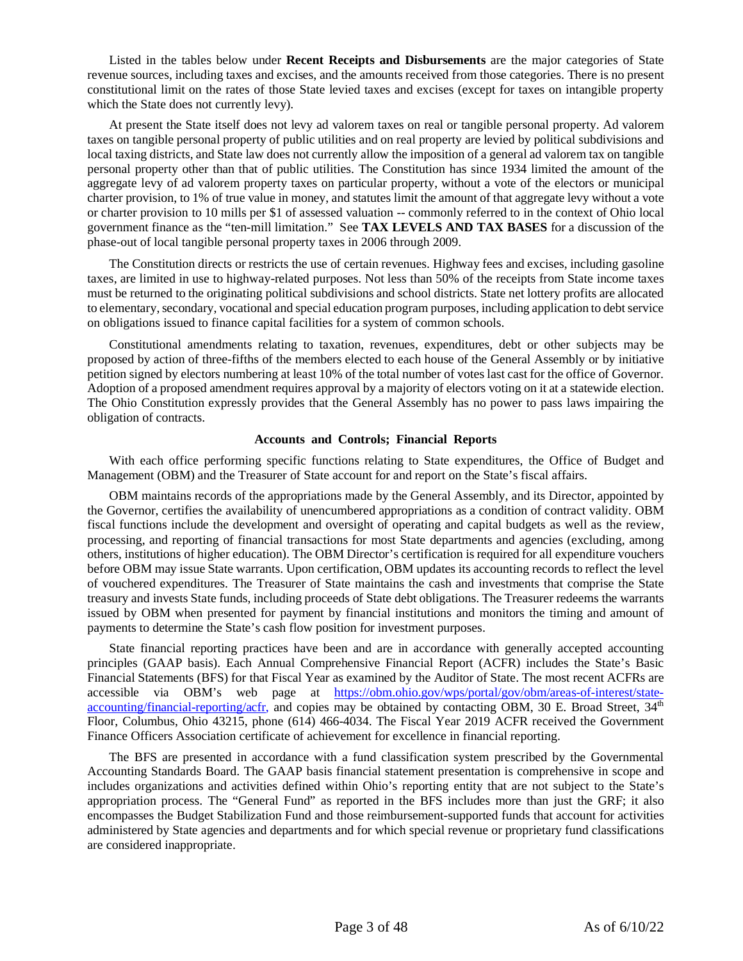Listed in the tables below under **Recent Receipts and Disbursements** are the major categories of State revenue sources, including taxes and excises, and the amounts received from those categories. There is no present constitutional limit on the rates of those State levied taxes and excises (except for taxes on intangible property which the State does not currently levy).

At present the State itself does not levy ad valorem taxes on real or tangible personal property. Ad valorem taxes on tangible personal property of public utilities and on real property are levied by political subdivisions and local taxing districts, and State law does not currently allow the imposition of a general ad valorem tax on tangible personal property other than that of public utilities. The Constitution has since 1934 limited the amount of the aggregate levy of ad valorem property taxes on particular property, without a vote of the electors or municipal charter provision, to 1% of true value in money, and statutes limit the amount of that aggregate levy without a vote or charter provision to 10 mills per \$1 of assessed valuation -- commonly referred to in the context of Ohio local government finance as the "ten-mill limitation." See **TAX LEVELS AND TAX BASES** for a discussion of the phase-out of local tangible personal property taxes in 2006 through 2009.

The Constitution directs or restricts the use of certain revenues. Highway fees and excises, including gasoline taxes, are limited in use to highway-related purposes. Not less than 50% of the receipts from State income taxes must be returned to the originating political subdivisions and school districts. State net lottery profits are allocated to elementary, secondary, vocational and special education program purposes, including application to debt service on obligations issued to finance capital facilities for a system of common schools.

Constitutional amendments relating to taxation, revenues, expenditures, debt or other subjects may be proposed by action of three-fifths of the members elected to each house of the General Assembly or by initiative petition signed by electors numbering at least 10% of the total number of votes last cast for the office of Governor. Adoption of a proposed amendment requires approval by a majority of electors voting on it at a statewide election. The Ohio Constitution expressly provides that the General Assembly has no power to pass laws impairing the obligation of contracts.

# **Accounts and Controls; Financial Reports**

<span id="page-2-0"></span>With each office performing specific functions relating to State expenditures, the Office of Budget and Management (OBM) and the Treasurer of State account for and report on the State's fiscal affairs.

OBM maintains records of the appropriations made by the General Assembly, and its Director, appointed by the Governor, certifies the availability of unencumbered appropriations as a condition of contract validity. OBM fiscal functions include the development and oversight of operating and capital budgets as well as the review, processing, and reporting of financial transactions for most State departments and agencies (excluding, among others, institutions of higher education). The OBM Director's certification is required for all expenditure vouchers before OBM may issue State warrants. Upon certification, OBM updates its accounting records to reflect the level of vouchered expenditures. The Treasurer of State maintains the cash and investments that comprise the State treasury and invests State funds, including proceeds of State debt obligations. The Treasurer redeems the warrants issued by OBM when presented for payment by financial institutions and monitors the timing and amount of payments to determine the State's cash flow position for investment purposes.

State financial reporting practices have been and are in accordance with generally accepted accounting principles (GAAP basis). Each Annual Comprehensive Financial Report (ACFR) includes the State's Basic Financial Statements (BFS) for that Fiscal Year as examined by the Auditor of State. The most recent ACFRs are accessible via OBM's web page at [https://obm.ohio.gov/wps/portal/gov/obm/areas-of-interest/state](https://obm.ohio.gov/wps/portal/gov/obm/areas-of-interest/state-accounting/financial-reporting/acfr)[accounting/financial-reporting/acfr](https://obm.ohio.gov/wps/portal/gov/obm/areas-of-interest/state-accounting/financial-reporting/acfr), and copies may be obtained by contacting OBM, 30 E. Broad Street,  $34<sup>th</sup>$ Floor, Columbus, Ohio 43215, phone (614) 466-4034. The Fiscal Year 2019 ACFR received the Government Finance Officers Association certificate of achievement for excellence in financial reporting.

The BFS are presented in accordance with a fund classification system prescribed by the Governmental Accounting Standards Board. The GAAP basis financial statement presentation is comprehensive in scope and includes organizations and activities defined within Ohio's reporting entity that are not subject to the State's appropriation process. The "General Fund" as reported in the BFS includes more than just the GRF; it also encompasses the Budget Stabilization Fund and those reimbursement-supported funds that account for activities administered by State agencies and departments and for which special revenue or proprietary fund classifications are considered inappropriate.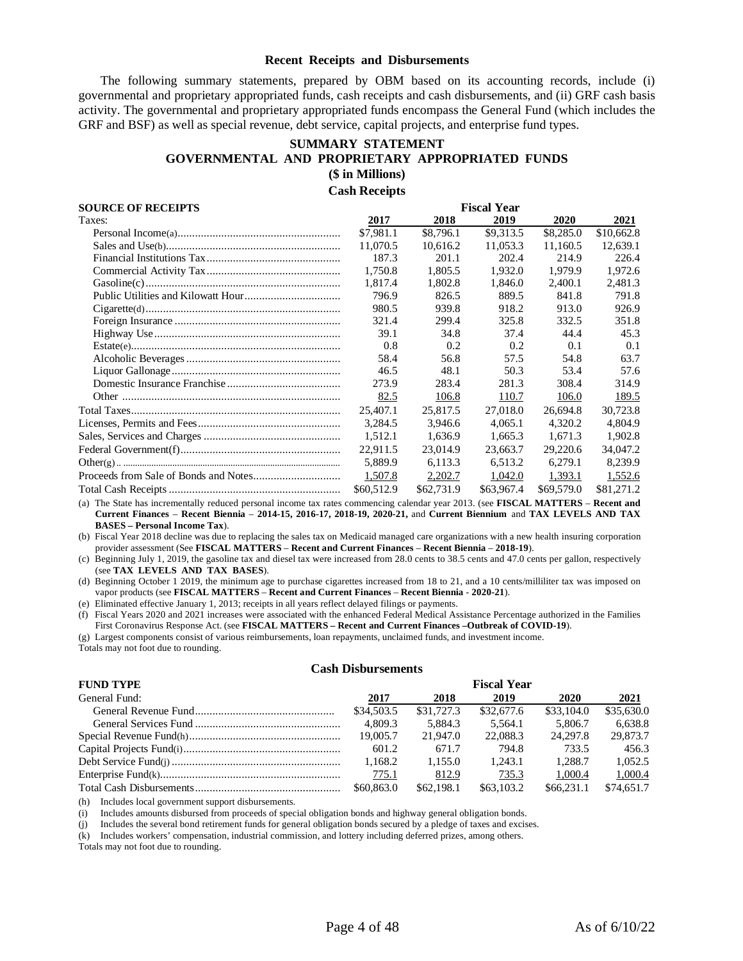#### **Recent Receipts and Disbursements**

<span id="page-3-1"></span><span id="page-3-0"></span>The following summary statements, prepared by OBM based on its accounting records, include (i) governmental and proprietary appropriated funds, cash receipts and cash disbursements, and (ii) GRF cash basis activity. The governmental and proprietary appropriated funds encompass the General Fund (which includes the GRF and BSF) as well as special revenue, debt service, capital projects, and enterprise fund types.

# **SUMMARY STATEMENT GOVERNMENTAL AND PROPRIETARY APPROPRIATED FUNDS (\$ in Millions) Cash Receipts**

| <b>SOURCE OF RECEIPTS</b> | <b>Fiscal Year</b> |            |            |            |            |  |
|---------------------------|--------------------|------------|------------|------------|------------|--|
| Taxes:                    | 2017               | 2018       | 2019       | 2020       | 2021       |  |
|                           | \$7,981.1          | \$8,796.1  | \$9.313.5  | \$8,285.0  | \$10,662.8 |  |
|                           | 11,070.5           | 10,616.2   | 11,053.3   | 11,160.5   | 12,639.1   |  |
|                           | 187.3              | 201.1      | 202.4      | 214.9      | 226.4      |  |
|                           | 1.750.8            | 1,805.5    | 1.932.0    | 1.979.9    | 1,972.6    |  |
|                           | 1,817.4            | 1,802.8    | 1,846.0    | 2,400.1    | 2,481.3    |  |
|                           | 796.9              | 826.5      | 889.5      | 841.8      | 791.8      |  |
|                           | 980.5              | 939.8      | 918.2      | 913.0      | 926.9      |  |
|                           | 321.4              | 299.4      | 325.8      | 332.5      | 351.8      |  |
|                           | 39.1               | 34.8       | 37.4       | 44.4       | 45.3       |  |
|                           | 0.8                | 0.2        | 0.2        | 0.1        | 0.1        |  |
|                           | 58.4               | 56.8       | 57.5       | 54.8       | 63.7       |  |
|                           | 46.5               | 48.1       | 50.3       | 53.4       | 57.6       |  |
|                           | 273.9              | 283.4      | 281.3      | 308.4      | 314.9      |  |
|                           | 82.5               | 106.8      | 110.7      | 106.0      | 189.5      |  |
|                           | 25,407.1           | 25,817.5   | 27,018.0   | 26,694.8   | 30,723.8   |  |
|                           | 3,284.5            | 3,946.6    | 4,065.1    | 4,320.2    | 4,804.9    |  |
|                           | 1.512.1            | 1.636.9    | 1.665.3    | 1.671.3    | 1,902.8    |  |
|                           | 22,911.5           | 23,014.9   | 23,663.7   | 29,220.6   | 34,047.2   |  |
|                           | 5.889.9            | 6.113.3    | 6.513.2    | 6.279.1    | 8,239.9    |  |
|                           | 1,507.8            | 2,202.7    | 1,042.0    | 1,393.1    | 1,552.6    |  |
|                           | \$60,512.9         | \$62,731.9 | \$63,967.4 | \$69,579.0 | \$81,271.2 |  |

(a) The State has incrementally reduced personal income tax rates commencing calendar year 2013. (see **FISCAL MATTERS** – **Recent and Current Finances** – **Recent Biennia** – **2014-15, 2016-17, 2018-19, 2020-21,** and **Current Biennium** and **TAX LEVELS AND TAX BASES – Personal Income Tax**).

(b) Fiscal Year 2018 decline was due to replacing the sales tax on Medicaid managed care organizations with a new health insuring corporation provider assessment (See **FISCAL MATTERS** – **Recent and Current Finances** – **Recent Biennia** – **2018-19**).

(c) Beginning July 1, 2019, the gasoline tax and diesel tax were increased from 28.0 cents to 38.5 cents and 47.0 cents per gallon, respectively (see **TAX LEVELS AND TAX BASES**).

(d) Beginning October 1 2019, the minimum age to purchase cigarettes increased from 18 to 21, and a 10 cents/milliliter tax was imposed on vapor products (see **FISCAL MATTERS** – **Recent and Current Finances** – **Recent Biennia** - **2020-21**).

(e) Eliminated effective January 1, 2013; receipts in all years reflect delayed filings or payments.

(f) Fiscal Years 2020 and 2021 increases were associated with the enhanced Federal Medical Assistance Percentage authorized in the Families First Coronavirus Response Act. (see **FISCAL MATTERS – Recent and Current Finances –Outbreak of COVID-19**).

(g) Largest components consist of various reimbursements, loan repayments, unclaimed funds, and investment income.

Totals may not foot due to rounding.

# **Cash Disbursements**

| <b>FUND TYPE</b> |              |            | <b>Fiscal Year</b> |            |            |
|------------------|--------------|------------|--------------------|------------|------------|
| General Fund:    | 2017         | 2018       | 2019               | 2020       | 2021       |
|                  | \$34,503.5   | \$31,727.3 | \$32,677.6         | \$33,104.0 | \$35,630.0 |
|                  | 4.809.3      | 5.884.3    | 5.564.1            | 5.806.7    | 6.638.8    |
|                  | 19,005.7     | 21,947.0   | 22,088.3           | 24,297.8   | 29,873.7   |
|                  | 601.2        | 671.7      | 794.8              | 733.5      | 456.3      |
|                  | 1.168.2      | 1.155.0    | 1.243.1            | 1.288.7    | 1.052.5    |
|                  | <u>775.1</u> | 812.9      | 735.3              | 1.000.4    | 1,000.4    |
|                  | \$60,863.0   | \$62,198.1 | \$63,103.2         | \$66.231.1 | \$74,651.7 |

(h) Includes local government support disbursements.

(i) Includes amounts disbursed from proceeds of special obligation bonds and highway general obligation bonds.

(j) Includes the several bond retirement funds for general obligation bonds secured by a pledge of taxes and excises.

(k) Includes workers' compensation, industrial commission, and lottery including deferred prizes, among others.

Totals may not foot due to rounding.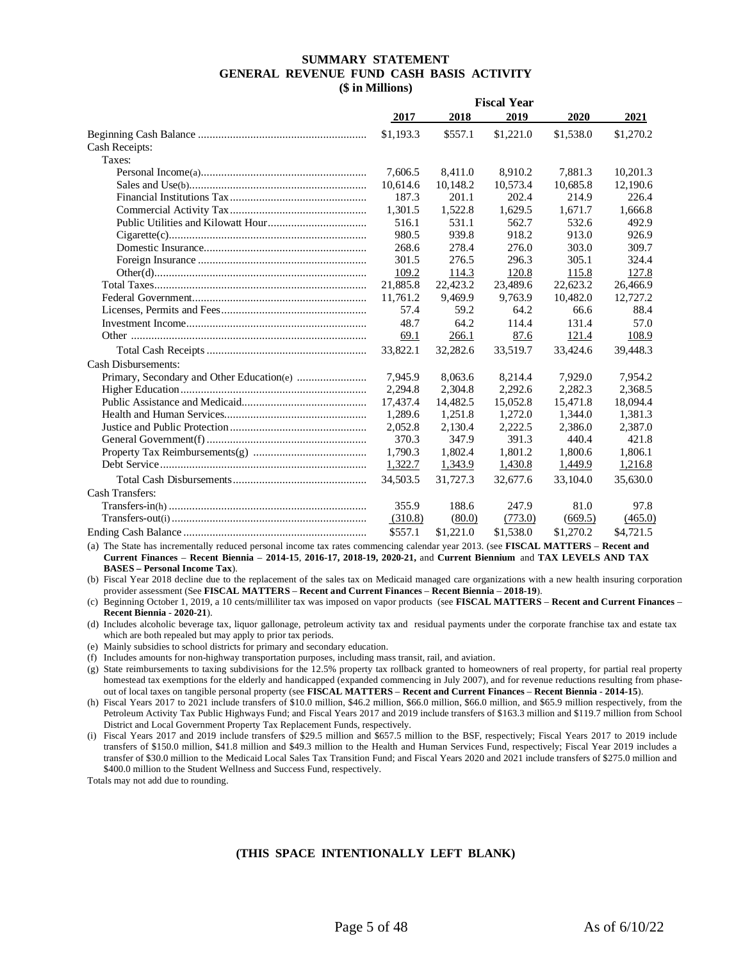#### **SUMMARY STATEMENT GENERAL REVENUE FUND CASH BASIS ACTIVITY (\$ in Millions)**

<span id="page-4-0"></span>

|                            | <b>Fiscal Year</b> |           |           |           |           |
|----------------------------|--------------------|-----------|-----------|-----------|-----------|
|                            | 2017               | 2018      | 2019      | 2020      | 2021      |
|                            | \$1,193.3          | \$557.1   | \$1,221.0 | \$1,538.0 | \$1,270.2 |
| Cash Receipts:             |                    |           |           |           |           |
| Taxes:                     |                    |           |           |           |           |
|                            | 7,606.5            | 8,411.0   | 8,910.2   | 7,881.3   | 10,201.3  |
|                            | 10,614.6           | 10,148.2  | 10,573.4  | 10,685.8  | 12,190.6  |
|                            | 187.3              | 201.1     | 202.4     | 214.9     | 226.4     |
|                            | 1,301.5            | 1,522.8   | 1,629.5   | 1,671.7   | 1,666.8   |
|                            | 516.1              | 531.1     | 562.7     | 532.6     | 492.9     |
|                            | 980.5              | 939.8     | 918.2     | 913.0     | 926.9     |
|                            | 268.6              | 278.4     | 276.0     | 303.0     | 309.7     |
|                            | 301.5              | 276.5     | 296.3     | 305.1     | 324.4     |
|                            | 109.2              | 114.3     | 120.8     | 115.8     | 127.8     |
|                            | 21,885.8           | 22,423.2  | 23,489.6  | 22,623.2  | 26,466.9  |
|                            | 11,761.2           | 9,469.9   | 9,763.9   | 10,482.0  | 12,727.2  |
|                            | 57.4               | 59.2      | 64.2      | 66.6      | 88.4      |
|                            | 48.7               | 64.2      | 114.4     | 131.4     | 57.0      |
|                            | 69.1               | 266.1     | 87.6      | 121.4     | 108.9     |
|                            | 33,822.1           | 32,282.6  | 33,519.7  | 33,424.6  | 39,448.3  |
| <b>Cash Disbursements:</b> |                    |           |           |           |           |
|                            | 7,945.9            | 8,063.6   | 8,214.4   | 7,929.0   | 7,954.2   |
|                            | 2,294.8            | 2,304.8   | 2,292.6   | 2,282.3   | 2,368.5   |
|                            | 17,437.4           | 14,482.5  | 15,052.8  | 15,471.8  | 18,094.4  |
|                            | 1,289.6            | 1,251.8   | 1,272.0   | 1,344.0   | 1,381.3   |
|                            | 2.052.8            | 2,130.4   | 2,222.5   | 2.386.0   | 2,387.0   |
|                            | 370.3              | 347.9     | 391.3     | 440.4     | 421.8     |
|                            | 1,790.3            | 1,802.4   | 1,801.2   | 1,800.6   | 1,806.1   |
|                            | 1,322.7            | 1,343.9   | 1,430.8   | 1,449.9   | 1,216.8   |
|                            | 34,503.5           | 31.727.3  | 32,677.6  | 33.104.0  | 35,630.0  |
| <b>Cash Transfers:</b>     |                    |           |           |           |           |
|                            | 355.9              | 188.6     | 247.9     | 81.0      | 97.8      |
|                            | (310.8)            | (80.0)    | (773.0)   | (669.5)   | (465.0)   |
|                            | \$557.1            | \$1,221.0 | \$1,538.0 | \$1,270.2 | \$4,721.5 |

(a) The State has incrementally reduced personal income tax rates commencing calendar year 2013. (see **FISCAL MATTERS** – **Recent and Current Finances** – **Recent Biennia** – **2014-15**, **2016-17, 2018-19, 2020-21,** and **Current Biennium** and **TAX LEVELS AND TAX BASES – Personal Income Tax**).

(b) Fiscal Year 2018 decline due to the replacement of the sales tax on Medicaid managed care organizations with a new health insuring corporation provider assessment (See **FISCAL MATTERS** – **Recent and Current Finances** – **Recent Biennia** – **2018-19**).

(c) Beginning October 1, 2019, a 10 cents/milliliter tax was imposed on vapor products (see **FISCAL MATTERS** – **Recent and Current Finances** – **Recent Biennia** - **2020-21**).

(d) Includes alcoholic beverage tax, liquor gallonage, petroleum activity tax and residual payments under the corporate franchise tax and estate tax which are both repealed but may apply to prior tax periods.

(e) Mainly subsidies to school districts for primary and secondary education.

(f) Includes amounts for non-highway transportation purposes, including mass transit, rail, and aviation.

(g) State reimbursements to taxing subdivisions for the 12.5% property tax rollback granted to homeowners of real property, for partial real property homestead tax exemptions for the elderly and handicapped (expanded commencing in July 2007), and for revenue reductions resulting from phaseout of local taxes on tangible personal property (see **FISCAL MATTERS** – **Recent and Current Finances** – **Recent Biennia** - **2014-15**).

(h) Fiscal Years 2017 to 2021 include transfers of \$10.0 million, \$46.2 million, \$66.0 million, \$66.0 million, and \$65.9 million respectively, from the Petroleum Activity Tax Public Highways Fund; and Fiscal Years 2017 and 2019 include transfers of \$163.3 million and \$119.7 million from School District and Local Government Property Tax Replacement Funds, respectively.

(i) Fiscal Years 2017 and 2019 include transfers of \$29.5 million and \$657.5 million to the BSF, respectively; Fiscal Years 2017 to 2019 include transfers of \$150.0 million, \$41.8 million and \$49.3 million to the Health and Human Services Fund, respectively; Fiscal Year 2019 includes a transfer of \$30.0 million to the Medicaid Local Sales Tax Transition Fund; and Fiscal Years 2020 and 2021 include transfers of \$275.0 million and \$400.0 million to the Student Wellness and Success Fund, respectively.

Totals may not add due to rounding.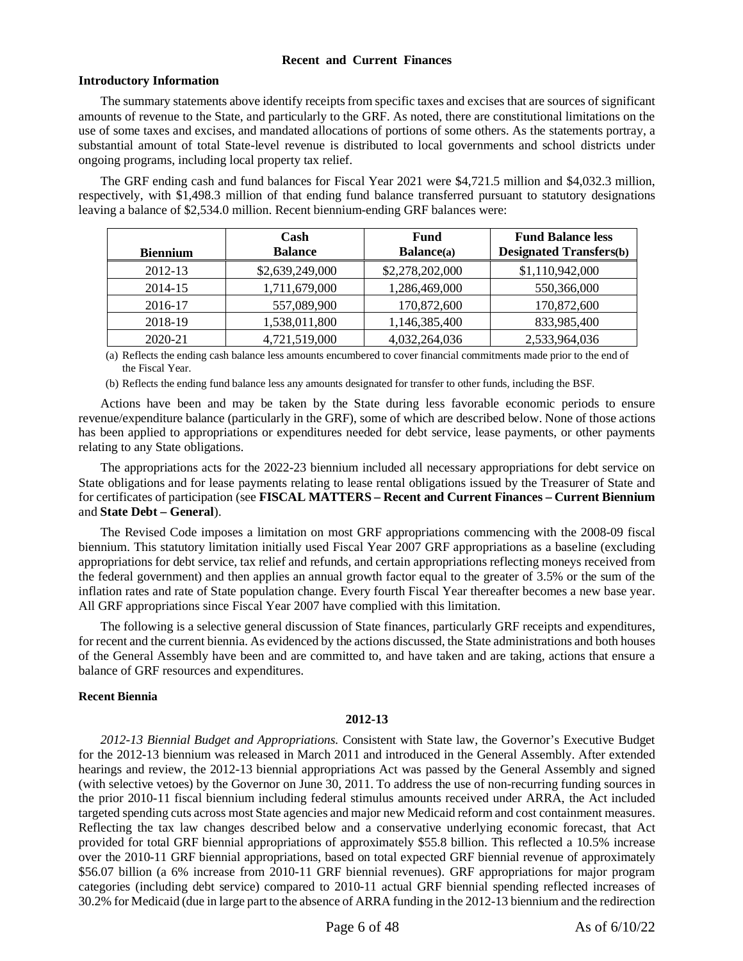# **Recent and Current Finances**

# <span id="page-5-1"></span><span id="page-5-0"></span>**Introductory Information**

The summary statements above identify receipts from specific taxes and excises that are sources of significant amounts of revenue to the State, and particularly to the GRF. As noted, there are constitutional limitations on the use of some taxes and excises, and mandated allocations of portions of some others. As the statements portray, a substantial amount of total State-level revenue is distributed to local governments and school districts under ongoing programs, including local property tax relief.

The GRF ending cash and fund balances for Fiscal Year 2021 were \$4,721.5 million and \$4,032.3 million, respectively, with \$1,498.3 million of that ending fund balance transferred pursuant to statutory designations leaving a balance of \$2,534.0 million. Recent biennium-ending GRF balances were:

| <b>Biennium</b> | Cash<br><b>Balance</b> | Fund<br><b>Balance</b> (a) | <b>Fund Balance less</b><br><b>Designated Transfers(b)</b> |
|-----------------|------------------------|----------------------------|------------------------------------------------------------|
| 2012-13         | \$2,639,249,000        | \$2,278,202,000            | \$1,110,942,000                                            |
| 2014-15         | 1,711,679,000          | 1,286,469,000              | 550,366,000                                                |
| 2016-17         | 557,089,900            | 170,872,600                | 170,872,600                                                |
| 2018-19         | 1,538,011,800          | 1,146,385,400              | 833,985,400                                                |
| 2020-21         | 4,721,519,000          | 4,032,264,036              | 2,533,964,036                                              |

(a) Reflects the ending cash balance less amounts encumbered to cover financial commitments made prior to the end of the Fiscal Year.

(b) Reflects the ending fund balance less any amounts designated for transfer to other funds, including the BSF.

Actions have been and may be taken by the State during less favorable economic periods to ensure revenue/expenditure balance (particularly in the GRF), some of which are described below. None of those actions has been applied to appropriations or expenditures needed for debt service, lease payments, or other payments relating to any State obligations.

The appropriations acts for the 2022-23 biennium included all necessary appropriations for debt service on State obligations and for lease payments relating to lease rental obligations issued by the Treasurer of State and for certificates of participation (see **FISCAL MATTERS – Recent and Current Finances – Current Biennium** and **State Debt – General**).

The Revised Code imposes a limitation on most GRF appropriations commencing with the 2008-09 fiscal biennium. This statutory limitation initially used Fiscal Year 2007 GRF appropriations as a baseline (excluding appropriations for debt service, tax relief and refunds, and certain appropriations reflecting moneys received from the federal government) and then applies an annual growth factor equal to the greater of 3.5% or the sum of the inflation rates and rate of State population change. Every fourth Fiscal Year thereafter becomes a new base year. All GRF appropriations since Fiscal Year 2007 have complied with this limitation.

The following is a selective general discussion of State finances, particularly GRF receipts and expenditures, for recent and the current biennia. As evidenced by the actions discussed, the State administrations and both houses of the General Assembly have been and are committed to, and have taken and are taking, actions that ensure a balance of GRF resources and expenditures.

# <span id="page-5-2"></span>**Recent Biennia**

#### **2012-13**

*2012-13 Biennial Budget and Appropriations.* Consistent with State law, the Governor's Executive Budget for the 2012-13 biennium was released in March 2011 and introduced in the General Assembly. After extended hearings and review, the 2012-13 biennial appropriations Act was passed by the General Assembly and signed (with selective vetoes) by the Governor on June 30, 2011. To address the use of non-recurring funding sources in the prior 2010-11 fiscal biennium including federal stimulus amounts received under ARRA, the Act included targeted spending cuts across most State agencies and major new Medicaid reform and cost containment measures. Reflecting the tax law changes described below and a conservative underlying economic forecast, that Act provided for total GRF biennial appropriations of approximately \$55.8 billion. This reflected a 10.5% increase over the 2010-11 GRF biennial appropriations, based on total expected GRF biennial revenue of approximately \$56.07 billion (a 6% increase from 2010-11 GRF biennial revenues). GRF appropriations for major program categories (including debt service) compared to 2010-11 actual GRF biennial spending reflected increases of 30.2% for Medicaid (due in large part to the absence of ARRA funding in the 2012-13 biennium and the redirection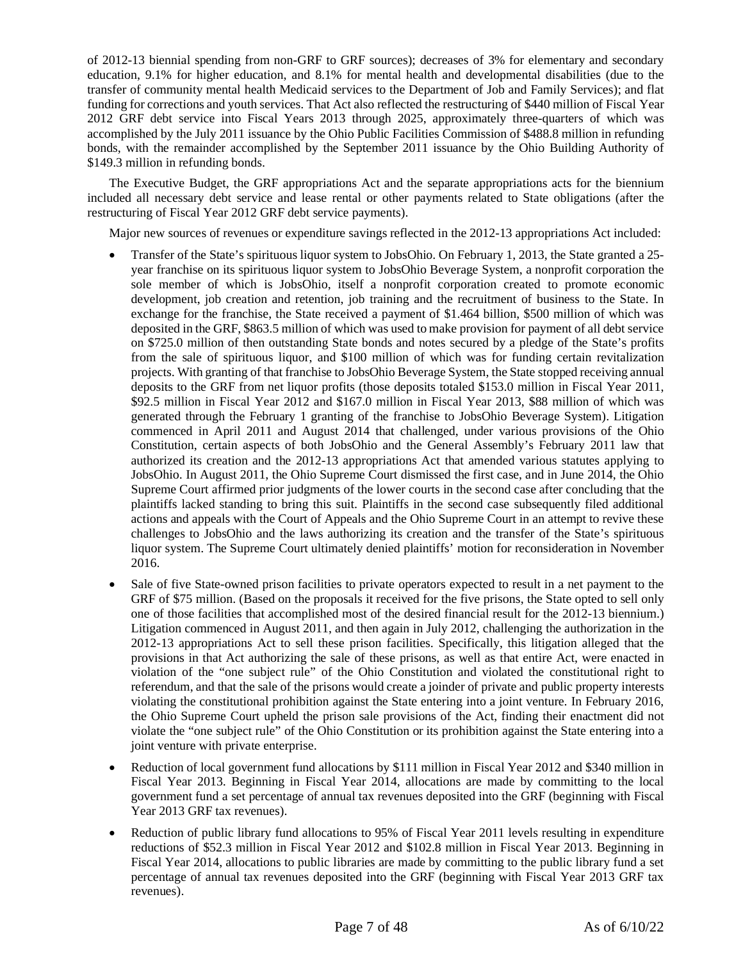of 2012-13 biennial spending from non-GRF to GRF sources); decreases of 3% for elementary and secondary education, 9.1% for higher education, and 8.1% for mental health and developmental disabilities (due to the transfer of community mental health Medicaid services to the Department of Job and Family Services); and flat funding for corrections and youth services. That Act also reflected the restructuring of \$440 million of Fiscal Year 2012 GRF debt service into Fiscal Years 2013 through 2025, approximately three-quarters of which was accomplished by the July 2011 issuance by the Ohio Public Facilities Commission of \$488.8 million in refunding bonds, with the remainder accomplished by the September 2011 issuance by the Ohio Building Authority of \$149.3 million in refunding bonds.

The Executive Budget, the GRF appropriations Act and the separate appropriations acts for the biennium included all necessary debt service and lease rental or other payments related to State obligations (after the restructuring of Fiscal Year 2012 GRF debt service payments).

Major new sources of revenues or expenditure savings reflected in the 2012-13 appropriations Act included:

- Transfer of the State's spirituous liquor system to JobsOhio. On February 1, 2013, the State granted a 25 year franchise on its spirituous liquor system to JobsOhio Beverage System, a nonprofit corporation the sole member of which is JobsOhio, itself a nonprofit corporation created to promote economic development, job creation and retention, job training and the recruitment of business to the State. In exchange for the franchise, the State received a payment of \$1.464 billion, \$500 million of which was deposited in the GRF, \$863.5 million of which was used to make provision for payment of all debt service on \$725.0 million of then outstanding State bonds and notes secured by a pledge of the State's profits from the sale of spirituous liquor, and \$100 million of which was for funding certain revitalization projects. With granting of that franchise to JobsOhio Beverage System, the State stopped receiving annual deposits to the GRF from net liquor profits (those deposits totaled \$153.0 million in Fiscal Year 2011, \$92.5 million in Fiscal Year 2012 and \$167.0 million in Fiscal Year 2013, \$88 million of which was generated through the February 1 granting of the franchise to JobsOhio Beverage System). Litigation commenced in April 2011 and August 2014 that challenged, under various provisions of the Ohio Constitution, certain aspects of both JobsOhio and the General Assembly's February 2011 law that authorized its creation and the 2012-13 appropriations Act that amended various statutes applying to JobsOhio. In August 2011, the Ohio Supreme Court dismissed the first case, and in June 2014, the Ohio Supreme Court affirmed prior judgments of the lower courts in the second case after concluding that the plaintiffs lacked standing to bring this suit. Plaintiffs in the second case subsequently filed additional actions and appeals with the Court of Appeals and the Ohio Supreme Court in an attempt to revive these challenges to JobsOhio and the laws authorizing its creation and the transfer of the State's spirituous liquor system. The Supreme Court ultimately denied plaintiffs' motion for reconsideration in November 2016.
- Sale of five State-owned prison facilities to private operators expected to result in a net payment to the GRF of \$75 million. (Based on the proposals it received for the five prisons, the State opted to sell only one of those facilities that accomplished most of the desired financial result for the 2012-13 biennium.) Litigation commenced in August 2011, and then again in July 2012, challenging the authorization in the 2012-13 appropriations Act to sell these prison facilities. Specifically, this litigation alleged that the provisions in that Act authorizing the sale of these prisons, as well as that entire Act, were enacted in violation of the "one subject rule" of the Ohio Constitution and violated the constitutional right to referendum, and that the sale of the prisons would create a joinder of private and public property interests violating the constitutional prohibition against the State entering into a joint venture. In February 2016, the Ohio Supreme Court upheld the prison sale provisions of the Act, finding their enactment did not violate the "one subject rule" of the Ohio Constitution or its prohibition against the State entering into a joint venture with private enterprise.
- Reduction of local government fund allocations by \$111 million in Fiscal Year 2012 and \$340 million in Fiscal Year 2013. Beginning in Fiscal Year 2014, allocations are made by committing to the local government fund a set percentage of annual tax revenues deposited into the GRF (beginning with Fiscal Year 2013 GRF tax revenues).
- Reduction of public library fund allocations to 95% of Fiscal Year 2011 levels resulting in expenditure reductions of \$52.3 million in Fiscal Year 2012 and \$102.8 million in Fiscal Year 2013. Beginning in Fiscal Year 2014, allocations to public libraries are made by committing to the public library fund a set percentage of annual tax revenues deposited into the GRF (beginning with Fiscal Year 2013 GRF tax revenues).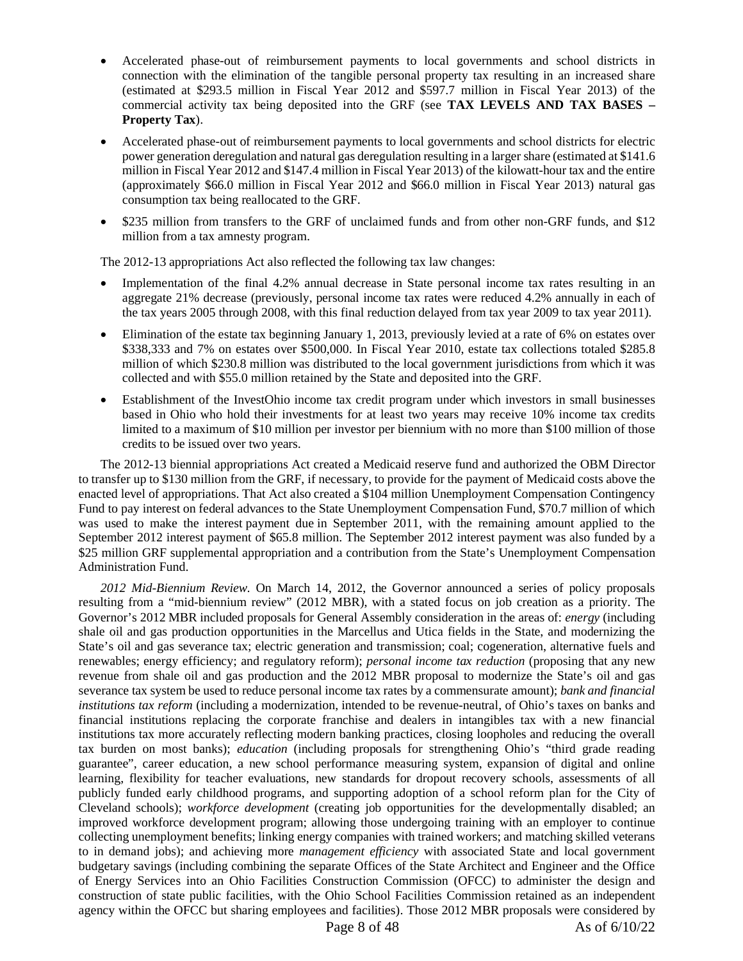- Accelerated phase-out of reimbursement payments to local governments and school districts in connection with the elimination of the tangible personal property tax resulting in an increased share (estimated at \$293.5 million in Fiscal Year 2012 and \$597.7 million in Fiscal Year 2013) of the commercial activity tax being deposited into the GRF (see **TAX LEVELS AND TAX BASES – Property Tax**).
- Accelerated phase-out of reimbursement payments to local governments and school districts for electric power generation deregulation and natural gas deregulation resulting in a larger share (estimated at \$141.6 million in Fiscal Year 2012 and \$147.4 million in Fiscal Year 2013) of the kilowatt-hour tax and the entire (approximately \$66.0 million in Fiscal Year 2012 and \$66.0 million in Fiscal Year 2013) natural gas consumption tax being reallocated to the GRF.
- \$235 million from transfers to the GRF of unclaimed funds and from other non-GRF funds, and \$12 million from a tax amnesty program.

The 2012-13 appropriations Act also reflected the following tax law changes:

- Implementation of the final 4.2% annual decrease in State personal income tax rates resulting in an aggregate 21% decrease (previously, personal income tax rates were reduced 4.2% annually in each of the tax years 2005 through 2008, with this final reduction delayed from tax year 2009 to tax year 2011).
- Elimination of the estate tax beginning January 1, 2013, previously levied at a rate of 6% on estates over \$338,333 and 7% on estates over \$500,000. In Fiscal Year 2010, estate tax collections totaled \$285.8 million of which \$230.8 million was distributed to the local government jurisdictions from which it was collected and with \$55.0 million retained by the State and deposited into the GRF.
- Establishment of the InvestOhio income tax credit program under which investors in small businesses based in Ohio who hold their investments for at least two years may receive 10% income tax credits limited to a maximum of \$10 million per investor per biennium with no more than \$100 million of those credits to be issued over two years.

The 2012-13 biennial appropriations Act created a Medicaid reserve fund and authorized the OBM Director to transfer up to \$130 million from the GRF, if necessary, to provide for the payment of Medicaid costs above the enacted level of appropriations. That Act also created a \$104 million Unemployment Compensation Contingency Fund to pay interest on federal advances to the State Unemployment Compensation Fund, \$70.7 million of which was used to make the interest payment due in September 2011, with the remaining amount applied to the September 2012 interest payment of \$65.8 million. The September 2012 interest payment was also funded by a \$25 million GRF supplemental appropriation and a contribution from the State's Unemployment Compensation Administration Fund.

*2012 Mid-Biennium Review.* On March 14, 2012, the Governor announced a series of policy proposals resulting from a "mid-biennium review" (2012 MBR), with a stated focus on job creation as a priority. The Governor's 2012 MBR included proposals for General Assembly consideration in the areas of: *energy* (including shale oil and gas production opportunities in the Marcellus and Utica fields in the State, and modernizing the State's oil and gas severance tax; electric generation and transmission; coal; cogeneration, alternative fuels and renewables; energy efficiency; and regulatory reform); *personal income tax reduction* (proposing that any new revenue from shale oil and gas production and the 2012 MBR proposal to modernize the State's oil and gas severance tax system be used to reduce personal income tax rates by a commensurate amount); *bank and financial institutions tax reform* (including a modernization, intended to be revenue-neutral, of Ohio's taxes on banks and financial institutions replacing the corporate franchise and dealers in intangibles tax with a new financial institutions tax more accurately reflecting modern banking practices, closing loopholes and reducing the overall tax burden on most banks); *education* (including proposals for strengthening Ohio's "third grade reading guarantee", career education, a new school performance measuring system, expansion of digital and online learning, flexibility for teacher evaluations, new standards for dropout recovery schools, assessments of all publicly funded early childhood programs, and supporting adoption of a school reform plan for the City of Cleveland schools); *workforce development* (creating job opportunities for the developmentally disabled; an improved workforce development program; allowing those undergoing training with an employer to continue collecting unemployment benefits; linking energy companies with trained workers; and matching skilled veterans to in demand jobs); and achieving more *management efficiency* with associated State and local government budgetary savings (including combining the separate Offices of the State Architect and Engineer and the Office of Energy Services into an Ohio Facilities Construction Commission (OFCC) to administer the design and construction of state public facilities, with the Ohio School Facilities Commission retained as an independent agency within the OFCC but sharing employees and facilities). Those 2012 MBR proposals were considered by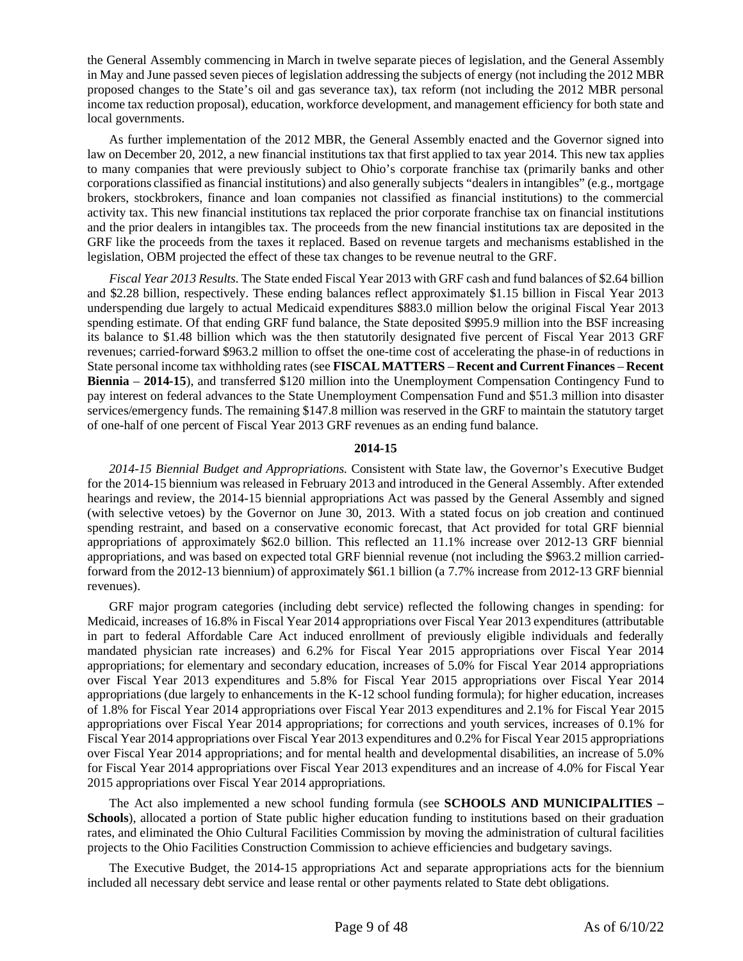the General Assembly commencing in March in twelve separate pieces of legislation, and the General Assembly in May and June passed seven pieces of legislation addressing the subjects of energy (not including the 2012 MBR proposed changes to the State's oil and gas severance tax), tax reform (not including the 2012 MBR personal income tax reduction proposal), education, workforce development, and management efficiency for both state and local governments.

As further implementation of the 2012 MBR, the General Assembly enacted and the Governor signed into law on December 20, 2012, a new financial institutions tax that first applied to tax year 2014. This new tax applies to many companies that were previously subject to Ohio's corporate franchise tax (primarily banks and other corporations classified as financial institutions) and also generally subjects "dealers in intangibles" (e.g., mortgage brokers, stockbrokers, finance and loan companies not classified as financial institutions) to the commercial activity tax. This new financial institutions tax replaced the prior corporate franchise tax on financial institutions and the prior dealers in intangibles tax. The proceeds from the new financial institutions tax are deposited in the GRF like the proceeds from the taxes it replaced. Based on revenue targets and mechanisms established in the legislation, OBM projected the effect of these tax changes to be revenue neutral to the GRF.

*Fiscal Year 2013 Results*. The State ended Fiscal Year 2013 with GRF cash and fund balances of \$2.64 billion and \$2.28 billion, respectively. These ending balances reflect approximately \$1.15 billion in Fiscal Year 2013 underspending due largely to actual Medicaid expenditures \$883.0 million below the original Fiscal Year 2013 spending estimate. Of that ending GRF fund balance, the State deposited \$995.9 million into the BSF increasing its balance to \$1.48 billion which was the then statutorily designated five percent of Fiscal Year 2013 GRF revenues; carried-forward \$963.2 million to offset the one-time cost of accelerating the phase-in of reductions in State personal income tax withholding rates (see **FISCAL MATTERS** – **Recent and Current Finances** – **Recent Biennia** – **2014-15**), and transferred \$120 million into the Unemployment Compensation Contingency Fund to pay interest on federal advances to the State Unemployment Compensation Fund and \$51.3 million into disaster services/emergency funds. The remaining \$147.8 million was reserved in the GRF to maintain the statutory target of one-half of one percent of Fiscal Year 2013 GRF revenues as an ending fund balance.

# **2014-15**

*2014-15 Biennial Budget and Appropriations.* Consistent with State law, the Governor's Executive Budget for the 2014-15 biennium was released in February 2013 and introduced in the General Assembly. After extended hearings and review, the 2014-15 biennial appropriations Act was passed by the General Assembly and signed (with selective vetoes) by the Governor on June 30, 2013. With a stated focus on job creation and continued spending restraint, and based on a conservative economic forecast, that Act provided for total GRF biennial appropriations of approximately \$62.0 billion. This reflected an 11.1% increase over 2012-13 GRF biennial appropriations, and was based on expected total GRF biennial revenue (not including the \$963.2 million carriedforward from the 2012-13 biennium) of approximately \$61.1 billion (a 7.7% increase from 2012-13 GRF biennial revenues).

GRF major program categories (including debt service) reflected the following changes in spending: for Medicaid, increases of 16.8% in Fiscal Year 2014 appropriations over Fiscal Year 2013 expenditures (attributable in part to federal Affordable Care Act induced enrollment of previously eligible individuals and federally mandated physician rate increases) and 6.2% for Fiscal Year 2015 appropriations over Fiscal Year 2014 appropriations; for elementary and secondary education, increases of 5.0% for Fiscal Year 2014 appropriations over Fiscal Year 2013 expenditures and 5.8% for Fiscal Year 2015 appropriations over Fiscal Year 2014 appropriations (due largely to enhancements in the K-12 school funding formula); for higher education, increases of 1.8% for Fiscal Year 2014 appropriations over Fiscal Year 2013 expenditures and 2.1% for Fiscal Year 2015 appropriations over Fiscal Year 2014 appropriations; for corrections and youth services, increases of 0.1% for Fiscal Year 2014 appropriations over Fiscal Year 2013 expenditures and 0.2% for Fiscal Year 2015 appropriations over Fiscal Year 2014 appropriations; and for mental health and developmental disabilities, an increase of 5.0% for Fiscal Year 2014 appropriations over Fiscal Year 2013 expenditures and an increase of 4.0% for Fiscal Year 2015 appropriations over Fiscal Year 2014 appropriations.

The Act also implemented a new school funding formula (see **SCHOOLS AND MUNICIPALITIES – Schools**), allocated a portion of State public higher education funding to institutions based on their graduation rates, and eliminated the Ohio Cultural Facilities Commission by moving the administration of cultural facilities projects to the Ohio Facilities Construction Commission to achieve efficiencies and budgetary savings.

The Executive Budget, the 2014-15 appropriations Act and separate appropriations acts for the biennium included all necessary debt service and lease rental or other payments related to State debt obligations.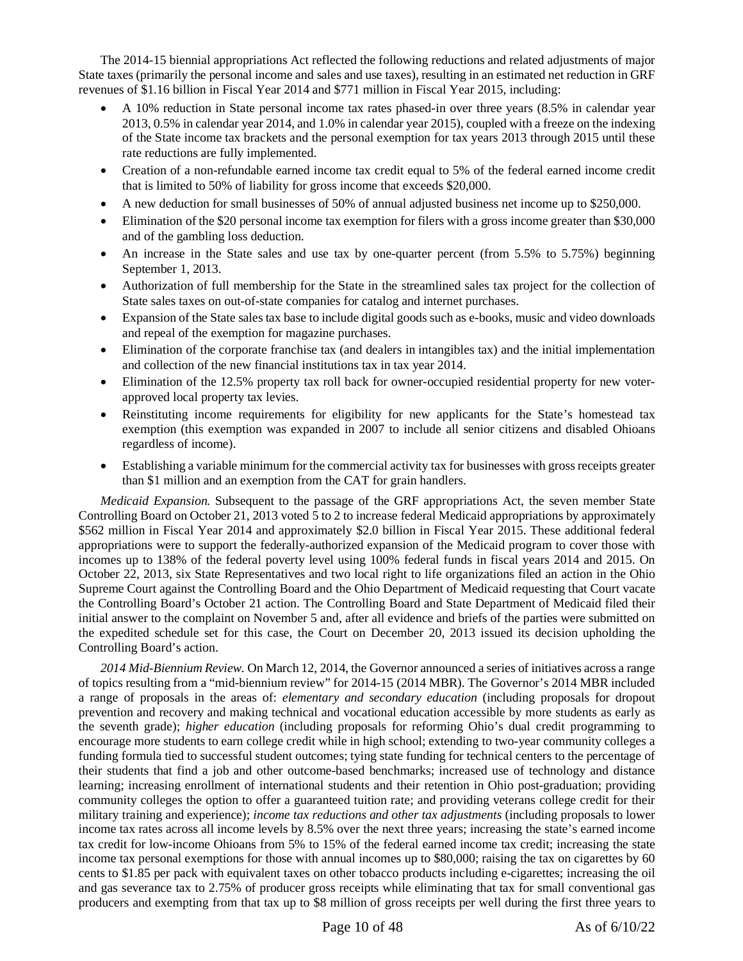The 2014-15 biennial appropriations Act reflected the following reductions and related adjustments of major State taxes (primarily the personal income and sales and use taxes), resulting in an estimated net reduction in GRF revenues of \$1.16 billion in Fiscal Year 2014 and \$771 million in Fiscal Year 2015, including:

- A 10% reduction in State personal income tax rates phased-in over three years (8.5% in calendar year 2013, 0.5% in calendar year 2014, and 1.0% in calendar year 2015), coupled with a freeze on the indexing of the State income tax brackets and the personal exemption for tax years 2013 through 2015 until these rate reductions are fully implemented.
- Creation of a non-refundable earned income tax credit equal to 5% of the federal earned income credit that is limited to 50% of liability for gross income that exceeds \$20,000.
- A new deduction for small businesses of 50% of annual adjusted business net income up to \$250,000.
- Elimination of the \$20 personal income tax exemption for filers with a gross income greater than \$30,000 and of the gambling loss deduction.
- An increase in the State sales and use tax by one-quarter percent (from 5.5% to 5.75%) beginning September 1, 2013.
- Authorization of full membership for the State in the streamlined sales tax project for the collection of State sales taxes on out-of-state companies for catalog and internet purchases.
- Expansion of the State sales tax base to include digital goods such as e-books, music and video downloads and repeal of the exemption for magazine purchases.
- Elimination of the corporate franchise tax (and dealers in intangibles tax) and the initial implementation and collection of the new financial institutions tax in tax year 2014.
- Elimination of the 12.5% property tax roll back for owner-occupied residential property for new voterapproved local property tax levies.
- Reinstituting income requirements for eligibility for new applicants for the State's homestead tax exemption (this exemption was expanded in 2007 to include all senior citizens and disabled Ohioans regardless of income).
- Establishing a variable minimum for the commercial activity tax for businesses with gross receipts greater than \$1 million and an exemption from the CAT for grain handlers.

*Medicaid Expansion.* Subsequent to the passage of the GRF appropriations Act, the seven member State Controlling Board on October 21, 2013 voted 5 to 2 to increase federal Medicaid appropriations by approximately \$562 million in Fiscal Year 2014 and approximately \$2.0 billion in Fiscal Year 2015. These additional federal appropriations were to support the federally-authorized expansion of the Medicaid program to cover those with incomes up to 138% of the federal poverty level using 100% federal funds in fiscal years 2014 and 2015. On October 22, 2013, six State Representatives and two local right to life organizations filed an action in the Ohio Supreme Court against the Controlling Board and the Ohio Department of Medicaid requesting that Court vacate the Controlling Board's October 21 action. The Controlling Board and State Department of Medicaid filed their initial answer to the complaint on November 5 and, after all evidence and briefs of the parties were submitted on the expedited schedule set for this case, the Court on December 20, 2013 issued its decision upholding the Controlling Board's action.

*2014 Mid-Biennium Review.* On March 12, 2014, the Governor announced a series of initiatives across a range of topics resulting from a "mid-biennium review" for 2014-15 (2014 MBR). The Governor's 2014 MBR included a range of proposals in the areas of: *elementary and secondary education* (including proposals for dropout prevention and recovery and making technical and vocational education accessible by more students as early as the seventh grade); *higher education* (including proposals for reforming Ohio's dual credit programming to encourage more students to earn college credit while in high school; extending to two-year community colleges a funding formula tied to successful student outcomes; tying state funding for technical centers to the percentage of their students that find a job and other outcome-based benchmarks; increased use of technology and distance learning; increasing enrollment of international students and their retention in Ohio post-graduation; providing community colleges the option to offer a guaranteed tuition rate; and providing veterans college credit for their military training and experience); *income tax reductions and other tax adjustments* (including proposals to lower income tax rates across all income levels by 8.5% over the next three years; increasing the state's earned income tax credit for low-income Ohioans from 5% to 15% of the federal earned income tax credit; increasing the state income tax personal exemptions for those with annual incomes up to \$80,000; raising the tax on cigarettes by 60 cents to \$1.85 per pack with equivalent taxes on other tobacco products including e-cigarettes; increasing the oil and gas severance tax to 2.75% of producer gross receipts while eliminating that tax for small conventional gas producers and exempting from that tax up to \$8 million of gross receipts per well during the first three years to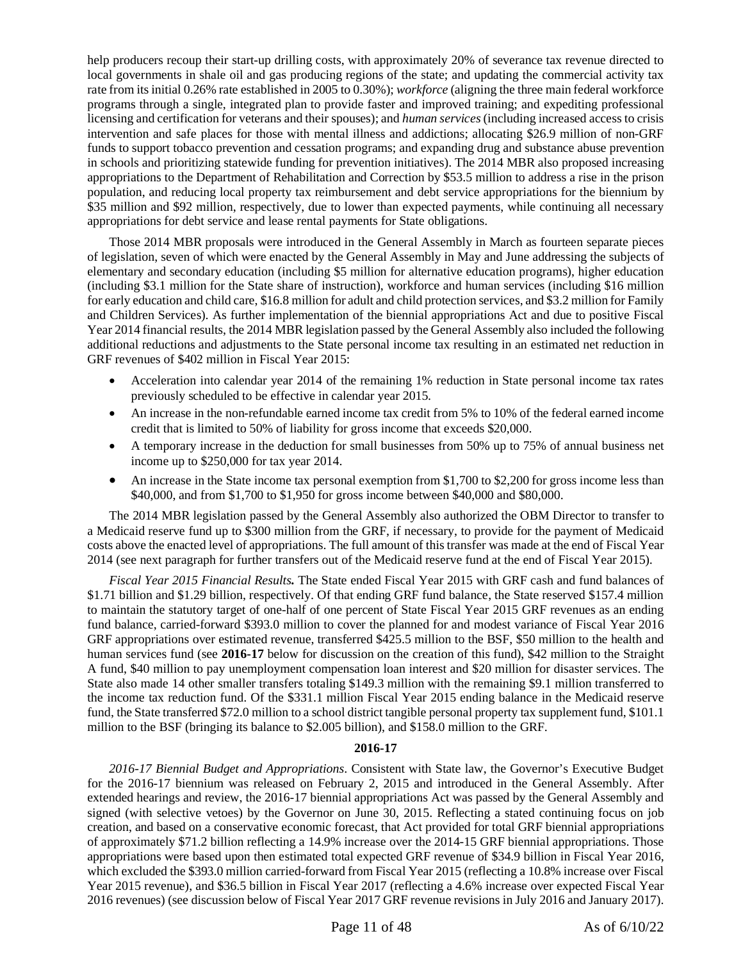help producers recoup their start-up drilling costs, with approximately 20% of severance tax revenue directed to local governments in shale oil and gas producing regions of the state; and updating the commercial activity tax rate from its initial 0.26% rate established in 2005 to 0.30%); *workforce* (aligning the three main federal workforce programs through a single, integrated plan to provide faster and improved training; and expediting professional licensing and certification for veterans and their spouses); and *human services*(including increased access to crisis intervention and safe places for those with mental illness and addictions; allocating \$26.9 million of non-GRF funds to support tobacco prevention and cessation programs; and expanding drug and substance abuse prevention in schools and prioritizing statewide funding for prevention initiatives). The 2014 MBR also proposed increasing appropriations to the Department of Rehabilitation and Correction by \$53.5 million to address a rise in the prison population, and reducing local property tax reimbursement and debt service appropriations for the biennium by \$35 million and \$92 million, respectively, due to lower than expected payments, while continuing all necessary appropriations for debt service and lease rental payments for State obligations.

Those 2014 MBR proposals were introduced in the General Assembly in March as fourteen separate pieces of legislation, seven of which were enacted by the General Assembly in May and June addressing the subjects of elementary and secondary education (including \$5 million for alternative education programs), higher education (including \$3.1 million for the State share of instruction), workforce and human services (including \$16 million for early education and child care, \$16.8 million for adult and child protection services, and \$3.2 million for Family and Children Services). As further implementation of the biennial appropriations Act and due to positive Fiscal Year 2014 financial results, the 2014 MBR legislation passed by the General Assembly also included the following additional reductions and adjustments to the State personal income tax resulting in an estimated net reduction in GRF revenues of \$402 million in Fiscal Year 2015:

- Acceleration into calendar year 2014 of the remaining 1% reduction in State personal income tax rates previously scheduled to be effective in calendar year 2015.
- An increase in the non-refundable earned income tax credit from 5% to 10% of the federal earned income credit that is limited to 50% of liability for gross income that exceeds \$20,000.
- A temporary increase in the deduction for small businesses from 50% up to 75% of annual business net income up to \$250,000 for tax year 2014.
- An increase in the State income tax personal exemption from \$1,700 to \$2,200 for gross income less than \$40,000, and from \$1,700 to \$1,950 for gross income between \$40,000 and \$80,000.

The 2014 MBR legislation passed by the General Assembly also authorized the OBM Director to transfer to a Medicaid reserve fund up to \$300 million from the GRF, if necessary, to provide for the payment of Medicaid costs above the enacted level of appropriations. The full amount of this transfer was made at the end of Fiscal Year 2014 (see next paragraph for further transfers out of the Medicaid reserve fund at the end of Fiscal Year 2015).

*Fiscal Year 2015 Financial Results.* The State ended Fiscal Year 2015 with GRF cash and fund balances of \$1.71 billion and \$1.29 billion, respectively. Of that ending GRF fund balance, the State reserved \$157.4 million to maintain the statutory target of one-half of one percent of State Fiscal Year 2015 GRF revenues as an ending fund balance, carried-forward \$393.0 million to cover the planned for and modest variance of Fiscal Year 2016 GRF appropriations over estimated revenue, transferred \$425.5 million to the BSF, \$50 million to the health and human services fund (see **2016-17** below for discussion on the creation of this fund), \$42 million to the Straight A fund, \$40 million to pay unemployment compensation loan interest and \$20 million for disaster services. The State also made 14 other smaller transfers totaling \$149.3 million with the remaining \$9.1 million transferred to the income tax reduction fund. Of the \$331.1 million Fiscal Year 2015 ending balance in the Medicaid reserve fund, the State transferred \$72.0 million to a school district tangible personal property tax supplement fund, \$101.1 million to the BSF (bringing its balance to \$2.005 billion), and \$158.0 million to the GRF.

# **2016-17**

*2016-17 Biennial Budget and Appropriations*. Consistent with State law, the Governor's Executive Budget for the 2016-17 biennium was released on February 2, 2015 and introduced in the General Assembly. After extended hearings and review, the 2016-17 biennial appropriations Act was passed by the General Assembly and signed (with selective vetoes) by the Governor on June 30, 2015. Reflecting a stated continuing focus on job creation, and based on a conservative economic forecast, that Act provided for total GRF biennial appropriations of approximately \$71.2 billion reflecting a 14.9% increase over the 2014-15 GRF biennial appropriations. Those appropriations were based upon then estimated total expected GRF revenue of \$34.9 billion in Fiscal Year 2016, which excluded the \$393.0 million carried-forward from Fiscal Year 2015 (reflecting a 10.8% increase over Fiscal Year 2015 revenue), and \$36.5 billion in Fiscal Year 2017 (reflecting a 4.6% increase over expected Fiscal Year 2016 revenues) (see discussion below of Fiscal Year 2017 GRF revenue revisions in July 2016 and January 2017).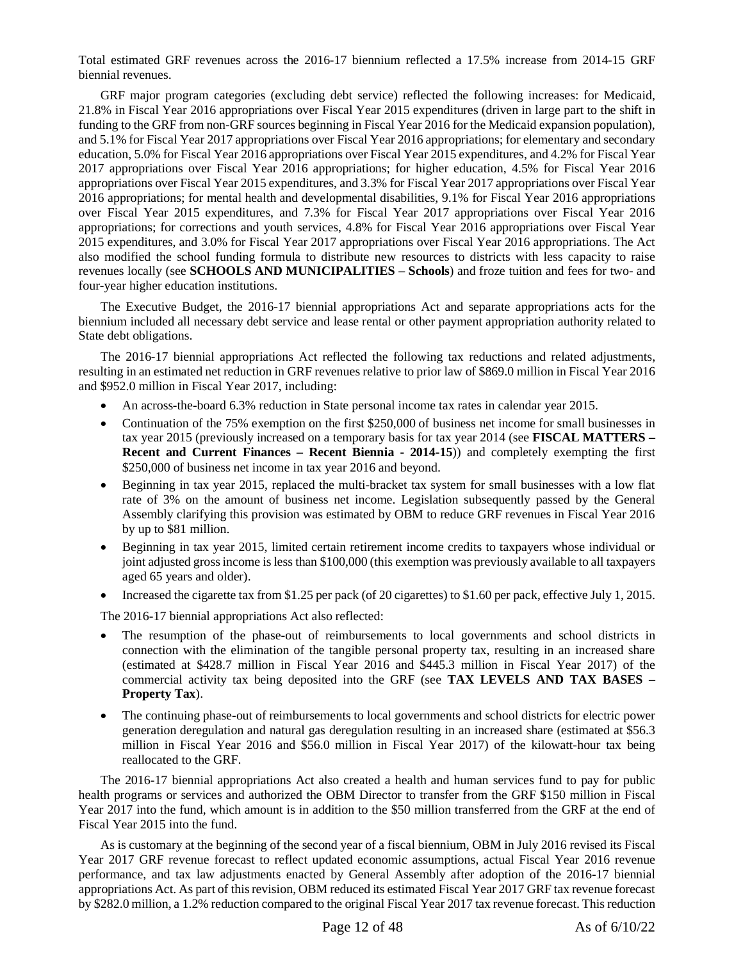Total estimated GRF revenues across the 2016-17 biennium reflected a 17.5% increase from 2014-15 GRF biennial revenues.

GRF major program categories (excluding debt service) reflected the following increases: for Medicaid, 21.8% in Fiscal Year 2016 appropriations over Fiscal Year 2015 expenditures (driven in large part to the shift in funding to the GRF from non-GRF sources beginning in Fiscal Year 2016 for the Medicaid expansion population), and 5.1% for Fiscal Year 2017 appropriations over Fiscal Year 2016 appropriations; for elementary and secondary education, 5.0% for Fiscal Year 2016 appropriations over Fiscal Year 2015 expenditures, and 4.2% for Fiscal Year 2017 appropriations over Fiscal Year 2016 appropriations; for higher education, 4.5% for Fiscal Year 2016 appropriations over Fiscal Year 2015 expenditures, and 3.3% for Fiscal Year 2017 appropriations over Fiscal Year 2016 appropriations; for mental health and developmental disabilities, 9.1% for Fiscal Year 2016 appropriations over Fiscal Year 2015 expenditures, and 7.3% for Fiscal Year 2017 appropriations over Fiscal Year 2016 appropriations; for corrections and youth services, 4.8% for Fiscal Year 2016 appropriations over Fiscal Year 2015 expenditures, and 3.0% for Fiscal Year 2017 appropriations over Fiscal Year 2016 appropriations. The Act also modified the school funding formula to distribute new resources to districts with less capacity to raise revenues locally (see **SCHOOLS AND MUNICIPALITIES – Schools**) and froze tuition and fees for two- and four-year higher education institutions.

The Executive Budget, the 2016-17 biennial appropriations Act and separate appropriations acts for the biennium included all necessary debt service and lease rental or other payment appropriation authority related to State debt obligations.

The 2016-17 biennial appropriations Act reflected the following tax reductions and related adjustments, resulting in an estimated net reduction in GRF revenues relative to prior law of \$869.0 million in Fiscal Year 2016 and \$952.0 million in Fiscal Year 2017, including:

- An across-the-board 6.3% reduction in State personal income tax rates in calendar year 2015.
- Continuation of the 75% exemption on the first \$250,000 of business net income for small businesses in tax year 2015 (previously increased on a temporary basis for tax year 2014 (see **FISCAL MATTERS – Recent and Current Finances – Recent Biennia - 2014-15**)) and completely exempting the first \$250,000 of business net income in tax year 2016 and beyond.
- Beginning in tax year 2015, replaced the multi-bracket tax system for small businesses with a low flat rate of 3% on the amount of business net income. Legislation subsequently passed by the General Assembly clarifying this provision was estimated by OBM to reduce GRF revenues in Fiscal Year 2016 by up to \$81 million.
- Beginning in tax year 2015, limited certain retirement income credits to taxpayers whose individual or joint adjusted gross income is less than \$100,000 (this exemption was previously available to all taxpayers aged 65 years and older).
- Increased the cigarette tax from \$1.25 per pack (of 20 cigarettes) to \$1.60 per pack, effective July 1, 2015.

The 2016-17 biennial appropriations Act also reflected:

- The resumption of the phase-out of reimbursements to local governments and school districts in connection with the elimination of the tangible personal property tax, resulting in an increased share (estimated at \$428.7 million in Fiscal Year 2016 and \$445.3 million in Fiscal Year 2017) of the commercial activity tax being deposited into the GRF (see **TAX LEVELS AND TAX BASES – Property Tax**).
- The continuing phase-out of reimbursements to local governments and school districts for electric power generation deregulation and natural gas deregulation resulting in an increased share (estimated at \$56.3 million in Fiscal Year 2016 and \$56.0 million in Fiscal Year 2017) of the kilowatt-hour tax being reallocated to the GRF.

The 2016-17 biennial appropriations Act also created a health and human services fund to pay for public health programs or services and authorized the OBM Director to transfer from the GRF \$150 million in Fiscal Year 2017 into the fund, which amount is in addition to the \$50 million transferred from the GRF at the end of Fiscal Year 2015 into the fund.

As is customary at the beginning of the second year of a fiscal biennium, OBM in July 2016 revised its Fiscal Year 2017 GRF revenue forecast to reflect updated economic assumptions, actual Fiscal Year 2016 revenue performance, and tax law adjustments enacted by General Assembly after adoption of the 2016-17 biennial appropriations Act. As part of this revision, OBM reduced its estimated Fiscal Year 2017 GRF tax revenue forecast by \$282.0 million, a 1.2% reduction compared to the original Fiscal Year 2017 tax revenue forecast. This reduction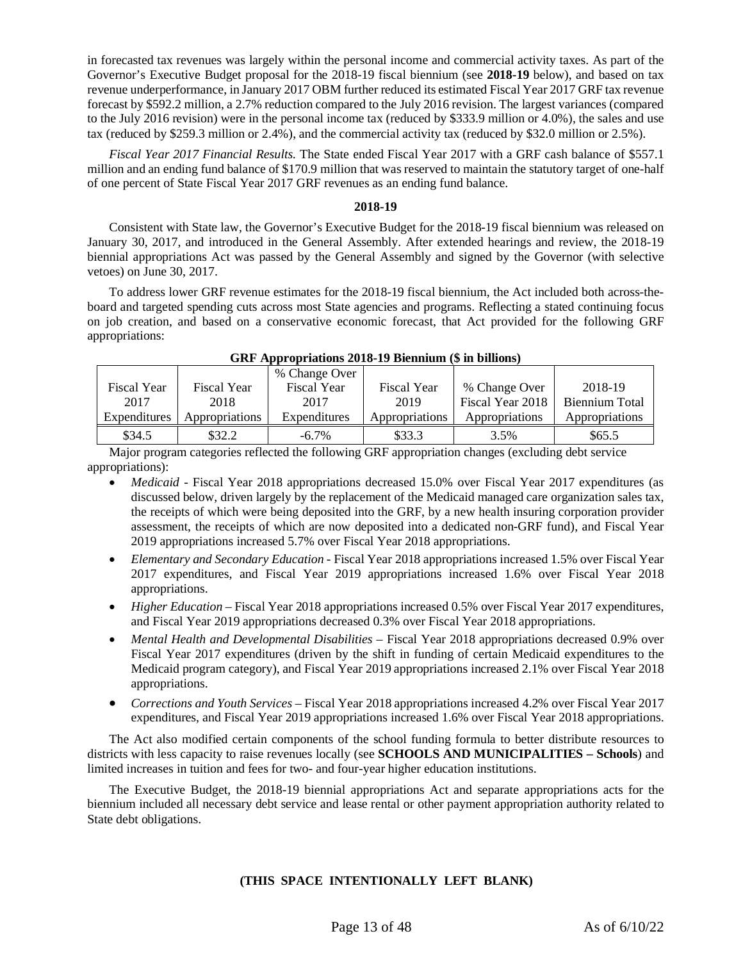in forecasted tax revenues was largely within the personal income and commercial activity taxes. As part of the Governor's Executive Budget proposal for the 2018-19 fiscal biennium (see **2018-19** below), and based on tax revenue underperformance, in January 2017 OBM further reduced its estimated Fiscal Year 2017 GRF tax revenue forecast by \$592.2 million, a 2.7% reduction compared to the July 2016 revision. The largest variances (compared to the July 2016 revision) were in the personal income tax (reduced by \$333.9 million or 4.0%), the sales and use tax (reduced by \$259.3 million or 2.4%), and the commercial activity tax (reduced by \$32.0 million or 2.5%).

*Fiscal Year 2017 Financial Results.* The State ended Fiscal Year 2017 with a GRF cash balance of \$557.1 million and an ending fund balance of \$170.9 million that was reserved to maintain the statutory target of one-half of one percent of State Fiscal Year 2017 GRF revenues as an ending fund balance.

# **2018-19**

Consistent with State law, the Governor's Executive Budget for the 2018-19 fiscal biennium was released on January 30, 2017, and introduced in the General Assembly. After extended hearings and review, the 2018-19 biennial appropriations Act was passed by the General Assembly and signed by the Governor (with selective vetoes) on June 30, 2017.

To address lower GRF revenue estimates for the 2018-19 fiscal biennium, the Act included both across-theboard and targeted spending cuts across most State agencies and programs. Reflecting a stated continuing focus on job creation, and based on a conservative economic forecast, that Act provided for the following GRF appropriations:

|                    |                       | % Change Over      |                    |                  |                |
|--------------------|-----------------------|--------------------|--------------------|------------------|----------------|
| <b>Fiscal Year</b> | <b>Fiscal Year</b>    | <b>Fiscal Year</b> | <b>Fiscal Year</b> | % Change Over    | 2018-19        |
| 2017               | 2018                  | 2017               | 2019               | Fiscal Year 2018 | Biennium Total |
| Expenditures       | <b>Appropriations</b> | Expenditures       | Appropriations     | Appropriations   | Appropriations |
| \$34.5             | \$32.2                | $-6.7\%$           | \$33.3             | 3.5%             | \$65.5         |

**GRF Appropriations 2018-19 Biennium (\$ in billions)**

Major program categories reflected the following GRF appropriation changes (excluding debt service appropriations):

- *Medicaid* Fiscal Year 2018 appropriations decreased 15.0% over Fiscal Year 2017 expenditures (as discussed below, driven largely by the replacement of the Medicaid managed care organization sales tax, the receipts of which were being deposited into the GRF, by a new health insuring corporation provider assessment, the receipts of which are now deposited into a dedicated non-GRF fund), and Fiscal Year 2019 appropriations increased 5.7% over Fiscal Year 2018 appropriations.
- *Elementary and Secondary Education* Fiscal Year 2018 appropriations increased 1.5% over Fiscal Year 2017 expenditures, and Fiscal Year 2019 appropriations increased 1.6% over Fiscal Year 2018 appropriations.
- *Higher Education* Fiscal Year 2018 appropriations increased 0.5% over Fiscal Year 2017 expenditures, and Fiscal Year 2019 appropriations decreased 0.3% over Fiscal Year 2018 appropriations.
- *Mental Health and Developmental Disabilities* Fiscal Year 2018 appropriations decreased 0.9% over Fiscal Year 2017 expenditures (driven by the shift in funding of certain Medicaid expenditures to the Medicaid program category), and Fiscal Year 2019 appropriations increased 2.1% over Fiscal Year 2018 appropriations.
- *Corrections and Youth Services* Fiscal Year 2018 appropriations increased 4.2% over Fiscal Year 2017 expenditures, and Fiscal Year 2019 appropriations increased 1.6% over Fiscal Year 2018 appropriations.

The Act also modified certain components of the school funding formula to better distribute resources to districts with less capacity to raise revenues locally (see **SCHOOLS AND MUNICIPALITIES – Schools**) and limited increases in tuition and fees for two- and four-year higher education institutions.

The Executive Budget, the 2018-19 biennial appropriations Act and separate appropriations acts for the biennium included all necessary debt service and lease rental or other payment appropriation authority related to State debt obligations.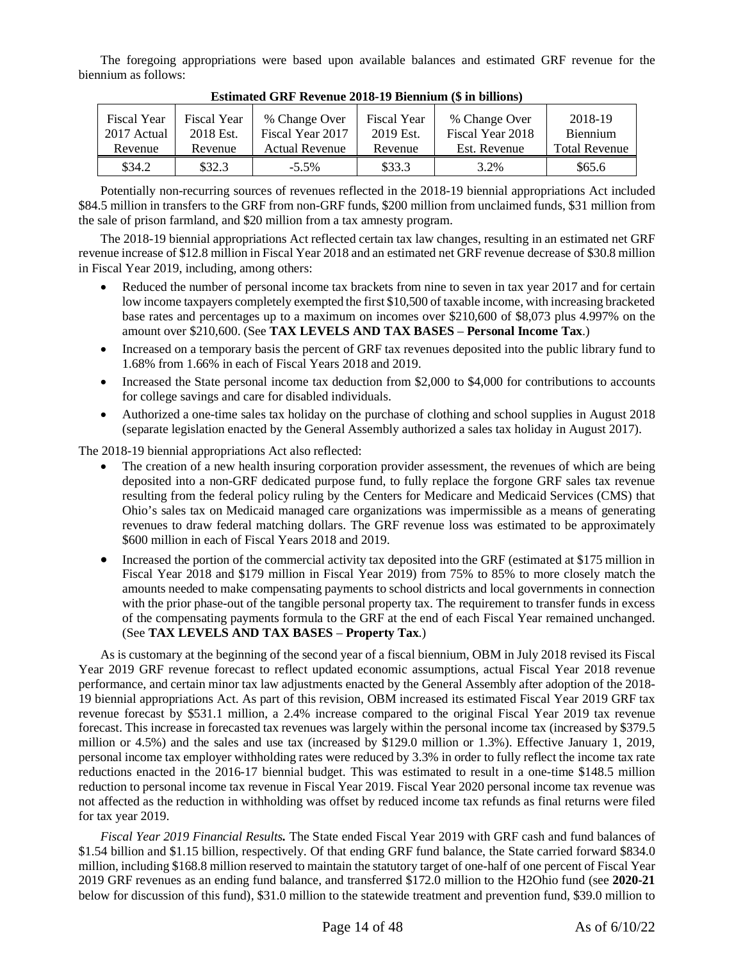The foregoing appropriations were based upon available balances and estimated GRF revenue for the biennium as follows:

| <b>Fiscal Year</b><br>2017 Actual | <b>Fiscal Year</b><br>2018 Est. | % Change Over<br>Fiscal Year 2017 | <b>Fiscal Year</b><br>2019 Est. | % Change Over<br>Fiscal Year 2018 | 2018-19<br><b>Biennium</b> |  |
|-----------------------------------|---------------------------------|-----------------------------------|---------------------------------|-----------------------------------|----------------------------|--|
| Revenue                           | Revenue                         | <b>Actual Revenue</b>             | Revenue                         | Est. Revenue                      | <b>Total Revenue</b>       |  |
| \$34.2                            | \$32.3                          | $-5.5\%$                          | \$33.3                          | 3.2%                              | \$65.6                     |  |

**Estimated GRF Revenue 2018-19 Biennium (\$ in billions)**

Potentially non-recurring sources of revenues reflected in the 2018-19 biennial appropriations Act included \$84.5 million in transfers to the GRF from non-GRF funds, \$200 million from unclaimed funds, \$31 million from the sale of prison farmland, and \$20 million from a tax amnesty program.

The 2018-19 biennial appropriations Act reflected certain tax law changes, resulting in an estimated net GRF revenue increase of \$12.8 million in Fiscal Year 2018 and an estimated net GRF revenue decrease of \$30.8 million in Fiscal Year 2019, including, among others:

- Reduced the number of personal income tax brackets from nine to seven in tax year 2017 and for certain low income taxpayers completely exempted the first \$10,500 of taxable income, with increasing bracketed base rates and percentages up to a maximum on incomes over \$210,600 of \$8,073 plus 4.997% on the amount over \$210,600. (See **TAX LEVELS AND TAX BASES** – **Personal Income Tax**.)
- Increased on a temporary basis the percent of GRF tax revenues deposited into the public library fund to 1.68% from 1.66% in each of Fiscal Years 2018 and 2019.
- Increased the State personal income tax deduction from \$2,000 to \$4,000 for contributions to accounts for college savings and care for disabled individuals.
- Authorized a one-time sales tax holiday on the purchase of clothing and school supplies in August 2018 (separate legislation enacted by the General Assembly authorized a sales tax holiday in August 2017).

The 2018-19 biennial appropriations Act also reflected:

- The creation of a new health insuring corporation provider assessment, the revenues of which are being deposited into a non-GRF dedicated purpose fund, to fully replace the forgone GRF sales tax revenue resulting from the federal policy ruling by the Centers for Medicare and Medicaid Services (CMS) that Ohio's sales tax on Medicaid managed care organizations was impermissible as a means of generating revenues to draw federal matching dollars. The GRF revenue loss was estimated to be approximately \$600 million in each of Fiscal Years 2018 and 2019.
- Increased the portion of the commercial activity tax deposited into the GRF (estimated at \$175 million in Fiscal Year 2018 and \$179 million in Fiscal Year 2019) from 75% to 85% to more closely match the amounts needed to make compensating payments to school districts and local governments in connection with the prior phase-out of the tangible personal property tax. The requirement to transfer funds in excess of the compensating payments formula to the GRF at the end of each Fiscal Year remained unchanged. (See **TAX LEVELS AND TAX BASES** – **Property Tax**.)

As is customary at the beginning of the second year of a fiscal biennium, OBM in July 2018 revised its Fiscal Year 2019 GRF revenue forecast to reflect updated economic assumptions, actual Fiscal Year 2018 revenue performance, and certain minor tax law adjustments enacted by the General Assembly after adoption of the 2018- 19 biennial appropriations Act. As part of this revision, OBM increased its estimated Fiscal Year 2019 GRF tax revenue forecast by \$531.1 million, a 2.4% increase compared to the original Fiscal Year 2019 tax revenue forecast. This increase in forecasted tax revenues was largely within the personal income tax (increased by \$379.5 million or 4.5%) and the sales and use tax (increased by \$129.0 million or 1.3%). Effective January 1, 2019, personal income tax employer withholding rates were reduced by 3.3% in order to fully reflect the income tax rate reductions enacted in the 2016-17 biennial budget. This was estimated to result in a one-time \$148.5 million reduction to personal income tax revenue in Fiscal Year 2019. Fiscal Year 2020 personal income tax revenue was not affected as the reduction in withholding was offset by reduced income tax refunds as final returns were filed for tax year 2019.

*Fiscal Year 2019 Financial Results.* The State ended Fiscal Year 2019 with GRF cash and fund balances of \$1.54 billion and \$1.15 billion, respectively. Of that ending GRF fund balance, the State carried forward \$834.0 million, including \$168.8 million reserved to maintain the statutory target of one-half of one percent of Fiscal Year 2019 GRF revenues as an ending fund balance, and transferred \$172.0 million to the H2Ohio fund (see **2020-21** below for discussion of this fund), \$31.0 million to the statewide treatment and prevention fund, \$39.0 million to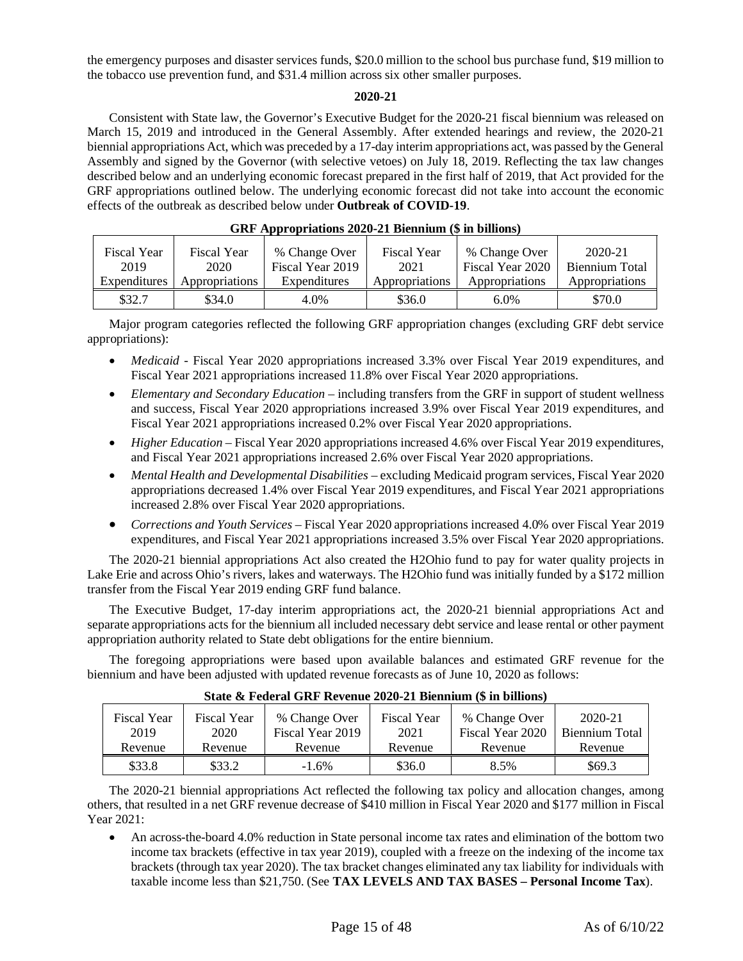the emergency purposes and disaster services funds, \$20.0 million to the school bus purchase fund, \$19 million to the tobacco use prevention fund, and \$31.4 million across six other smaller purposes.

# **2020-21**

Consistent with State law, the Governor's Executive Budget for the 2020-21 fiscal biennium was released on March 15, 2019 and introduced in the General Assembly. After extended hearings and review, the 2020-21 biennial appropriations Act, which was preceded by a 17-day interim appropriations act, was passed by the General Assembly and signed by the Governor (with selective vetoes) on July 18, 2019. Reflecting the tax law changes described below and an underlying economic forecast prepared in the first half of 2019, that Act provided for the GRF appropriations outlined below. The underlying economic forecast did not take into account the economic effects of the outbreak as described below under **Outbreak of COVID-19**.

| <b>Fiscal Year</b><br>2019 | <b>Fiscal Year</b><br>2020 | % Change Over<br>Fiscal Year 2019 | <b>Fiscal Year</b><br>2021 | % Change Over<br>Fiscal Year 2020 | 2020-21<br>Biennium Total |
|----------------------------|----------------------------|-----------------------------------|----------------------------|-----------------------------------|---------------------------|
| Expenditures               | Appropriations             | Expenditures                      | Appropriations             | Appropriations                    | Appropriations            |
| \$32.7                     | \$34.0                     | 4.0%                              | \$36.0                     | $6.0\%$                           | \$70.0                    |

# **GRF Appropriations 2020-21 Biennium (\$ in billions)**

Major program categories reflected the following GRF appropriation changes (excluding GRF debt service appropriations):

- *Medicaid* Fiscal Year 2020 appropriations increased 3.3% over Fiscal Year 2019 expenditures, and Fiscal Year 2021 appropriations increased 11.8% over Fiscal Year 2020 appropriations.
- *Elementary and Secondary Education* including transfers from the GRF in support of student wellness and success, Fiscal Year 2020 appropriations increased 3.9% over Fiscal Year 2019 expenditures, and Fiscal Year 2021 appropriations increased 0.2% over Fiscal Year 2020 appropriations.
- *Higher Education* Fiscal Year 2020 appropriations increased 4.6% over Fiscal Year 2019 expenditures, and Fiscal Year 2021 appropriations increased 2.6% over Fiscal Year 2020 appropriations.
- *Mental Health and Developmental Disabilities* excluding Medicaid program services, Fiscal Year 2020 appropriations decreased 1.4% over Fiscal Year 2019 expenditures, and Fiscal Year 2021 appropriations increased 2.8% over Fiscal Year 2020 appropriations.
- *Corrections and Youth Services* Fiscal Year 2020 appropriations increased 4.0% over Fiscal Year 2019 expenditures, and Fiscal Year 2021 appropriations increased 3.5% over Fiscal Year 2020 appropriations.

The 2020-21 biennial appropriations Act also created the H2Ohio fund to pay for water quality projects in Lake Erie and across Ohio's rivers, lakes and waterways. The H2Ohio fund was initially funded by a \$172 million transfer from the Fiscal Year 2019 ending GRF fund balance.

The Executive Budget, 17-day interim appropriations act, the 2020-21 biennial appropriations Act and separate appropriations acts for the biennium all included necessary debt service and lease rental or other payment appropriation authority related to State debt obligations for the entire biennium.

The foregoing appropriations were based upon available balances and estimated GRF revenue for the biennium and have been adjusted with updated revenue forecasts as of June 10, 2020 as follows:

| DUUC WI CUCHI QIAL IACTORUC STST SICHRIMII WIR DRIITUR |                    |                  |             |                  |                |  |
|--------------------------------------------------------|--------------------|------------------|-------------|------------------|----------------|--|
| <b>Fiscal Year</b>                                     | <b>Fiscal Year</b> | % Change Over    | Fiscal Year | % Change Over    | 2020-21        |  |
| 2019                                                   | 2020               | Fiscal Year 2019 | 2021        | Fiscal Year 2020 | Biennium Total |  |
| Revenue                                                | Revenue            | Revenue          | Revenue     | Revenue          | Revenue        |  |
| \$33.8                                                 | \$33.2             | $-1.6\%$         | \$36.0      | 8.5%             | \$69.3         |  |

# **State & Federal GRF Revenue 2020-21 Biennium (\$ in billions)**

The 2020-21 biennial appropriations Act reflected the following tax policy and allocation changes, among others, that resulted in a net GRF revenue decrease of \$410 million in Fiscal Year 2020 and \$177 million in Fiscal Year 2021:

 An across-the-board 4.0% reduction in State personal income tax rates and elimination of the bottom two income tax brackets (effective in tax year 2019), coupled with a freeze on the indexing of the income tax brackets (through tax year 2020). The tax bracket changes eliminated any tax liability for individuals with taxable income less than \$21,750. (See **TAX LEVELS AND TAX BASES – Personal Income Tax**).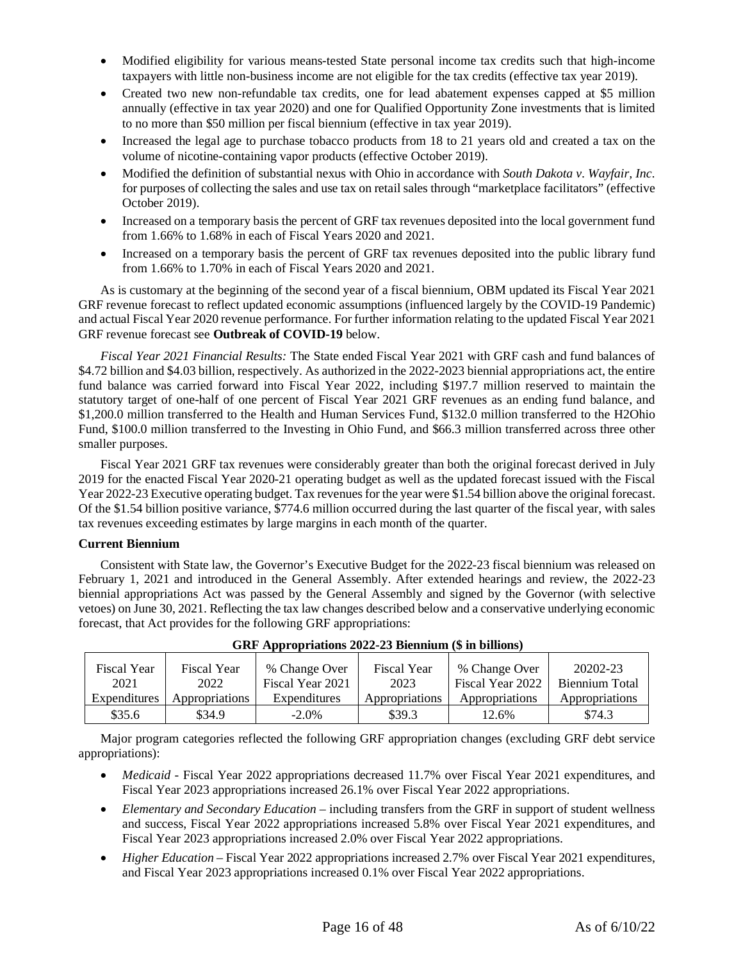- Modified eligibility for various means-tested State personal income tax credits such that high-income taxpayers with little non-business income are not eligible for the tax credits (effective tax year 2019).
- Created two new non-refundable tax credits, one for lead abatement expenses capped at \$5 million annually (effective in tax year 2020) and one for Qualified Opportunity Zone investments that is limited to no more than \$50 million per fiscal biennium (effective in tax year 2019).
- Increased the legal age to purchase tobacco products from 18 to 21 years old and created a tax on the volume of nicotine-containing vapor products (effective October 2019).
- Modified the definition of substantial nexus with Ohio in accordance with *South Dakota v. Wayfair, Inc.* for purposes of collecting the sales and use tax on retail sales through "marketplace facilitators" (effective October 2019).
- Increased on a temporary basis the percent of GRF tax revenues deposited into the local government fund from 1.66% to 1.68% in each of Fiscal Years 2020 and 2021.
- Increased on a temporary basis the percent of GRF tax revenues deposited into the public library fund from 1.66% to 1.70% in each of Fiscal Years 2020 and 2021.

As is customary at the beginning of the second year of a fiscal biennium, OBM updated its Fiscal Year 2021 GRF revenue forecast to reflect updated economic assumptions (influenced largely by the COVID-19 Pandemic) and actual Fiscal Year 2020 revenue performance. For further information relating to the updated Fiscal Year 2021 GRF revenue forecast see **Outbreak of COVID-19** below.

*Fiscal Year 2021 Financial Results:* The State ended Fiscal Year 2021 with GRF cash and fund balances of \$4.72 billion and \$4.03 billion, respectively. As authorized in the 2022-2023 biennial appropriations act, the entire fund balance was carried forward into Fiscal Year 2022, including \$197.7 million reserved to maintain the statutory target of one-half of one percent of Fiscal Year 2021 GRF revenues as an ending fund balance, and \$1,200.0 million transferred to the Health and Human Services Fund, \$132.0 million transferred to the H2Ohio Fund, \$100.0 million transferred to the Investing in Ohio Fund, and \$66.3 million transferred across three other smaller purposes.

Fiscal Year 2021 GRF tax revenues were considerably greater than both the original forecast derived in July 2019 for the enacted Fiscal Year 2020-21 operating budget as well as the updated forecast issued with the Fiscal Year 2022-23 Executive operating budget. Tax revenues for the year were \$1.54 billion above the original forecast. Of the \$1.54 billion positive variance, \$774.6 million occurred during the last quarter of the fiscal year, with sales tax revenues exceeding estimates by large margins in each month of the quarter.

# <span id="page-15-0"></span>**Current Biennium**

Consistent with State law, the Governor's Executive Budget for the 2022-23 fiscal biennium was released on February 1, 2021 and introduced in the General Assembly. After extended hearings and review, the 2022-23 biennial appropriations Act was passed by the General Assembly and signed by the Governor (with selective vetoes) on June 30, 2021. Reflecting the tax law changes described below and a conservative underlying economic forecast, that Act provides for the following GRF appropriations:

| <b>Fiscal Year</b> | <b>Fiscal Year</b> | % Change Over    | <b>Fiscal Year</b> | % Change Over    | 20202-23       |
|--------------------|--------------------|------------------|--------------------|------------------|----------------|
| 2021               | 2022               | Fiscal Year 2021 | 2023               | Fiscal Year 2022 | Biennium Total |
| Expenditures       | Appropriations     | Expenditures     | Appropriations     | Appropriations   | Appropriations |
| \$35.6             | \$34.9             | $-2.0\%$         | \$39.3             | 12.6%            | \$74.3         |

# **GRF Appropriations 2022-23 Biennium (\$ in billions)**

Major program categories reflected the following GRF appropriation changes (excluding GRF debt service appropriations):

- *Medicaid* Fiscal Year 2022 appropriations decreased 11.7% over Fiscal Year 2021 expenditures, and Fiscal Year 2023 appropriations increased 26.1% over Fiscal Year 2022 appropriations.
- *Elementary and Secondary Education –* including transfers from the GRF in support of student wellness and success, Fiscal Year 2022 appropriations increased 5.8% over Fiscal Year 2021 expenditures, and Fiscal Year 2023 appropriations increased 2.0% over Fiscal Year 2022 appropriations.
- *Higher Education* Fiscal Year 2022 appropriations increased 2.7% over Fiscal Year 2021 expenditures, and Fiscal Year 2023 appropriations increased 0.1% over Fiscal Year 2022 appropriations.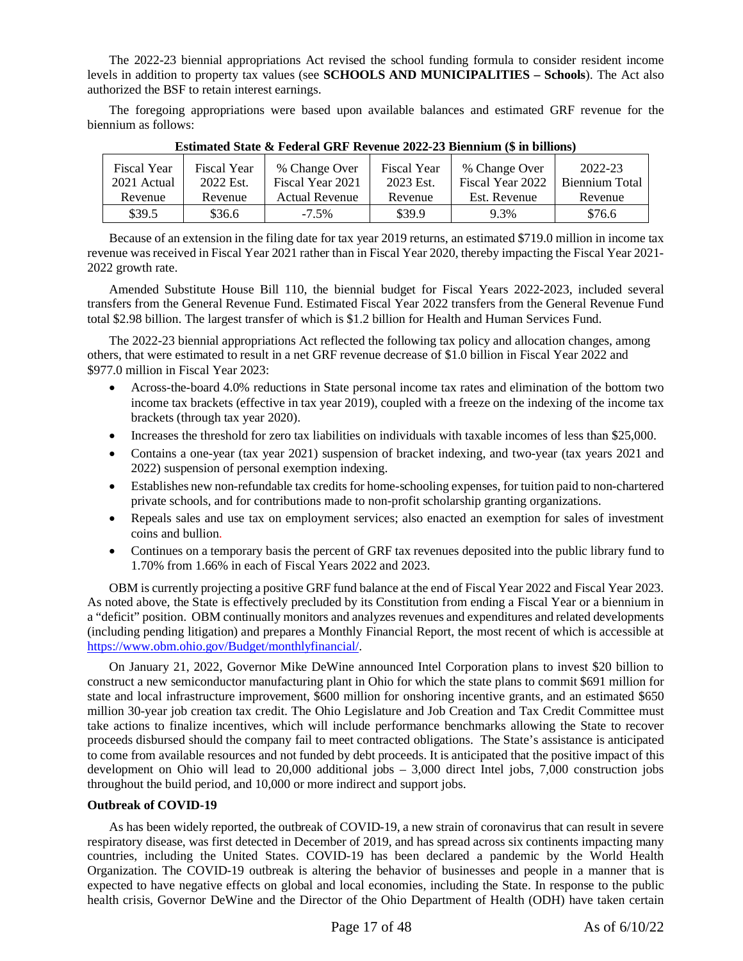The 2022-23 biennial appropriations Act revised the school funding formula to consider resident income levels in addition to property tax values (see **SCHOOLS AND MUNICIPALITIES – Schools**). The Act also authorized the BSF to retain interest earnings.

The foregoing appropriations were based upon available balances and estimated GRF revenue for the biennium as follows:

|                            | LOUMANNOU D'AND LE CUVILLE CILLE AND D'AIND MUMME AU LOUMANNAIS (V AIS D'AISSURD) |                                   |                                 |                                   |                           |  |  |
|----------------------------|-----------------------------------------------------------------------------------|-----------------------------------|---------------------------------|-----------------------------------|---------------------------|--|--|
| Fiscal Year<br>2021 Actual | Fiscal Year<br>2022 Est.                                                          | % Change Over<br>Fiscal Year 2021 | <b>Fiscal Year</b><br>2023 Est. | % Change Over<br>Fiscal Year 2022 | 2022-23<br>Biennium Total |  |  |
| Revenue                    | Revenue                                                                           | <b>Actual Revenue</b>             | Revenue                         | Est. Revenue                      | Revenue                   |  |  |
| \$39.5                     | \$36.6                                                                            | $-7.5\%$                          | \$39.9                          | 9.3%                              | \$76.6                    |  |  |

# **Estimated State & Federal GRF Revenue 2022-23 Biennium (\$ in billions)**

Because of an extension in the filing date for tax year 2019 returns, an estimated \$719.0 million in income tax revenue was received in Fiscal Year 2021 rather than in Fiscal Year 2020, thereby impacting the Fiscal Year 2021- 2022 growth rate.

Amended Substitute House Bill 110, the biennial budget for Fiscal Years 2022-2023, included several transfers from the General Revenue Fund. Estimated Fiscal Year 2022 transfers from the General Revenue Fund total \$2.98 billion. The largest transfer of which is \$1.2 billion for Health and Human Services Fund.

The 2022-23 biennial appropriations Act reflected the following tax policy and allocation changes, among others, that were estimated to result in a net GRF revenue decrease of \$1.0 billion in Fiscal Year 2022 and \$977.0 million in Fiscal Year 2023:

- Across-the-board 4.0% reductions in State personal income tax rates and elimination of the bottom two income tax brackets (effective in tax year 2019), coupled with a freeze on the indexing of the income tax brackets (through tax year 2020).
- Increases the threshold for zero tax liabilities on individuals with taxable incomes of less than \$25,000.
- Contains a one-year (tax year 2021) suspension of bracket indexing, and two-year (tax years 2021 and 2022) suspension of personal exemption indexing.
- Establishes new non-refundable tax credits for home-schooling expenses, for tuition paid to non-chartered private schools, and for contributions made to non-profit scholarship granting organizations.
- Repeals sales and use tax on employment services; also enacted an exemption for sales of investment coins and bullion.
- Continues on a temporary basis the percent of GRF tax revenues deposited into the public library fund to 1.70% from 1.66% in each of Fiscal Years 2022 and 2023.

OBM is currently projecting a positive GRF fund balance at the end of Fiscal Year 2022 and Fiscal Year 2023. As noted above, the State is effectively precluded by its Constitution from ending a Fiscal Year or a biennium in a "deficit" position. OBM continually monitors and analyzes revenues and expenditures and related developments (including pending litigation) and prepares a Monthly Financial Report, the most recent of which is accessible at [https://www.obm.ohio.gov/Budget/monthlyfinancial/.](https://www.obm.ohio.gov/Budget/monthlyfinancial/)

On January 21, 2022, Governor Mike DeWine announced Intel Corporation plans to invest \$20 billion to construct a new semiconductor manufacturing plant in Ohio for which the state plans to commit \$691 million for state and local infrastructure improvement, \$600 million for onshoring incentive grants, and an estimated \$650 million 30-year job creation tax credit. The Ohio Legislature and Job Creation and Tax Credit Committee must take actions to finalize incentives, which will include performance benchmarks allowing the State to recover proceeds disbursed should the company fail to meet contracted obligations. The State's assistance is anticipated to come from available resources and not funded by debt proceeds. It is anticipated that the positive impact of this development on Ohio will lead to 20,000 additional jobs – 3,000 direct Intel jobs, 7,000 construction jobs throughout the build period, and 10,000 or more indirect and support jobs.

# <span id="page-16-0"></span>**Outbreak of COVID-19**

As has been widely reported, the outbreak of COVID-19, a new strain of coronavirus that can result in severe respiratory disease, was first detected in December of 2019, and has spread across six continents impacting many countries, including the United States. COVID-19 has been declared a pandemic by the World Health Organization. The COVID-19 outbreak is altering the behavior of businesses and people in a manner that is expected to have negative effects on global and local economies, including the State. In response to the public health crisis, Governor DeWine and the Director of the Ohio Department of Health (ODH) have taken certain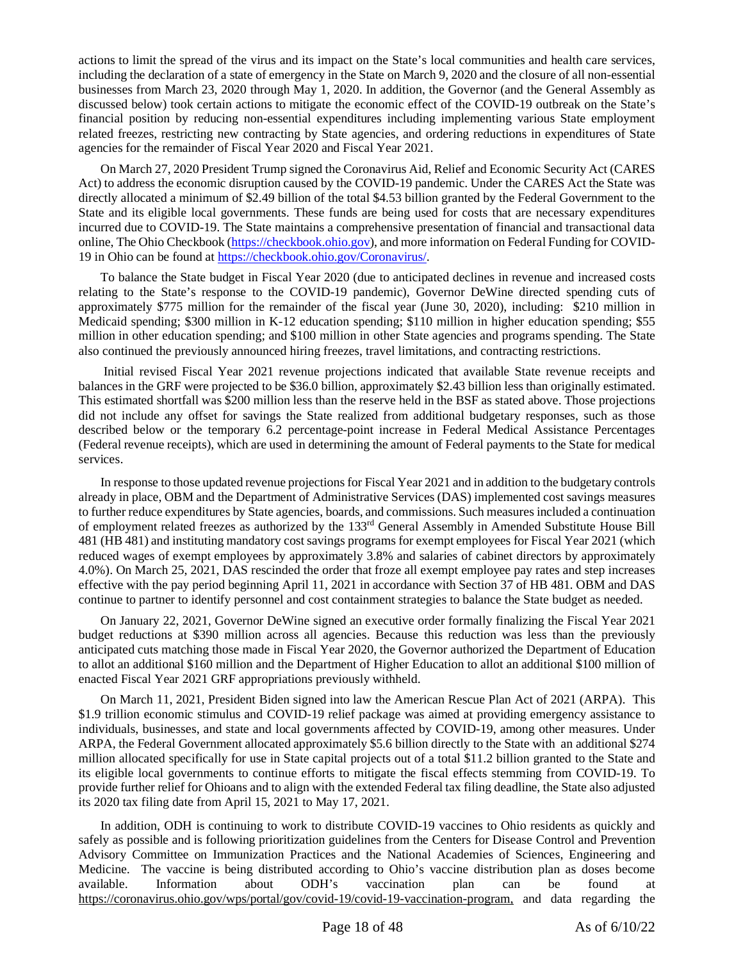actions to limit the spread of the virus and its impact on the State's local communities and health care services, including the declaration of a state of emergency in the State on March 9, 2020 and the closure of all non-essential businesses from March 23, 2020 through May 1, 2020. In addition, the Governor (and the General Assembly as discussed below) took certain actions to mitigate the economic effect of the COVID-19 outbreak on the State's financial position by reducing non-essential expenditures including implementing various State employment related freezes, restricting new contracting by State agencies, and ordering reductions in expenditures of State agencies for the remainder of Fiscal Year 2020 and Fiscal Year 2021.

On March 27, 2020 President Trump signed the Coronavirus Aid, Relief and Economic Security Act (CARES Act) to address the economic disruption caused by the COVID-19 pandemic. Under the CARES Act the State was directly allocated a minimum of \$2.49 billion of the total \$4.53 billion granted by the Federal Government to the State and its eligible local governments. These funds are being used for costs that are necessary expenditures incurred due to COVID-19. The State maintains a comprehensive presentation of financial and transactional data online, The Ohio Checkbook [\(https://checkbook.ohio.gov](https://checkbook.ohio.gov/)), and more information on Federal Funding for COVID-19 in Ohio can be found at <https://checkbook.ohio.gov/Coronavirus/>.

To balance the State budget in Fiscal Year 2020 (due to anticipated declines in revenue and increased costs relating to the State's response to the COVID-19 pandemic), Governor DeWine directed spending cuts of approximately \$775 million for the remainder of the fiscal year (June 30, 2020), including: \$210 million in Medicaid spending; \$300 million in K-12 education spending; \$110 million in higher education spending; \$55 million in other education spending; and \$100 million in other State agencies and programs spending. The State also continued the previously announced hiring freezes, travel limitations, and contracting restrictions.

 Initial revised Fiscal Year 2021 revenue projections indicated that available State revenue receipts and balances in the GRF were projected to be \$36.0 billion, approximately \$2.43 billion less than originally estimated. This estimated shortfall was \$200 million less than the reserve held in the BSF as stated above. Those projections did not include any offset for savings the State realized from additional budgetary responses, such as those described below or the temporary 6.2 percentage-point increase in Federal Medical Assistance Percentages (Federal revenue receipts), which are used in determining the amount of Federal payments to the State for medical services.

In response to those updated revenue projections for Fiscal Year 2021 and in addition to the budgetary controls already in place, OBM and the Department of Administrative Services (DAS) implemented cost savings measures to further reduce expenditures by State agencies, boards, and commissions. Such measures included a continuation of employment related freezes as authorized by the 133<sup>rd</sup> General Assembly in Amended Substitute House Bill 481 (HB 481) and instituting mandatory cost savings programs for exempt employees for Fiscal Year 2021 (which reduced wages of exempt employees by approximately 3.8% and salaries of cabinet directors by approximately 4.0%). On March 25, 2021, DAS rescinded the order that froze all exempt employee pay rates and step increases effective with the pay period beginning April 11, 2021 in accordance with Section 37 of HB 481. OBM and DAS continue to partner to identify personnel and cost containment strategies to balance the State budget as needed.

On January 22, 2021, Governor DeWine signed an executive order formally finalizing the Fiscal Year 2021 budget reductions at \$390 million across all agencies. Because this reduction was less than the previously anticipated cuts matching those made in Fiscal Year 2020, the Governor authorized the Department of Education to allot an additional \$160 million and the Department of Higher Education to allot an additional \$100 million of enacted Fiscal Year 2021 GRF appropriations previously withheld.

On March 11, 2021, President Biden signed into law the American Rescue Plan Act of 2021 (ARPA). This \$1.9 trillion economic stimulus and COVID-19 relief package was aimed at providing emergency assistance to individuals, businesses, and state and local governments affected by COVID-19, among other measures. Under ARPA, the Federal Government allocated approximately \$5.6 billion directly to the State with an additional \$274 million allocated specifically for use in State capital projects out of a total \$11.2 billion granted to the State and its eligible local governments to continue efforts to mitigate the fiscal effects stemming from COVID-19. To provide further relief for Ohioans and to align with the extended Federal tax filing deadline, the State also adjusted its 2020 tax filing date from April 15, 2021 to May 17, 2021.

In addition, ODH is continuing to work to distribute COVID-19 vaccines to Ohio residents as quickly and safely as possible and is following prioritization guidelines from the Centers for Disease Control and Prevention Advisory Committee on Immunization Practices and the National Academies of Sciences, Engineering and Medicine. The vaccine is being distributed according to Ohio's vaccine distribution plan as doses become available. Information about ODH's vaccination plan can be found at <https://coronavirus.ohio.gov/wps/portal/gov/covid-19/covid-19-vaccination-program>, and data regarding the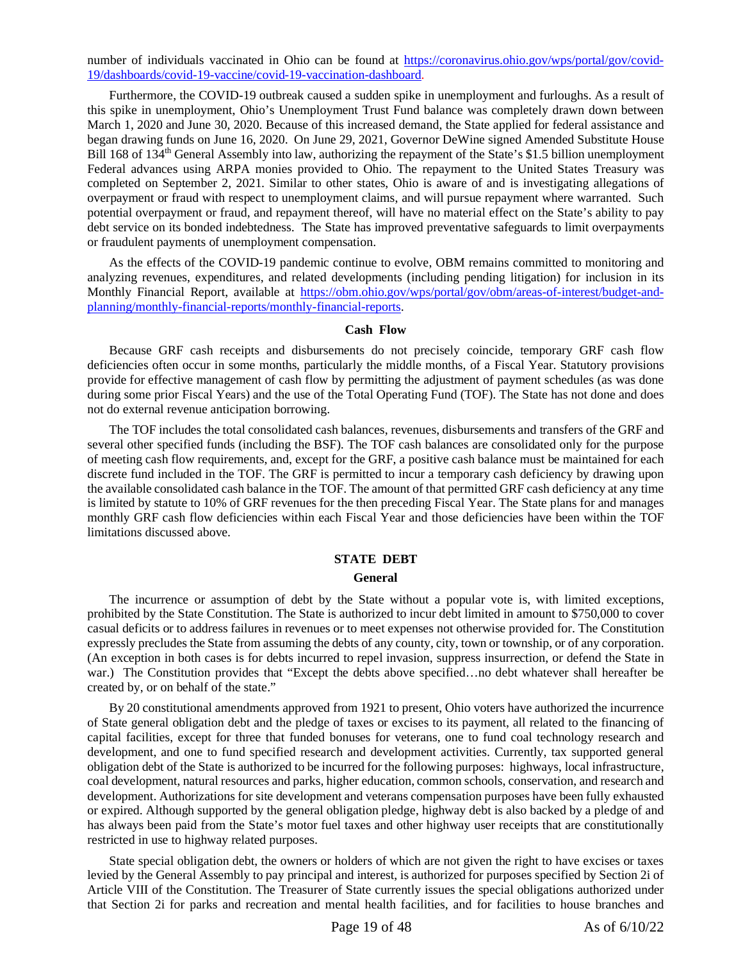number of individuals vaccinated in Ohio can be found at [https://coronavirus.ohio.gov/wps/portal/gov/covid-](https://coronavirus.ohio.gov/wps/portal/gov/covid-19/dashboards/covid-19-vaccine/covid-19-vaccination-dashboard)[19/dashboards/covid-19-vaccine/covid-19-vaccination-dashboard](https://coronavirus.ohio.gov/wps/portal/gov/covid-19/dashboards/covid-19-vaccine/covid-19-vaccination-dashboard).

Furthermore, the COVID-19 outbreak caused a sudden spike in unemployment and furloughs. As a result of this spike in unemployment, Ohio's Unemployment Trust Fund balance was completely drawn down between March 1, 2020 and June 30, 2020. Because of this increased demand, the State applied for federal assistance and began drawing funds on June 16, 2020. On June 29, 2021, Governor DeWine signed Amended Substitute House Bill 168 of 134<sup>th</sup> General Assembly into law, authorizing the repayment of the State's \$1.5 billion unemployment Federal advances using ARPA monies provided to Ohio. The repayment to the United States Treasury was completed on September 2, 2021. Similar to other states, Ohio is aware of and is investigating allegations of overpayment or fraud with respect to unemployment claims, and will pursue repayment where warranted. Such potential overpayment or fraud, and repayment thereof, will have no material effect on the State's ability to pay debt service on its bonded indebtedness. The State has improved preventative safeguards to limit overpayments or fraudulent payments of unemployment compensation.

As the effects of the COVID-19 pandemic continue to evolve, OBM remains committed to monitoring and analyzing revenues, expenditures, and related developments (including pending litigation) for inclusion in its Monthly Financial Report, available at [https://obm.ohio.gov/wps/portal/gov/obm/areas-of-interest/budget-and](https://obm.ohio.gov/wps/portal/gov/obm/areas-of-interest/budget-and-planning/monthly-financial-reports/monthly-financial-reports)[planning/monthly-financial-reports/monthly-financial-reports](https://obm.ohio.gov/wps/portal/gov/obm/areas-of-interest/budget-and-planning/monthly-financial-reports/monthly-financial-reports).

# **Cash Flow**

<span id="page-18-0"></span>Because GRF cash receipts and disbursements do not precisely coincide, temporary GRF cash flow deficiencies often occur in some months, particularly the middle months, of a Fiscal Year. Statutory provisions provide for effective management of cash flow by permitting the adjustment of payment schedules (as was done during some prior Fiscal Years) and the use of the Total Operating Fund (TOF). The State has not done and does not do external revenue anticipation borrowing.

The TOF includes the total consolidated cash balances, revenues, disbursements and transfers of the GRF and several other specified funds (including the BSF). The TOF cash balances are consolidated only for the purpose of meeting cash flow requirements, and, except for the GRF, a positive cash balance must be maintained for each discrete fund included in the TOF. The GRF is permitted to incur a temporary cash deficiency by drawing upon the available consolidated cash balance in the TOF. The amount of that permitted GRF cash deficiency at any time is limited by statute to 10% of GRF revenues for the then preceding Fiscal Year. The State plans for and manages monthly GRF cash flow deficiencies within each Fiscal Year and those deficiencies have been within the TOF limitations discussed above.

# <span id="page-18-1"></span>**STATE DEBT**

# **General**

<span id="page-18-2"></span>The incurrence or assumption of debt by the State without a popular vote is, with limited exceptions, prohibited by the State Constitution. The State is authorized to incur debt limited in amount to \$750,000 to cover casual deficits or to address failures in revenues or to meet expenses not otherwise provided for. The Constitution expressly precludes the State from assuming the debts of any county, city, town or township, or of any corporation. (An exception in both cases is for debts incurred to repel invasion, suppress insurrection, or defend the State in war.) The Constitution provides that "Except the debts above specified...no debt whatever shall hereafter be created by, or on behalf of the state."

By 20 constitutional amendments approved from 1921 to present, Ohio voters have authorized the incurrence of State general obligation debt and the pledge of taxes or excises to its payment, all related to the financing of capital facilities, except for three that funded bonuses for veterans, one to fund coal technology research and development, and one to fund specified research and development activities. Currently, tax supported general obligation debt of the State is authorized to be incurred for the following purposes: highways, local infrastructure, coal development, natural resources and parks, higher education, common schools, conservation, and research and development. Authorizations for site development and veterans compensation purposes have been fully exhausted or expired. Although supported by the general obligation pledge, highway debt is also backed by a pledge of and has always been paid from the State's motor fuel taxes and other highway user receipts that are constitutionally restricted in use to highway related purposes.

State special obligation debt, the owners or holders of which are not given the right to have excises or taxes levied by the General Assembly to pay principal and interest, is authorized for purposes specified by Section 2i of Article VIII of the Constitution. The Treasurer of State currently issues the special obligations authorized under that Section 2i for parks and recreation and mental health facilities, and for facilities to house branches and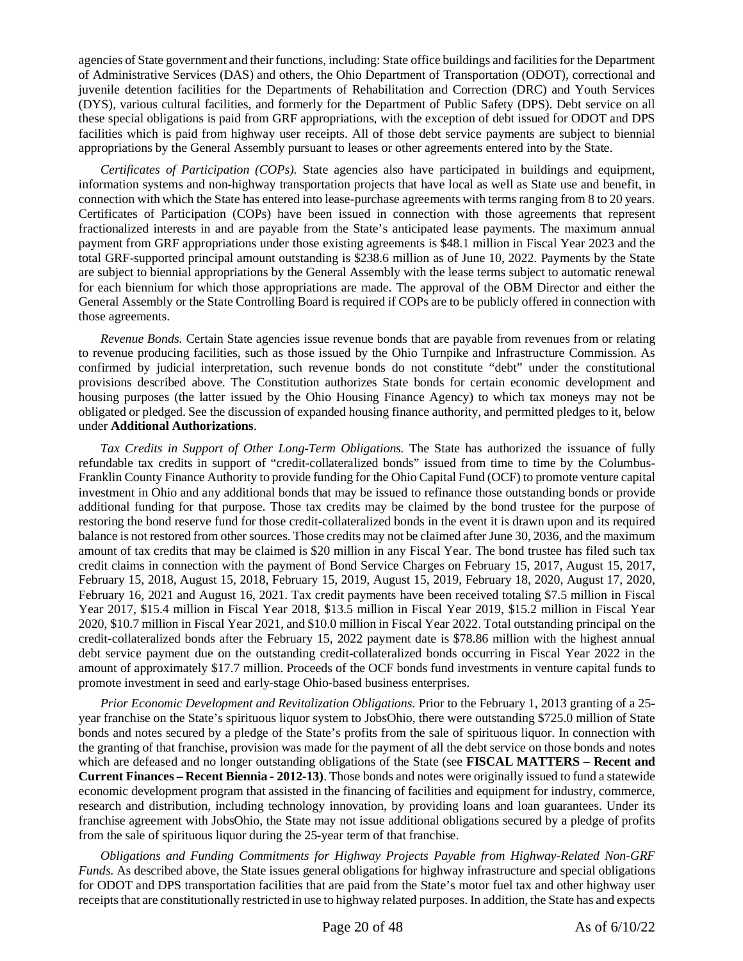agencies of State government and their functions, including: State office buildings and facilities for the Department of Administrative Services (DAS) and others, the Ohio Department of Transportation (ODOT), correctional and juvenile detention facilities for the Departments of Rehabilitation and Correction (DRC) and Youth Services (DYS), various cultural facilities, and formerly for the Department of Public Safety (DPS). Debt service on all these special obligations is paid from GRF appropriations, with the exception of debt issued for ODOT and DPS facilities which is paid from highway user receipts. All of those debt service payments are subject to biennial appropriations by the General Assembly pursuant to leases or other agreements entered into by the State.

*Certificates of Participation (COPs).* State agencies also have participated in buildings and equipment, information systems and non-highway transportation projects that have local as well as State use and benefit, in connection with which the State has entered into lease-purchase agreements with terms ranging from 8 to 20 years. Certificates of Participation (COPs) have been issued in connection with those agreements that represent fractionalized interests in and are payable from the State's anticipated lease payments. The maximum annual payment from GRF appropriations under those existing agreements is \$48.1 million in Fiscal Year 2023 and the total GRF-supported principal amount outstanding is \$238.6 million as of June 10, 2022. Payments by the State are subject to biennial appropriations by the General Assembly with the lease terms subject to automatic renewal for each biennium for which those appropriations are made. The approval of the OBM Director and either the General Assembly or the State Controlling Board is required if COPs are to be publicly offered in connection with those agreements.

*Revenue Bonds.* Certain State agencies issue revenue bonds that are payable from revenues from or relating to revenue producing facilities, such as those issued by the Ohio Turnpike and Infrastructure Commission. As confirmed by judicial interpretation, such revenue bonds do not constitute "debt" under the constitutional provisions described above. The Constitution authorizes State bonds for certain economic development and housing purposes (the latter issued by the Ohio Housing Finance Agency) to which tax moneys may not be obligated or pledged. See the discussion of expanded housing finance authority, and permitted pledges to it, below under **Additional Authorizations**.

*Tax Credits in Support of Other Long-Term Obligations.* The State has authorized the issuance of fully refundable tax credits in support of "credit-collateralized bonds" issued from time to time by the Columbus-Franklin County Finance Authority to provide funding for the Ohio Capital Fund (OCF) to promote venture capital investment in Ohio and any additional bonds that may be issued to refinance those outstanding bonds or provide additional funding for that purpose. Those tax credits may be claimed by the bond trustee for the purpose of restoring the bond reserve fund for those credit-collateralized bonds in the event it is drawn upon and its required balance is not restored from other sources. Those credits may not be claimed after June 30, 2036, and the maximum amount of tax credits that may be claimed is \$20 million in any Fiscal Year. The bond trustee has filed such tax credit claims in connection with the payment of Bond Service Charges on February 15, 2017, August 15, 2017, February 15, 2018, August 15, 2018, February 15, 2019, August 15, 2019, February 18, 2020, August 17, 2020, February 16, 2021 and August 16, 2021. Tax credit payments have been received totaling \$7.5 million in Fiscal Year 2017, \$15.4 million in Fiscal Year 2018, \$13.5 million in Fiscal Year 2019, \$15.2 million in Fiscal Year 2020, \$10.7 million in Fiscal Year 2021, and \$10.0 million in Fiscal Year 2022. Total outstanding principal on the credit-collateralized bonds after the February 15, 2022 payment date is \$78.86 million with the highest annual debt service payment due on the outstanding credit-collateralized bonds occurring in Fiscal Year 2022 in the amount of approximately \$17.7 million. Proceeds of the OCF bonds fund investments in venture capital funds to promote investment in seed and early-stage Ohio-based business enterprises.

*Prior Economic Development and Revitalization Obligations.* Prior to the February 1, 2013 granting of a 25 year franchise on the State's spirituous liquor system to JobsOhio, there were outstanding \$725.0 million of State bonds and notes secured by a pledge of the State's profits from the sale of spirituous liquor. In connection with the granting of that franchise, provision was made for the payment of all the debt service on those bonds and notes which are defeased and no longer outstanding obligations of the State (see **FISCAL MATTERS – Recent and Current Finances – Recent Biennia - 2012-13)**. Those bonds and notes were originally issued to fund a statewide economic development program that assisted in the financing of facilities and equipment for industry, commerce, research and distribution, including technology innovation, by providing loans and loan guarantees. Under its franchise agreement with JobsOhio, the State may not issue additional obligations secured by a pledge of profits from the sale of spirituous liquor during the 25-year term of that franchise.

*Obligations and Funding Commitments for Highway Projects Payable from Highway-Related Non-GRF Funds.* As described above, the State issues general obligations for highway infrastructure and special obligations for ODOT and DPS transportation facilities that are paid from the State's motor fuel tax and other highway user receipts that are constitutionally restricted in use to highway related purposes. In addition, the State has and expects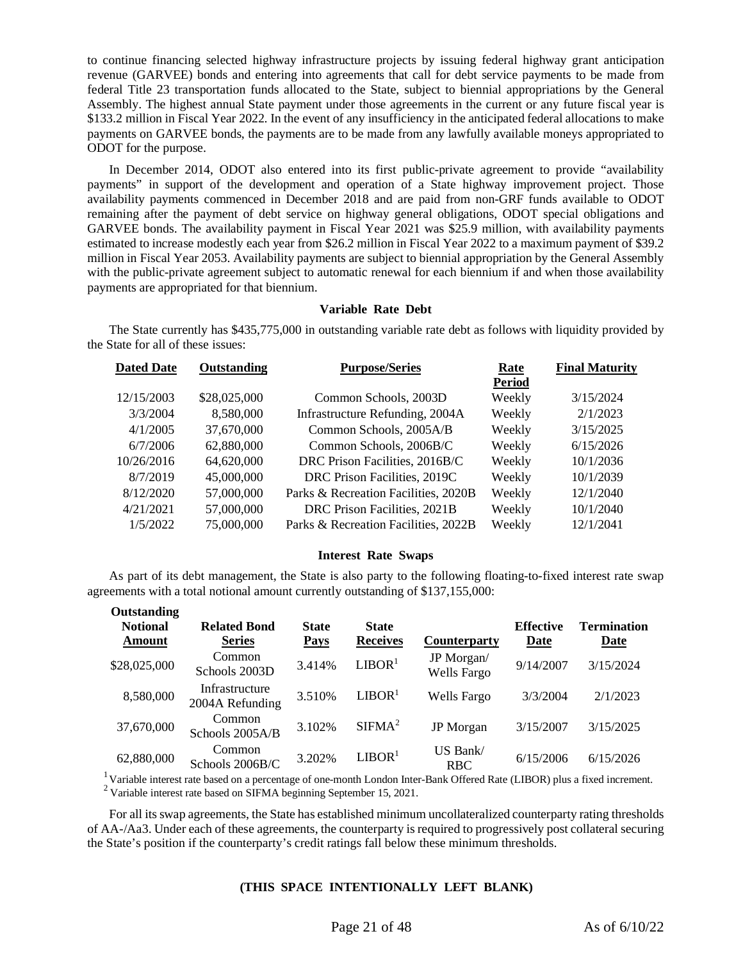to continue financing selected highway infrastructure projects by issuing federal highway grant anticipation revenue (GARVEE) bonds and entering into agreements that call for debt service payments to be made from federal Title 23 transportation funds allocated to the State, subject to biennial appropriations by the General Assembly. The highest annual State payment under those agreements in the current or any future fiscal year is \$133.2 million in Fiscal Year 2022. In the event of any insufficiency in the anticipated federal allocations to make payments on GARVEE bonds, the payments are to be made from any lawfully available moneys appropriated to ODOT for the purpose.

In December 2014, ODOT also entered into its first public-private agreement to provide "availability payments" in support of the development and operation of a State highway improvement project. Those availability payments commenced in December 2018 and are paid from non-GRF funds available to ODOT remaining after the payment of debt service on highway general obligations, ODOT special obligations and GARVEE bonds. The availability payment in Fiscal Year 2021 was \$25.9 million, with availability payments estimated to increase modestly each year from \$26.2 million in Fiscal Year 2022 to a maximum payment of \$39.2 million in Fiscal Year 2053. Availability payments are subject to biennial appropriation by the General Assembly with the public-private agreement subject to automatic renewal for each biennium if and when those availability payments are appropriated for that biennium.

# **Variable Rate Debt**

The State currently has \$435,775,000 in outstanding variable rate debt as follows with liquidity provided by the State for all of these issues:

<span id="page-20-0"></span>

| Outstanding<br><b>Dated Date</b> |              | <b>Purpose/Series</b>                | Rate          | <b>Final Maturity</b> |
|----------------------------------|--------------|--------------------------------------|---------------|-----------------------|
|                                  |              |                                      | <b>Period</b> |                       |
| 12/15/2003                       | \$28,025,000 | Common Schools, 2003D                | Weekly        | 3/15/2024             |
| 3/3/2004                         | 8,580,000    | Infrastructure Refunding, 2004A      | Weekly        | 2/1/2023              |
| 4/1/2005                         | 37,670,000   | Common Schools, 2005A/B              | Weekly        | 3/15/2025             |
| 6/7/2006                         | 62,880,000   | Common Schools, 2006B/C              | Weekly        | 6/15/2026             |
| 10/26/2016                       | 64,620,000   | DRC Prison Facilities, 2016B/C       | Weekly        | 10/1/2036             |
| 8/7/2019                         | 45,000,000   | DRC Prison Facilities, 2019C         | Weekly        | 10/1/2039             |
| 8/12/2020                        | 57,000,000   | Parks & Recreation Facilities, 2020B | Weekly        | 12/1/2040             |
| 4/21/2021                        | 57,000,000   | DRC Prison Facilities, 2021B         | Weekly        | 10/1/2040             |
| 1/5/2022                         | 75,000,000   | Parks & Recreation Facilities, 2022B | Weekly        | 12/1/2041             |

#### **Interest Rate Swaps**

<span id="page-20-1"></span>As part of its debt management, the State is also party to the following floating-to-fixed interest rate swap agreements with a total notional amount currently outstanding of \$137,155,000:

| Outstanding<br><b>Notional</b><br>Amount | <b>Related Bond</b><br><b>Series</b> | <b>State</b><br><b>Pays</b> | <b>State</b><br><b>Receives</b> | <b>Counterparty</b>              | <b>Effective</b><br>Date | <b>Termination</b><br>Date |
|------------------------------------------|--------------------------------------|-----------------------------|---------------------------------|----------------------------------|--------------------------|----------------------------|
| \$28,025,000                             | Common<br>Schools 2003D              | 3.414%                      | LIBOR <sup>1</sup>              | JP Morgan/<br><b>Wells Fargo</b> | 9/14/2007                | 3/15/2024                  |
| 8,580,000                                | Infrastructure<br>2004A Refunding    | 3.510\%                     | LIBOR <sup>1</sup>              | Wells Fargo                      | 3/3/2004                 | 2/1/2023                   |
| 37,670,000                               | Common<br>Schools 2005A/B            | 3.102%                      | SIFMA <sup>2</sup>              | <b>JP</b> Morgan                 | 3/15/2007                | 3/15/2025                  |
| 62,880,000                               | Common<br>Schools $2006B/C$          | 3.202%                      | LIBOR <sup>1</sup>              | US Bank/<br><b>RBC</b>           | 6/15/2006                | 6/15/2026                  |

<sup>1</sup>Variable interest rate based on a percentage of one-month London Inter-Bank Offered Rate (LIBOR) plus a fixed increment. <sup>2</sup> Variable interest rate based on SIFMA beginning September 15, 2021.

For all its swap agreements, the State has established minimum uncollateralized counterparty rating thresholds of AA-/Aa3. Under each of these agreements, the counterparty is required to progressively post collateral securing the State's position if the counterparty's credit ratings fall below these minimum thresholds.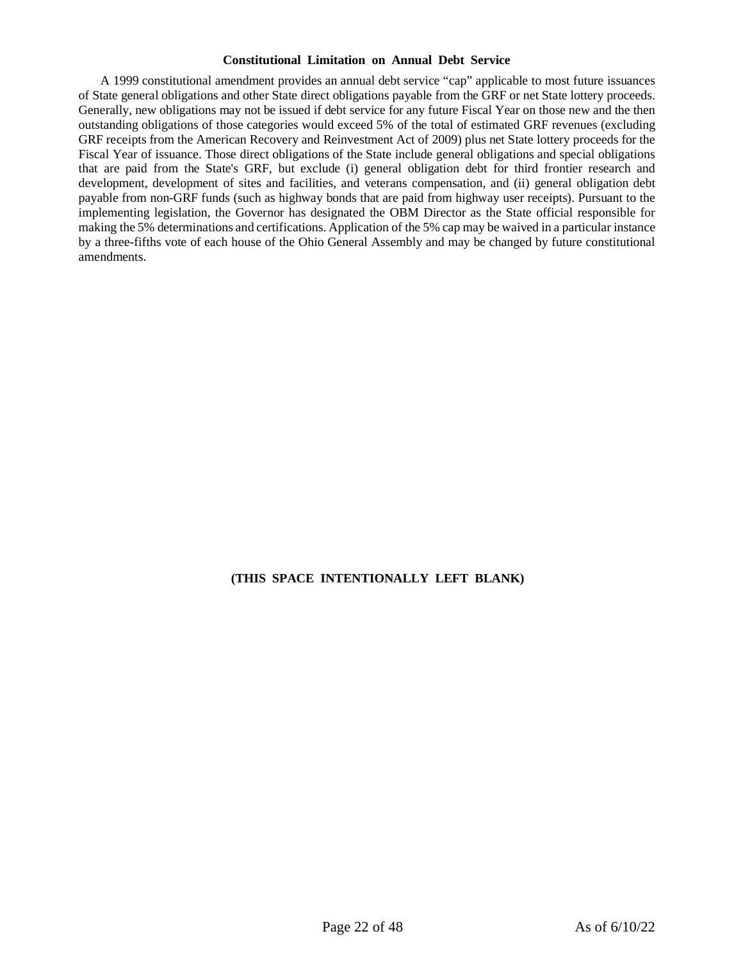### **Constitutional Limitation on Annual Debt Service**

<span id="page-21-0"></span>A 1999 constitutional amendment provides an annual debt service "cap" applicable to most future issuances of State general obligations and other State direct obligations payable from the GRF or net State lottery proceeds. Generally, new obligations may not be issued if debt service for any future Fiscal Year on those new and the then outstanding obligations of those categories would exceed 5% of the total of estimated GRF revenues (excluding GRF receipts from the American Recovery and Reinvestment Act of 2009) plus net State lottery proceeds for the Fiscal Year of issuance. Those direct obligations of the State include general obligations and special obligations that are paid from the State's GRF, but exclude (i) general obligation debt for third frontier research and development, development of sites and facilities, and veterans compensation, and (ii) general obligation debt payable from non-GRF funds (such as highway bonds that are paid from highway user receipts). Pursuant to the implementing legislation, the Governor has designated the OBM Director as the State official responsible for making the 5% determinations and certifications. Application of the 5% cap may be waived in a particular instance by a three-fifths vote of each house of the Ohio General Assembly and may be changed by future constitutional amendments.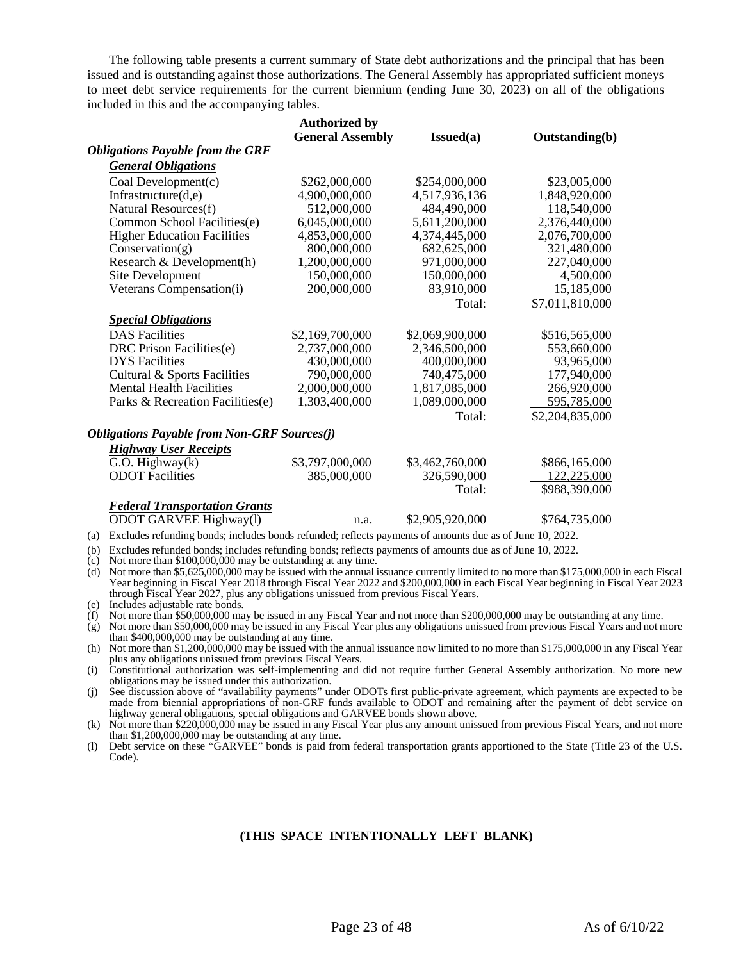The following table presents a current summary of State debt authorizations and the principal that has been issued and is outstanding against those authorizations. The General Assembly has appropriated sufficient moneys to meet debt service requirements for the current biennium (ending June 30, 2023) on all of the obligations included in this and the accompanying tables.

|                                                    | <b>Authorized by</b>    |                 |                       |
|----------------------------------------------------|-------------------------|-----------------|-----------------------|
|                                                    | <b>General Assembly</b> | Is sued(a)      | <b>Outstanding(b)</b> |
| <b>Obligations Payable from the GRF</b>            |                         |                 |                       |
| <b>General Obligations</b>                         |                         |                 |                       |
| Coal Development(c)                                | \$262,000,000           | \$254,000,000   | \$23,005,000          |
| Infrastructure $(d,e)$                             | 4,900,000,000           | 4,517,936,136   | 1,848,920,000         |
| Natural Resources(f)                               | 512,000,000             | 484,490,000     | 118,540,000           |
| Common School Facilities(e)                        | 6,045,000,000           | 5,611,200,000   | 2,376,440,000         |
| <b>Higher Education Facilities</b>                 | 4,853,000,000           | 4,374,445,000   | 2,076,700,000         |
| Conservation(g)                                    | 800,000,000             | 682,625,000     | 321,480,000           |
| Research & Development(h)                          | 1,200,000,000           | 971,000,000     | 227,040,000           |
| Site Development                                   | 150,000,000             | 150,000,000     | 4,500,000             |
| Veterans Compensation(i)                           | 200,000,000             | 83,910,000      | 15,185,000            |
|                                                    |                         | Total:          | \$7,011,810,000       |
| <b>Special Obligations</b>                         |                         |                 |                       |
| <b>DAS</b> Facilities                              | \$2,169,700,000         | \$2,069,900,000 | \$516,565,000         |
| DRC Prison Facilities(e)                           | 2,737,000,000           | 2,346,500,000   | 553,660,000           |
| <b>DYS</b> Facilities                              | 430,000,000             | 400,000,000     | 93,965,000            |
| Cultural & Sports Facilities                       | 790,000,000             | 740,475,000     | 177,940,000           |
| <b>Mental Health Facilities</b>                    | 2,000,000,000           | 1,817,085,000   | 266,920,000           |
| Parks & Recreation Facilities(e)                   | 1,303,400,000           | 1,089,000,000   | 595,785,000           |
|                                                    |                         | Total:          | \$2,204,835,000       |
| <b>Obligations Payable from Non-GRF Sources(j)</b> |                         |                 |                       |
| <b>Highway User Receipts</b>                       |                         |                 |                       |
| $G.O.$ Highway $(k)$                               | \$3,797,000,000         | \$3,462,760,000 | \$866,165,000         |
| <b>ODOT</b> Facilities                             | 385,000,000             | 326,590,000     | 122,225,000           |
|                                                    |                         | Total:          | \$988,390,000         |
| <b>Federal Transportation Grants</b>               |                         |                 |                       |
| ODOT GARVEE Highway(1)                             | n.a.                    | \$2,905,920,000 | \$764,735,000         |

- (a) Excludes refunding bonds; includes bonds refunded; reflects payments of amounts due as of June 10, 2022.
- (b) Excludes refunded bonds; includes refunding bonds; reflects payments of amounts due as of June 10, 2022.
- $(c)$  Not more than \$100,000,000 may be outstanding at any time.
- (d) Not more than \$5,625,000,000 may be issued with the annual issuance currently limited to no more than \$175,000,000 in each Fiscal Year beginning in Fiscal Year 2018 through Fiscal Year 2022 and \$200,000,000 in each Fiscal Year beginning in Fiscal Year 2023 through Fiscal Year 2027, plus any obligations unissued from previous Fiscal Years.
- (e) Includes adjustable rate bonds.
- (f) Not more than \$50,000,000 may be issued in any Fiscal Year and not more than \$200,000,000 may be outstanding at any time.
- (g) Not more than \$50,000,000 may be issued in any Fiscal Year plus any obligations unissued from previous Fiscal Years and not more than \$400,000,000 may be outstanding at any time.
- (h) Not more than \$1,200,000,000 may be issued with the annual issuance now limited to no more than \$175,000,000 in any Fiscal Year plus any obligations unissued from previous Fiscal Years.
- (i) Constitutional authorization was self-implementing and did not require further General Assembly authorization. No more new obligations may be issued under this authorization.
- (j) See discussion above of "availability payments" under ODOTs first public-private agreement, which payments are expected to be made from biennial appropriations of non-GRF funds available to ODOT and remaining after the payment of debt service on highway general obligations, special obligations and GARVEE bonds shown above.
- (k) Not more than \$220,000,000 may be issued in any Fiscal Year plus any amount unissued from previous Fiscal Years, and not more than \$1,200,000,000 may be outstanding at any time.
- (l) Debt service on these "GARVEE" bonds is paid from federal transportation grants apportioned to the State (Title 23 of the U.S. Code).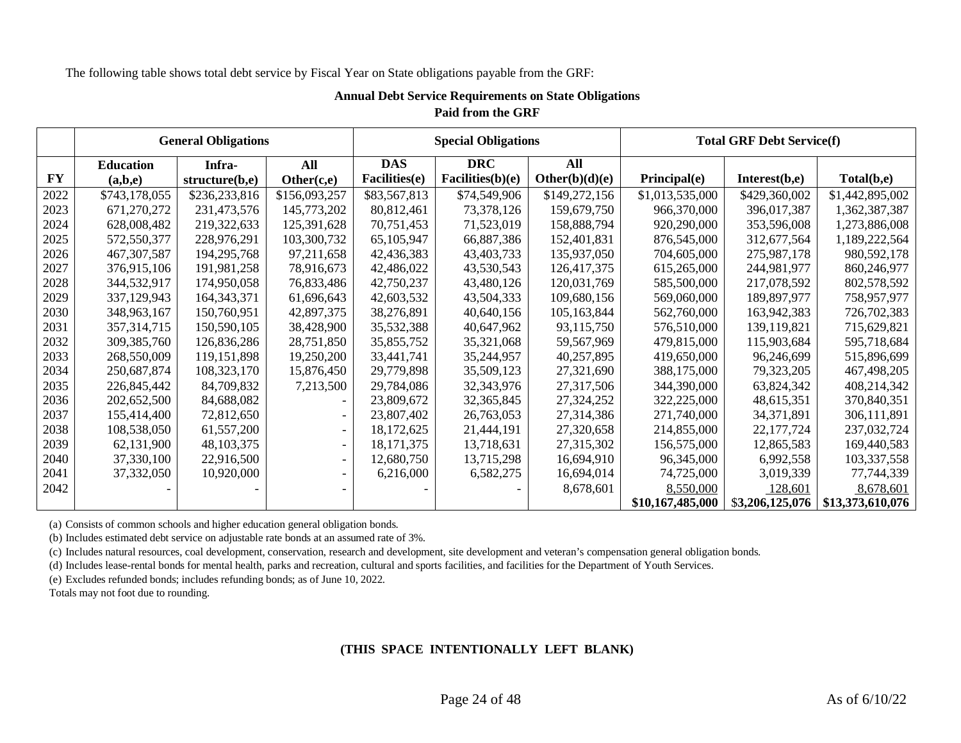The following table shows total debt service by Fiscal Year on State obligations payable from the GRF:

# **Annual Debt Service Requirements on State Obligations Paid from the GRF**

<span id="page-23-0"></span>

|           |                  | <b>General Obligations</b> |                          |               | <b>Special Obligations</b> |                |                  | <b>Total GRF Debt Service(f)</b> |                  |
|-----------|------------------|----------------------------|--------------------------|---------------|----------------------------|----------------|------------------|----------------------------------|------------------|
|           | <b>Education</b> | Infra-                     | All                      | <b>DAS</b>    | <b>DRC</b>                 | All            |                  |                                  |                  |
| <b>FY</b> | (a,b,e)          | structure(b,e)             | Other(c,e)               | Facilities(e) | Facilities(b)(e)           | Other(b)(d)(e) | Principal(e)     | Interest(b,e)                    | Total(b,e)       |
| 2022      | \$743,178,055    | \$236,233,816              | \$156,093,257            | \$83,567,813  | \$74,549,906               | \$149,272,156  | \$1,013,535,000  | \$429,360,002                    | \$1,442,895,002  |
| 2023      | 671,270,272      | 231,473,576                | 145,773,202              | 80,812,461    | 73,378,126                 | 159,679,750    | 966,370,000      | 396,017,387                      | 1,362,387,387    |
| 2024      | 628,008,482      | 219,322,633                | 125,391,628              | 70,751,453    | 71,523,019                 | 158,888,794    | 920,290,000      | 353,596,008                      | 1,273,886,008    |
| 2025      | 572,550,377      | 228,976,291                | 103,300,732              | 65,105,947    | 66,887,386                 | 152,401,831    | 876,545,000      | 312,677,564                      | 1,189,222,564    |
| 2026      | 467, 307, 587    | 194, 295, 768              | 97,211,658               | 42,436,383    | 43,403,733                 | 135,937,050    | 704,605,000      | 275,987,178                      | 980,592,178      |
| 2027      | 376,915,106      | 191,981,258                | 78,916,673               | 42,486,022    | 43,530,543                 | 126,417,375    | 615,265,000      | 244,981,977                      | 860,246,977      |
| 2028      | 344,532,917      | 174,950,058                | 76,833,486               | 42,750,237    | 43,480,126                 | 120,031,769    | 585,500,000      | 217,078,592                      | 802,578,592      |
| 2029      | 337,129,943      | 164, 343, 371              | 61,696,643               | 42,603,532    | 43,504,333                 | 109,680,156    | 569,060,000      | 189,897,977                      | 758,957,977      |
| 2030      | 348,963,167      | 150,760,951                | 42,897,375               | 38,276,891    | 40,640,156                 | 105,163,844    | 562,760,000      | 163,942,383                      | 726,702,383      |
| 2031      | 357, 314, 715    | 150,590,105                | 38,428,900               | 35,532,388    | 40,647,962                 | 93,115,750     | 576,510,000      | 139,119,821                      | 715,629,821      |
| 2032      | 309, 385, 760    | 126,836,286                | 28,751,850               | 35,855,752    | 35,321,068                 | 59,567,969     | 479,815,000      | 115,903,684                      | 595,718,684      |
| 2033      | 268,550,009      | 119,151,898                | 19,250,200               | 33,441,741    | 35,244,957                 | 40,257,895     | 419,650,000      | 96,246,699                       | 515,896,699      |
| 2034      | 250,687,874      | 108,323,170                | 15,876,450               | 29,779,898    | 35,509,123                 | 27,321,690     | 388,175,000      | 79,323,205                       | 467,498,205      |
| 2035      | 226,845,442      | 84,709,832                 | 7,213,500                | 29,784,086    | 32,343,976                 | 27,317,506     | 344,390,000      | 63,824,342                       | 408,214,342      |
| 2036      | 202,652,500      | 84,688,082                 |                          | 23,809,672    | 32, 365, 845               | 27,324,252     | 322,225,000      | 48,615,351                       | 370,840,351      |
| 2037      | 155,414,400      | 72,812,650                 |                          | 23,807,402    | 26,763,053                 | 27,314,386     | 271,740,000      | 34, 371, 891                     | 306,111,891      |
| 2038      | 108,538,050      | 61,557,200                 | $\overline{\phantom{a}}$ | 18,172,625    | 21,444,191                 | 27,320,658     | 214,855,000      | 22, 177, 724                     | 237,032,724      |
| 2039      | 62,131,900       | 48, 103, 375               | $\overline{\phantom{a}}$ | 18, 171, 375  | 13,718,631                 | 27,315,302     | 156,575,000      | 12,865,583                       | 169,440,583      |
| 2040      | 37,330,100       | 22,916,500                 |                          | 12,680,750    | 13,715,298                 | 16,694,910     | 96,345,000       | 6,992,558                        | 103,337,558      |
| 2041      | 37,332,050       | 10,920,000                 |                          | 6,216,000     | 6,582,275                  | 16,694,014     | 74,725,000       | 3,019,339                        | 77,744,339       |
| 2042      |                  |                            |                          |               |                            | 8,678,601      | 8,550,000        | 128,601                          | 8,678,601        |
|           |                  |                            |                          |               |                            |                | \$10,167,485,000 | \$3,206,125,076                  | \$13,373,610,076 |

(a) Consists of common schools and higher education general obligation bonds.

(b) Includes estimated debt service on adjustable rate bonds at an assumed rate of 3%.

(c) Includes natural resources, coal development, conservation, research and development, site development and veteran's compensation general obligation bonds.

(d) Includes lease-rental bonds for mental health, parks and recreation, cultural and sports facilities, and facilities for the Department of Youth Services.

(e) Excludes refunded bonds; includes refunding bonds; as of June 10, 2022.

Totals may not foot due to rounding.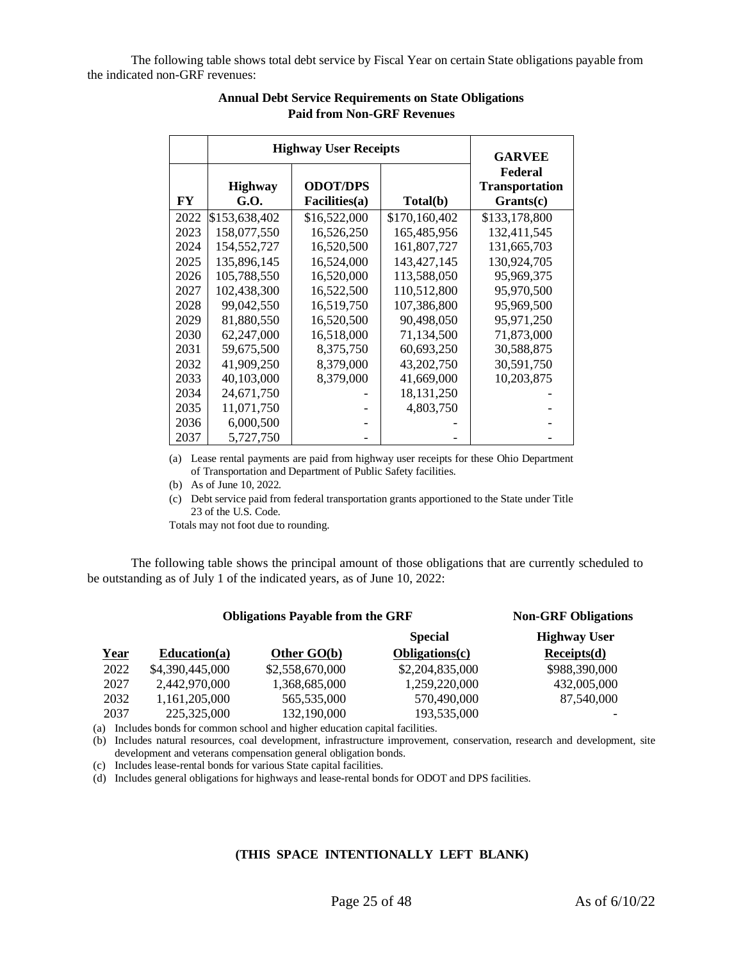<span id="page-24-0"></span>The following table shows total debt service by Fiscal Year on certain State obligations payable from the indicated non-GRF revenues:

|      | <b>Highway User Receipts</b> | <b>GARVEE</b>                    |               |                                                 |
|------|------------------------------|----------------------------------|---------------|-------------------------------------------------|
| FY   | <b>Highway</b><br>G.O.       | <b>ODOT/DPS</b><br>Facilities(a) | Total(b)      | Federal<br><b>Transportation</b><br>$Grants(c)$ |
| 2022 | \$153,638,402                | \$16,522,000                     | \$170,160,402 | \$133,178,800                                   |
| 2023 | 158,077,550                  | 16,526,250                       | 165,485,956   | 132,411,545                                     |
| 2024 | 154,552,727                  | 16,520,500                       | 161,807,727   | 131,665,703                                     |
| 2025 | 135,896,145                  | 16,524,000                       | 143, 427, 145 | 130,924,705                                     |
| 2026 | 105,788,550                  | 16,520,000                       | 113,588,050   | 95,969,375                                      |
| 2027 | 102,438,300                  | 16,522,500                       | 110,512,800   | 95,970,500                                      |
| 2028 | 99,042,550                   | 16,519,750                       | 107,386,800   | 95,969,500                                      |
| 2029 | 81,880,550                   | 16,520,500                       | 90,498,050    | 95,971,250                                      |
| 2030 | 62,247,000                   | 16,518,000                       | 71,134,500    | 71,873,000                                      |
| 2031 | 59,675,500                   | 8,375,750                        | 60,693,250    | 30,588,875                                      |
| 2032 | 41,909,250                   | 8,379,000                        | 43,202,750    | 30,591,750                                      |
| 2033 | 40,103,000                   | 8,379,000                        | 41,669,000    | 10,203,875                                      |
| 2034 | 24,671,750                   |                                  | 18, 131, 250  |                                                 |
| 2035 | 11,071,750                   |                                  | 4,803,750     |                                                 |
| 2036 | 6,000,500                    |                                  |               |                                                 |
| 2037 | 5,727,750                    |                                  |               |                                                 |

# **Annual Debt Service Requirements on State Obligations Paid from Non-GRF Revenues**

(a) Lease rental payments are paid from highway user receipts for these Ohio Department of Transportation and Department of Public Safety facilities.

(b) As of June 10, 2022.

(c) Debt service paid from federal transportation grants apportioned to the State under Title 23 of the U.S. Code.

Totals may not foot due to rounding.

The following table shows the principal amount of those obligations that are currently scheduled to be outstanding as of July 1 of the indicated years, as of June 10, 2022:

# **Obligations Payable from the GRF <b>Non-GRF Obligations**

|             |                 |                 | <b>Special</b>  | <b>Highway User</b> |
|-------------|-----------------|-----------------|-----------------|---------------------|
| <u>Year</u> | Education(a)    | Other $GO(b)$   | Obligations(c)  | Receipts(d)         |
| 2022        | \$4,390,445,000 | \$2,558,670,000 | \$2,204,835,000 | \$988,390,000       |
| 2027        | 2.442.970.000   | 1,368,685,000   | 1.259.220.000   | 432,005,000         |
| 2032        | 1.161.205.000   | 565,535,000     | 570,490,000     | 87,540,000          |
| 2037        | 225,325,000     | 132,190,000     | 193,535,000     |                     |

(a) Includes bonds for common school and higher education capital facilities.

(b) Includes natural resources, coal development, infrastructure improvement, conservation, research and development, site development and veterans compensation general obligation bonds.

(c) Includes lease-rental bonds for various State capital facilities.

(d) Includes general obligations for highways and lease-rental bonds for ODOT and DPS facilities.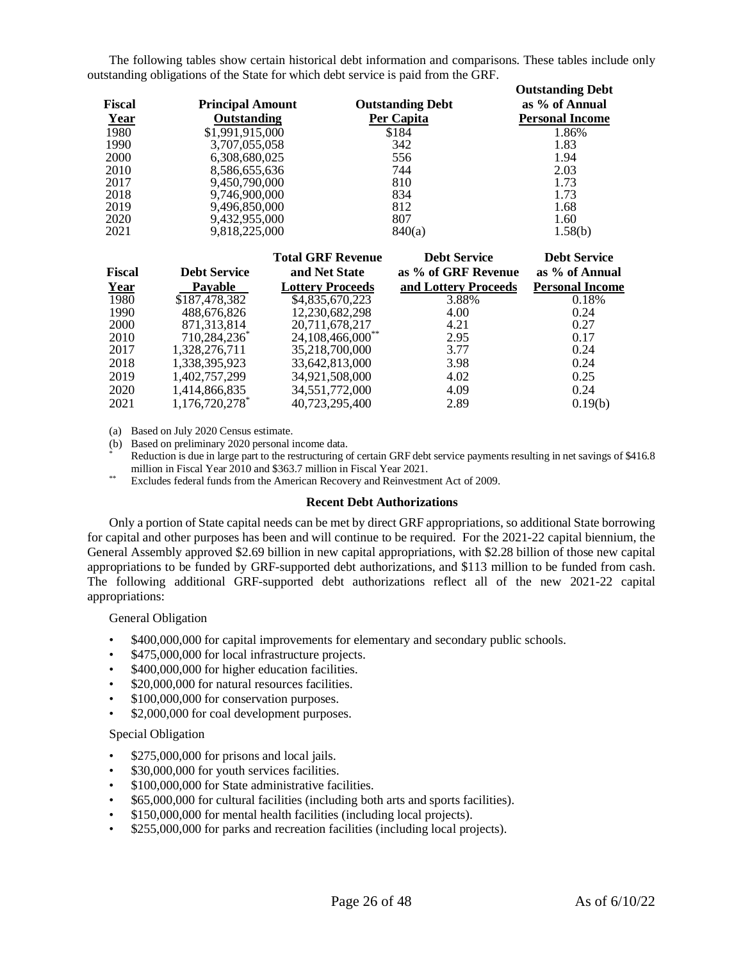The following tables show certain historical debt information and comparisons. These tables include only outstanding obligations of the State for which debt service is paid from the GRF.

|               |                         |                         | <b>Outstanding Debt</b> |
|---------------|-------------------------|-------------------------|-------------------------|
| <b>Fiscal</b> | <b>Principal Amount</b> | <b>Outstanding Debt</b> | as % of Annual          |
| <u>Year</u>   | Outstanding             | Per Capita              | <b>Personal Income</b>  |
| 1980          | \$1,991,915,000         | \$184                   | 1.86%                   |
| 1990          | 3,707,055,058           | 342                     | 1.83                    |
| <b>2000</b>   | 6,308,680,025           | 556                     | 1.94                    |
| 2010          | 8,586,655,636           | 744                     | 2.03                    |
| 2017          | 9,450,790,000           | 810                     | 1.73                    |
| 2018          | 9,746,900,000           | 834                     | 1.73                    |
| 2019          | 9,496,850,000           | 812                     | 1.68                    |
| 2020          | 9,432,955,000           | 807                     | 1.60                    |
| 2021          | 9,818,225,000           | 840(a)                  | 1.58(b)                 |

| <b>Fiscal</b> | <b>Debt Service</b> | <b>Total GRF Revenue</b><br>and Net State | <b>Debt Service</b><br>as % of GRF Revenue | <b>Debt Service</b><br>as % of Annual |
|---------------|---------------------|-------------------------------------------|--------------------------------------------|---------------------------------------|
| Year          | <b>Pavable</b>      | <b>Lottery Proceeds</b>                   | and Lottery Proceeds                       | <b>Personal Income</b>                |
| 1980          | \$187,478,382       | \$4,835,670,223                           | 3.88%                                      | 0.18%                                 |
| 1990          | 488,676,826         | 12,230,682,298                            | 4.00                                       | 0.24                                  |
| 2000          | 871,313,814         | 20,711,678,217                            | 4.21                                       | 0.27                                  |
| 2010          | 710,284,236*        | 24,108,466,000**                          | 2.95                                       | 0.17                                  |
| 2017          | 1,328,276,711       | 35,218,700,000                            | 3.77                                       | 0.24                                  |
| 2018          | 1,338,395,923       | 33,642,813,000                            | 3.98                                       | 0.24                                  |
| 2019          | 1,402,757,299       | 34,921,508,000                            | 4.02                                       | 0.25                                  |
| 2020          | 1,414,866,835       | 34,551,772,000                            | 4.09                                       | 0.24                                  |
| 2021          | 1,176,720,278*      | 40,723,295,400                            | 2.89                                       | 0.19(b)                               |

(a) Based on July 2020 Census estimate.

(b) Based on preliminary 2020 personal income data.

Reduction is due in large part to the restructuring of certain GRF debt service payments resulting in net savings of \$416.8 million in Fiscal Year 2010 and \$363.7 million in Fiscal Year 2021.

\*\* Excludes federal funds from the American Recovery and Reinvestment Act of 2009.

#### **Recent Debt Authorizations**

<span id="page-25-0"></span>Only a portion of State capital needs can be met by direct GRF appropriations, so additional State borrowing for capital and other purposes has been and will continue to be required. For the 2021-22 capital biennium, the General Assembly approved \$2.69 billion in new capital appropriations, with \$2.28 billion of those new capital appropriations to be funded by GRF-supported debt authorizations, and \$113 million to be funded from cash. The following additional GRF-supported debt authorizations reflect all of the new 2021-22 capital appropriations:

General Obligation

- \$400,000,000 for capital improvements for elementary and secondary public schools.
- \$475,000,000 for local infrastructure projects.
- \$400,000,000 for higher education facilities.
- \$20,000,000 for natural resources facilities.
- \$100,000,000 for conservation purposes.
- \$2,000,000 for coal development purposes.

# Special Obligation

- \$275,000,000 for prisons and local jails.
- \$30,000,000 for youth services facilities.
- \$100,000,000 for State administrative facilities.
- \$65,000,000 for cultural facilities (including both arts and sports facilities).
- \$150,000,000 for mental health facilities (including local projects).
- \$255,000,000 for parks and recreation facilities (including local projects).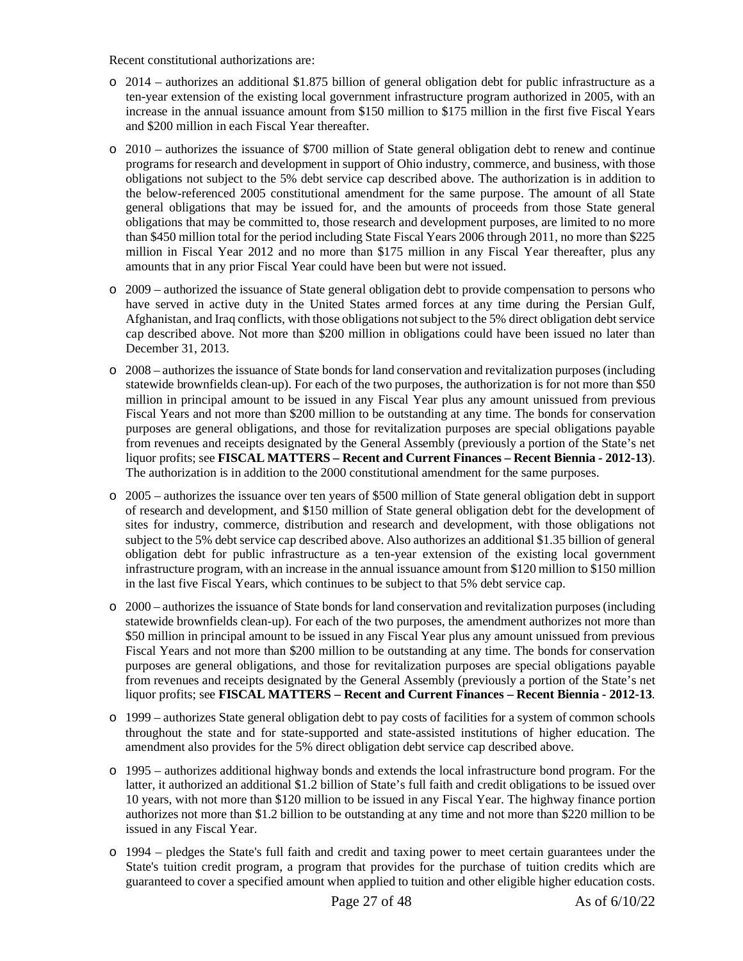Recent constitutional authorizations are:

- o 2014 authorizes an additional \$1.875 billion of general obligation debt for public infrastructure as a ten-year extension of the existing local government infrastructure program authorized in 2005, with an increase in the annual issuance amount from \$150 million to \$175 million in the first five Fiscal Years and \$200 million in each Fiscal Year thereafter.
- o 2010 authorizes the issuance of \$700 million of State general obligation debt to renew and continue programs for research and development in support of Ohio industry, commerce, and business, with those obligations not subject to the 5% debt service cap described above. The authorization is in addition to the below-referenced 2005 constitutional amendment for the same purpose. The amount of all State general obligations that may be issued for, and the amounts of proceeds from those State general obligations that may be committed to, those research and development purposes, are limited to no more than \$450 million total for the period including State Fiscal Years 2006 through 2011, no more than \$225 million in Fiscal Year 2012 and no more than \$175 million in any Fiscal Year thereafter, plus any amounts that in any prior Fiscal Year could have been but were not issued.
- o 2009 authorized the issuance of State general obligation debt to provide compensation to persons who have served in active duty in the United States armed forces at any time during the Persian Gulf, Afghanistan, and Iraq conflicts, with those obligations not subject to the 5% direct obligation debt service cap described above. Not more than \$200 million in obligations could have been issued no later than December 31, 2013.
- o 2008 authorizes the issuance of State bonds for land conservation and revitalization purposes (including statewide brownfields clean-up). For each of the two purposes, the authorization is for not more than \$50 million in principal amount to be issued in any Fiscal Year plus any amount unissued from previous Fiscal Years and not more than \$200 million to be outstanding at any time. The bonds for conservation purposes are general obligations, and those for revitalization purposes are special obligations payable from revenues and receipts designated by the General Assembly (previously a portion of the State's net liquor profits; see **FISCAL MATTERS – Recent and Current Finances – Recent Biennia - 2012-13**). The authorization is in addition to the 2000 constitutional amendment for the same purposes.
- o 2005 authorizes the issuance over ten years of \$500 million of State general obligation debt in support of research and development, and \$150 million of State general obligation debt for the development of sites for industry, commerce, distribution and research and development, with those obligations not subject to the 5% debt service cap described above. Also authorizes an additional \$1.35 billion of general obligation debt for public infrastructure as a ten-year extension of the existing local government infrastructure program, with an increase in the annual issuance amount from \$120 million to \$150 million in the last five Fiscal Years, which continues to be subject to that 5% debt service cap.
- o 2000 authorizes the issuance of State bonds for land conservation and revitalization purposes (including statewide brownfields clean-up). For each of the two purposes, the amendment authorizes not more than \$50 million in principal amount to be issued in any Fiscal Year plus any amount unissued from previous Fiscal Years and not more than \$200 million to be outstanding at any time. The bonds for conservation purposes are general obligations, and those for revitalization purposes are special obligations payable from revenues and receipts designated by the General Assembly (previously a portion of the State's net liquor profits; see **FISCAL MATTERS – Recent and Current Finances – Recent Biennia - 2012-13**.
- o 1999 authorizes State general obligation debt to pay costs of facilities for a system of common schools throughout the state and for state-supported and state-assisted institutions of higher education. The amendment also provides for the 5% direct obligation debt service cap described above.
- o 1995 authorizes additional highway bonds and extends the local infrastructure bond program. For the latter, it authorized an additional \$1.2 billion of State's full faith and credit obligations to be issued over 10 years, with not more than \$120 million to be issued in any Fiscal Year. The highway finance portion authorizes not more than \$1.2 billion to be outstanding at any time and not more than \$220 million to be issued in any Fiscal Year.
- o 1994 pledges the State's full faith and credit and taxing power to meet certain guarantees under the State's tuition credit program, a program that provides for the purchase of tuition credits which are guaranteed to cover a specified amount when applied to tuition and other eligible higher education costs.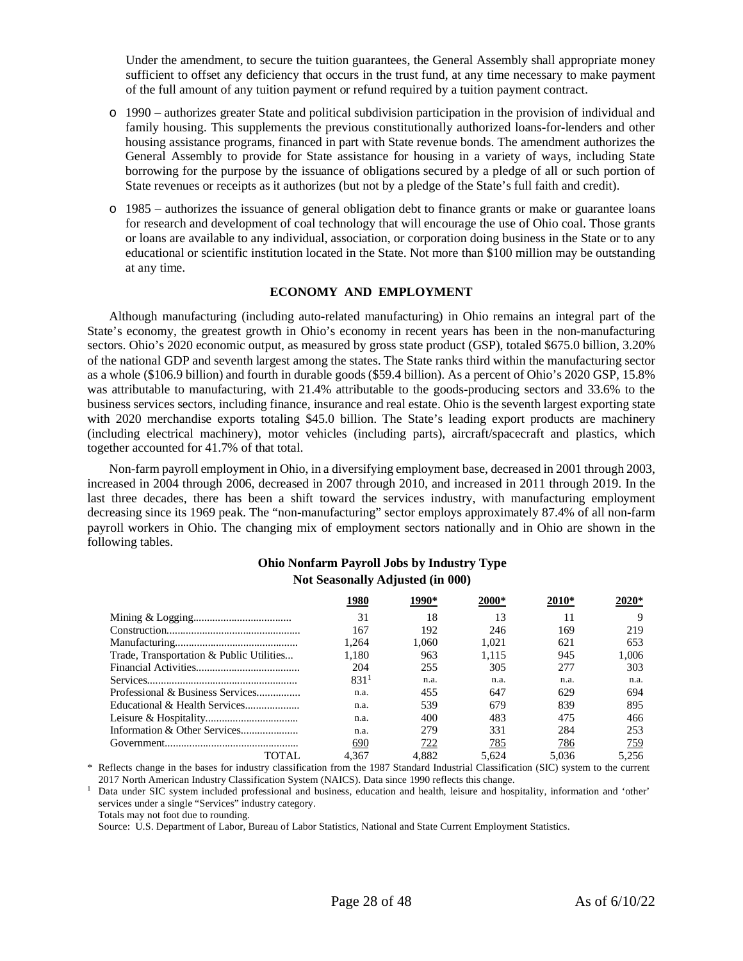Under the amendment, to secure the tuition guarantees, the General Assembly shall appropriate money sufficient to offset any deficiency that occurs in the trust fund, at any time necessary to make payment of the full amount of any tuition payment or refund required by a tuition payment contract.

- o 1990 authorizes greater State and political subdivision participation in the provision of individual and family housing. This supplements the previous constitutionally authorized loans-for-lenders and other housing assistance programs, financed in part with State revenue bonds. The amendment authorizes the General Assembly to provide for State assistance for housing in a variety of ways, including State borrowing for the purpose by the issuance of obligations secured by a pledge of all or such portion of State revenues or receipts as it authorizes (but not by a pledge of the State's full faith and credit).
- o 1985 authorizes the issuance of general obligation debt to finance grants or make or guarantee loans for research and development of coal technology that will encourage the use of Ohio coal. Those grants or loans are available to any individual, association, or corporation doing business in the State or to any educational or scientific institution located in the State. Not more than \$100 million may be outstanding at any time.

# **ECONOMY AND EMPLOYMENT**

<span id="page-27-0"></span>Although manufacturing (including auto-related manufacturing) in Ohio remains an integral part of the State's economy, the greatest growth in Ohio's economy in recent years has been in the non-manufacturing sectors. Ohio's 2020 economic output, as measured by gross state product (GSP), totaled \$675.0 billion, 3.20% of the national GDP and seventh largest among the states. The State ranks third within the manufacturing sector as a whole (\$106.9 billion) and fourth in durable goods (\$59.4 billion). As a percent of Ohio's 2020 GSP, 15.8% was attributable to manufacturing, with 21.4% attributable to the goods-producing sectors and 33.6% to the business services sectors, including finance, insurance and real estate. Ohio is the seventh largest exporting state with 2020 merchandise exports totaling \$45.0 billion. The State's leading export products are machinery (including electrical machinery), motor vehicles (including parts), aircraft/spacecraft and plastics, which together accounted for 41.7% of that total.

Non-farm payroll employment in Ohio, in a diversifying employment base, decreased in 2001 through 2003, increased in 2004 through 2006, decreased in 2007 through 2010, and increased in 2011 through 2019. In the last three decades, there has been a shift toward the services industry, with manufacturing employment decreasing since its 1969 peak. The "non-manufacturing" sector employs approximately 87.4% of all non-farm payroll workers in Ohio. The changing mix of employment sectors nationally and in Ohio are shown in the following tables.

# **Ohio Nonfarm Payroll Jobs by Industry Type Not Seasonally Adjusted (in 000)**

|                                          | 1980             |       |       | 2010* | 2020* |
|------------------------------------------|------------------|-------|-------|-------|-------|
|                                          | 31               | 18    | 13    | 11    |       |
|                                          | 167              | 192   | 246   | 169   | 219   |
|                                          | 1.264            | 1.060 | 1.021 | 621   | 653   |
| Trade, Transportation & Public Utilities | 1.180            | 963   | 1.115 | 945   | 1.006 |
|                                          | 204              | 255   | 305   | 277   | 303   |
|                                          | 831 <sup>1</sup> | n.a.  | n.a.  | n.a.  | n.a.  |
| Professional & Business Services         | n.a.             | 455   | 647   | 629   | 694   |
|                                          | n.a.             | 539   | 679   | 839   | 895   |
|                                          | n.a.             | 400   | 483   | 475   | 466   |
|                                          | n.a.             | 279   | 331   | 284   | 253   |
|                                          | 690              | 722   | 785   | 786   | 759   |
| TOTAI                                    | 4.367            | 4.882 | 5.624 | 5.036 | 5.256 |

\* Reflects change in the bases for industry classification from the 1987 Standard Industrial Classification (SIC) system to the current 2017 North American Industry Classification System (NAICS). Data since 1990 reflects this change.

<sup>1</sup> Data under SIC system included professional and business, education and health, leisure and hospitality, information and 'other' services under a single "Services" industry category.

Totals may not foot due to rounding.

Source: U.S. Department of Labor, Bureau of Labor Statistics, National and State Current Employment Statistics.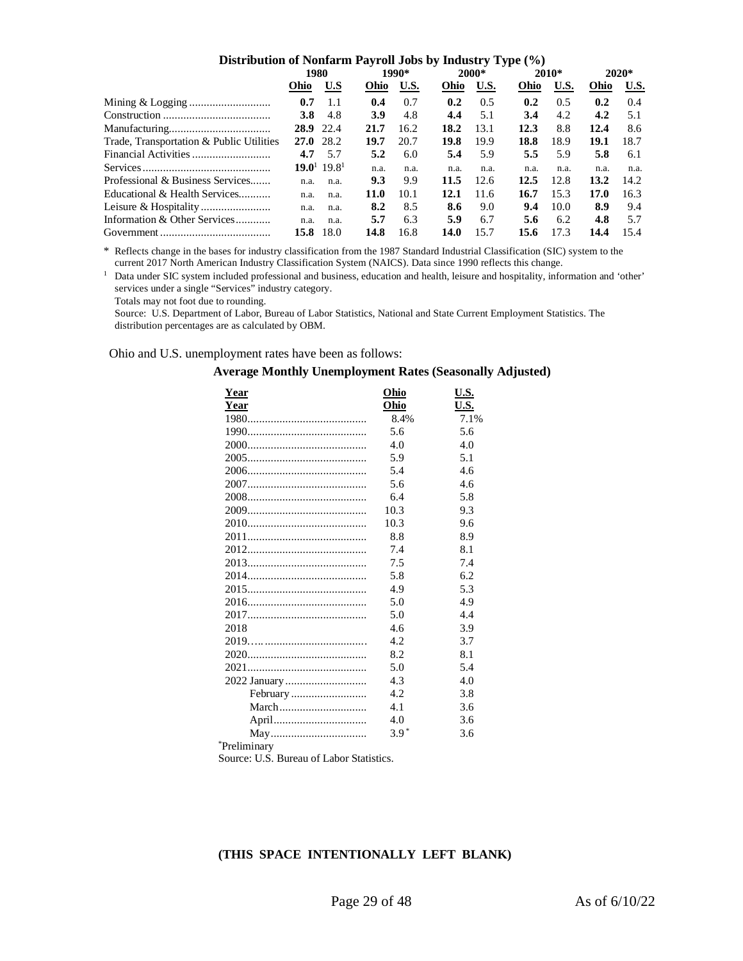| Distribution of Nonfarm Payroll Jobs by Industry Type (%) |             |                                     |      |             |      |       |      |         |      |         |  |
|-----------------------------------------------------------|-------------|-------------------------------------|------|-------------|------|-------|------|---------|------|---------|--|
|                                                           | 1980        |                                     |      | 1990*       |      | 2000* |      | $2010*$ |      | $2020*$ |  |
|                                                           | Ohio        | U.S                                 | Ohio | <b>U.S.</b> | Ohio | U.S.  | Ohio | U.S.    | Ohio | U.S.    |  |
|                                                           | 0.7         | 1.1                                 | 0.4  | 0.7         | 0.2  | 0.5   | 0.2  | 0.5     | 0.2  | 0.4     |  |
|                                                           | <b>3.8</b>  | 4.8                                 | 3.9  | 4.8         | 4.4  | 5.1   | 3.4  | 4.2     | 4.2  | 5.1     |  |
|                                                           | 28.9 22.4   |                                     | 21.7 | 16.2        | 18.2 | 13.1  | 12.3 | 8.8     | 12.4 | 8.6     |  |
| Trade, Transportation & Public Utilities                  | $27.0$ 28.2 |                                     | 19.7 | 20.7        | 19.8 | 19.9  | 18.8 | 18.9    | 19.1 | 18.7    |  |
|                                                           | 4.7         | 5.7                                 | 5.2  | 6.0         | 5.4  | 5.9   | 5.5  | 5.9     | 5.8  | 6.1     |  |
|                                                           |             | 19.0 <sup>1</sup> 19.8 <sup>1</sup> | n.a. | n.a.        | n.a. | n.a.  | n.a. | n.a.    | n.a. | n.a.    |  |
| Professional & Business Services                          | n.a.        | n.a.                                | 9.3  | 9.9         | 11.5 | 12.6  | 12.5 | 12.8    | 13.2 | 14.2    |  |
| Educational & Health Services                             | n.a.        | n.a.                                | 11.0 | 10.1        | 12.1 | 11.6  | 16.7 | 15.3    | 17.0 | 16.3    |  |
|                                                           | n.a.        | n.a.                                | 8.2  | 8.5         | 8.6  | 9.0   | 9.4  | 10.0    | 8.9  | 9.4     |  |
| Information & Other Services                              | n.a.        | n.a.                                | 5.7  | 6.3         | 5.9  | 6.7   | 5.6  | 6.2     | 4.8  | 5.7     |  |
|                                                           | 15.8        | 18.0                                | 14.8 | 16.8        | 14.0 | 15.7  | 15.6 | 17.3    | 14.4 | 15.4    |  |

\* Reflects change in the bases for industry classification from the 1987 Standard Industrial Classification (SIC) system to the current 2017 North American Industry Classification System (NAICS). Data since 1990 reflects this change.

<sup>1</sup> Data under SIC system included professional and business, education and health, leisure and hospitality, information and 'other' services under a single "Services" industry category.

Totals may not foot due to rounding.

 Source: U.S. Department of Labor, Bureau of Labor Statistics, National and State Current Employment Statistics. The distribution percentages are as calculated by OBM.

Ohio and U.S. unemployment rates have been as follows:

| Year         | Ohio   | <u>U.S.</u> |
|--------------|--------|-------------|
| Year         | Ohio   | <u>U.S.</u> |
|              | 8.4%   | 7.1%        |
|              | 5.6    | 5.6         |
|              | 4.0    | 4.0         |
|              | 5.9    | 5.1         |
|              | 5.4    | 4.6         |
|              | 5.6    | 4.6         |
|              | 6.4    | 5.8         |
|              | 10.3   | 9.3         |
|              | 10.3   | 9.6         |
|              | 8.8    | 8.9         |
|              | 7.4    | 8.1         |
|              | 7.5    | 7.4         |
|              | 5.8    | 6.2         |
|              | 4.9    | 5.3         |
|              | 5.0    | 4.9         |
|              | 5.0    | 4.4         |
| 2018         | 4.6    | 3.9         |
|              | 4.2    | 3.7         |
|              | 8.2    | 8.1         |
|              | 5.0    | 5.4         |
|              | 4.3    | 4.0         |
|              | 4.2    | 3.8         |
|              | 4.1    | 3.6         |
|              | 4.0    | 3.6         |
|              | $3.9*$ | 3.6         |
| *Preliminary |        |             |

# **Average Monthly Unemployment Rates (Seasonally Adjusted)**

Source: U.S. Bureau of Labor Statistics.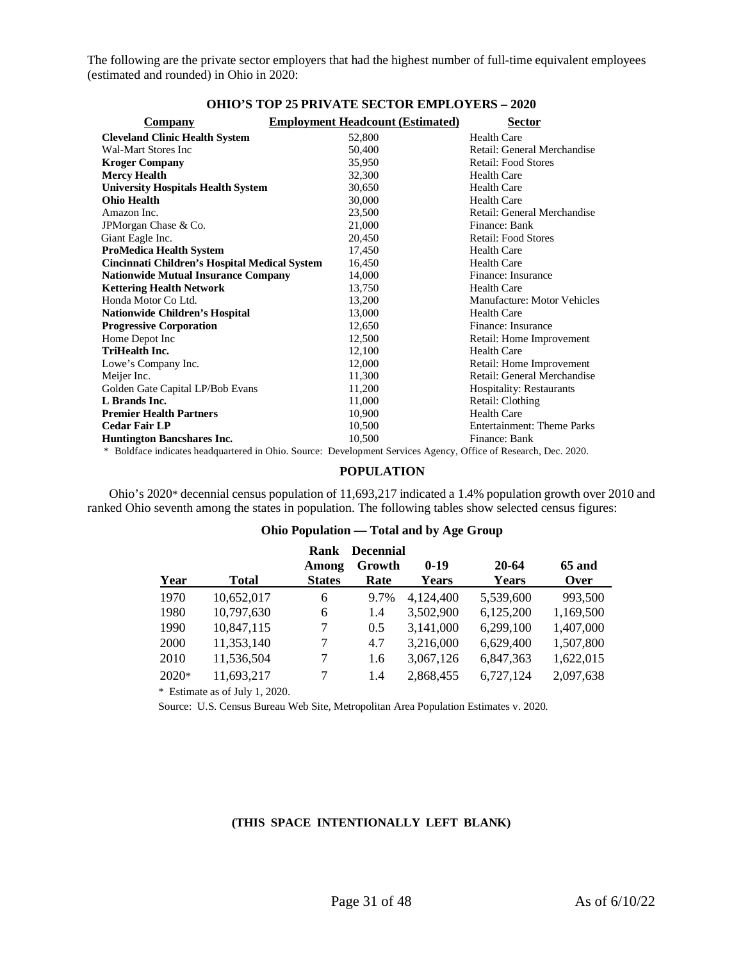The following are the private sector employers that had the highest number of full-time equivalent employees (estimated and rounded) in Ohio in 2020:

| OHIO'S TOP 25 PRIVATE SECTOR EMPLOYERS – 2020 |                                                                                                                  |                                   |  |  |  |  |
|-----------------------------------------------|------------------------------------------------------------------------------------------------------------------|-----------------------------------|--|--|--|--|
| Company                                       | <b>Employment Headcount (Estimated)</b>                                                                          | <b>Sector</b>                     |  |  |  |  |
| <b>Cleveland Clinic Health System</b>         | 52,800                                                                                                           | <b>Health Care</b>                |  |  |  |  |
| Wal-Mart Stores Inc                           | 50,400                                                                                                           | Retail: General Merchandise       |  |  |  |  |
| <b>Kroger Company</b>                         | 35,950                                                                                                           | <b>Retail: Food Stores</b>        |  |  |  |  |
| <b>Mercy Health</b>                           | 32,300                                                                                                           | <b>Health Care</b>                |  |  |  |  |
| <b>University Hospitals Health System</b>     | 30,650                                                                                                           | <b>Health Care</b>                |  |  |  |  |
| Ohio Health                                   | 30,000                                                                                                           | <b>Health Care</b>                |  |  |  |  |
| Amazon Inc.                                   | 23,500                                                                                                           | Retail: General Merchandise       |  |  |  |  |
| JPM organ Chase & Co.                         | 21,000                                                                                                           | Finance: Bank                     |  |  |  |  |
| Giant Eagle Inc.                              | 20,450                                                                                                           | <b>Retail: Food Stores</b>        |  |  |  |  |
| <b>ProMedica Health System</b>                | 17,450                                                                                                           | <b>Health Care</b>                |  |  |  |  |
| Cincinnati Children's Hospital Medical System | 16,450                                                                                                           | <b>Health Care</b>                |  |  |  |  |
| <b>Nationwide Mutual Insurance Company</b>    | 14,000                                                                                                           | Finance: Insurance                |  |  |  |  |
| <b>Kettering Health Network</b>               | 13,750                                                                                                           | <b>Health Care</b>                |  |  |  |  |
| Honda Motor Co Ltd.                           | 13.200                                                                                                           | Manufacture: Motor Vehicles       |  |  |  |  |
| Nationwide Children's Hospital                | 13,000                                                                                                           | <b>Health Care</b>                |  |  |  |  |
| <b>Progressive Corporation</b>                | 12,650                                                                                                           | Finance: Insurance                |  |  |  |  |
| Home Depot Inc                                | 12,500                                                                                                           | Retail: Home Improvement          |  |  |  |  |
| <b>TriHealth Inc.</b>                         | 12,100                                                                                                           | <b>Health Care</b>                |  |  |  |  |
| Lowe's Company Inc.                           | 12,000                                                                                                           | Retail: Home Improvement          |  |  |  |  |
| Meijer Inc.                                   | 11,300                                                                                                           | Retail: General Merchandise       |  |  |  |  |
| Golden Gate Capital LP/Bob Evans              | 11,200                                                                                                           | <b>Hospitality: Restaurants</b>   |  |  |  |  |
| L Brands Inc.                                 | 11,000                                                                                                           | Retail: Clothing                  |  |  |  |  |
| <b>Premier Health Partners</b>                | 10,900                                                                                                           | <b>Health Care</b>                |  |  |  |  |
| <b>Cedar Fair LP</b>                          | 10,500                                                                                                           | <b>Entertainment: Theme Parks</b> |  |  |  |  |
| <b>Huntington Bancshares Inc.</b>             | 10,500                                                                                                           | Finance: Bank                     |  |  |  |  |
|                                               | 2. Del ferri indicate des domentes d'in Okie, Comerce Demlaument Comitae, Arange, Office of Decessale, Dec. 2020 |                                   |  |  |  |  |

# **OHIO'S TOP 25 PRIVATE SECTOR EMPLOYERS – 2020**

<span id="page-30-0"></span>\* Boldface indicates headquartered in Ohio. Source: Development Services Agency, Office of Research, Dec. 2020.

# **POPULATION**

Ohio's 2020\* decennial census population of 11,693,217 indicated a 1.4% population growth over 2010 and ranked Ohio seventh among the states in population. The following tables show selected census figures:

# **Ohio Population — Total and by Age Group**

|         |              | Rank          | <b>Decennial</b> |           |           |           |
|---------|--------------|---------------|------------------|-----------|-----------|-----------|
|         |              | Among         | Growth           | $0-19$    | $20 - 64$ | $65$ and  |
| Year    | <b>Total</b> | <b>States</b> | Rate             | Years     | Years     | Over      |
| 1970    | 10,652,017   | 6             | 9.7%             | 4,124,400 | 5,539,600 | 993,500   |
| 1980    | 10,797,630   | 6             | 1.4              | 3,502,900 | 6,125,200 | 1,169,500 |
| 1990    | 10,847,115   | 7             | 0.5              | 3,141,000 | 6,299,100 | 1,407,000 |
| 2000    | 11,353,140   | 7             | 4.7              | 3,216,000 | 6,629,400 | 1,507,800 |
| 2010    | 11,536,504   | 7             | 1.6              | 3,067,126 | 6,847,363 | 1,622,015 |
| $2020*$ | 11,693,217   | 7             | 1.4              | 2,868,455 | 6,727,124 | 2,097,638 |

\* Estimate as of July 1, 2020.

Source: U.S. Census Bureau Web Site, Metropolitan Area Population Estimates v. 2020.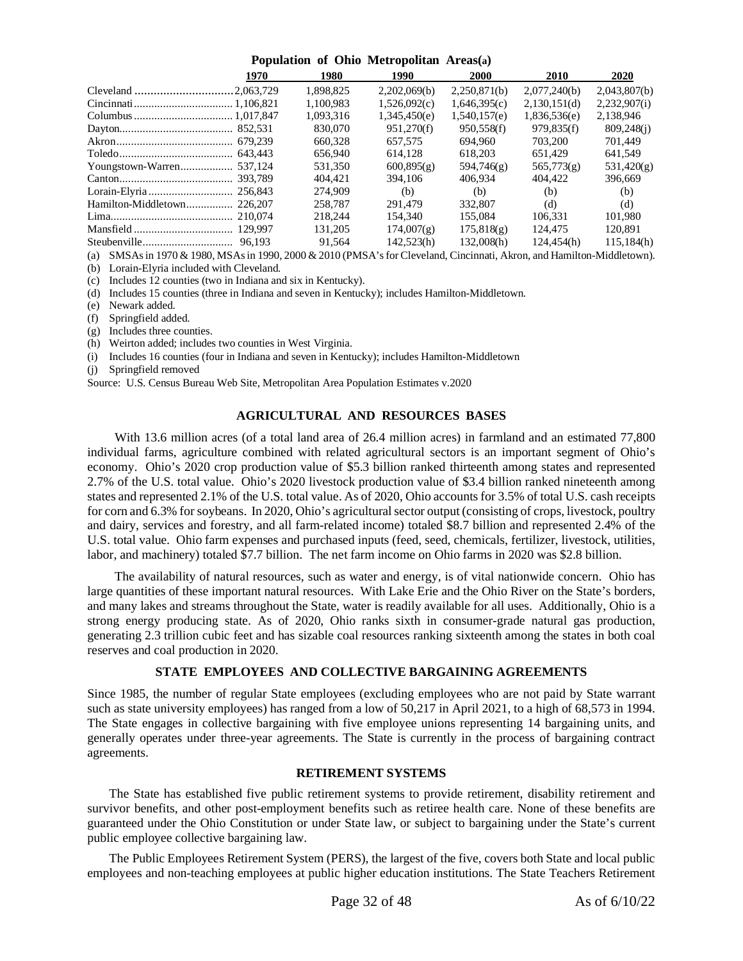| Population of Ohio Metropolitan Areas(a) |  |  |
|------------------------------------------|--|--|
|------------------------------------------|--|--|

|                   | 1970    | 1980      | 1990         | <b>2000</b>  | 2010         | 2020         |
|-------------------|---------|-----------|--------------|--------------|--------------|--------------|
|                   |         | 1.898.825 | 2,202,069(b) | 2,250,871(b) | 2,077,240(b) | 2,043,807(b) |
|                   |         | 1.100.983 | 1,526,092(c) | 1.646.395(c) | 2,130,151(d) | 2,232,907(i) |
|                   |         | 1,093,316 | 1,345,450(e) | 1,540,157(e) | 1,836,536(e) | 2,138,946    |
|                   |         | 830,070   | 951,270(f)   | 950,558(f)   | 979,835(f)   | 809,248(j)   |
|                   |         | 660.328   | 657.575      | 694.960      | 703,200      | 701.449      |
|                   |         | 656,940   | 614.128      | 618.203      | 651,429      | 641,549      |
| Youngstown-Warren | 537.124 | 531.350   | 600,895(g)   | 594,746(g)   | 565,773(g)   | 531,420(g)   |
|                   | 393.789 | 404.421   | 394,106      | 406.934      | 404,422      | 396.669      |
|                   |         | 274,909   | (b)          | (b)          | (b)          | (b)          |
|                   |         | 258,787   | 291,479      | 332,807      | (d)          | (d)          |
|                   |         | 218,244   | 154,340      | 155,084      | 106.331      | 101.980      |
|                   |         | 131,205   | 174,007(g)   | 175,818(g)   | 124.475      | 120.891      |
|                   | 96.193  | 91.564    | 142.523(h)   | 132,008(h)   | 124.454(h)   | 115.184(h)   |

(a) SMSAs in 1970 & 1980, MSAs in 1990, 2000 & 2010 (PMSA's for Cleveland, Cincinnati, Akron, and Hamilton-Middletown).

(b) Lorain-Elyria included with Cleveland.

(c) Includes 12 counties (two in Indiana and six in Kentucky).

(d) Includes 15 counties (three in Indiana and seven in Kentucky); includes Hamilton-Middletown.

(e) Newark added.

(f) Springfield added.

(g) Includes three counties.

(h) Weirton added; includes two counties in West Virginia.

(i) Includes 16 counties (four in Indiana and seven in Kentucky); includes Hamilton-Middletown

(j) Springfield removed

Source: U.S. Census Bureau Web Site, Metropolitan Area Population Estimates v.2020

# **AGRICULTURAL AND RESOURCES BASES**

<span id="page-31-0"></span>With 13.6 million acres (of a total land area of 26.4 million acres) in farmland and an estimated 77,800 individual farms, agriculture combined with related agricultural sectors is an important segment of Ohio's economy. Ohio's 2020 crop production value of \$5.3 billion ranked thirteenth among states and represented 2.7% of the U.S. total value. Ohio's 2020 livestock production value of \$3.4 billion ranked nineteenth among states and represented 2.1% of the U.S. total value. As of 2020, Ohio accounts for 3.5% of total U.S. cash receipts for corn and 6.3% for soybeans. In 2020, Ohio's agricultural sector output (consisting of crops, livestock, poultry and dairy, services and forestry, and all farm-related income) totaled \$8.7 billion and represented 2.4% of the U.S. total value. Ohio farm expenses and purchased inputs (feed, seed, chemicals, fertilizer, livestock, utilities, labor, and machinery) totaled \$7.7 billion. The net farm income on Ohio farms in 2020 was \$2.8 billion.

The availability of natural resources, such as water and energy, is of vital nationwide concern. Ohio has large quantities of these important natural resources. With Lake Erie and the Ohio River on the State's borders, and many lakes and streams throughout the State, water is readily available for all uses. Additionally, Ohio is a strong energy producing state. As of 2020, Ohio ranks sixth in consumer-grade natural gas production, generating 2.3 trillion cubic feet and has sizable coal resources ranking sixteenth among the states in both coal reserves and coal production in 2020.

# **STATE EMPLOYEES AND COLLECTIVE BARGAINING AGREEMENTS**

<span id="page-31-1"></span>Since 1985, the number of regular State employees (excluding employees who are not paid by State warrant such as state university employees) has ranged from a low of 50,217 in April 2021, to a high of 68,573 in 1994. The State engages in collective bargaining with five employee unions representing 14 bargaining units, and generally operates under three-year agreements. The State is currently in the process of bargaining contract agreements.

# **RETIREMENT SYSTEMS**

<span id="page-31-2"></span>The State has established five public retirement systems to provide retirement, disability retirement and survivor benefits, and other post-employment benefits such as retiree health care. None of these benefits are guaranteed under the Ohio Constitution or under State law, or subject to bargaining under the State's current public employee collective bargaining law.

The Public Employees Retirement System (PERS), the largest of the five, covers both State and local public employees and non-teaching employees at public higher education institutions. The State Teachers Retirement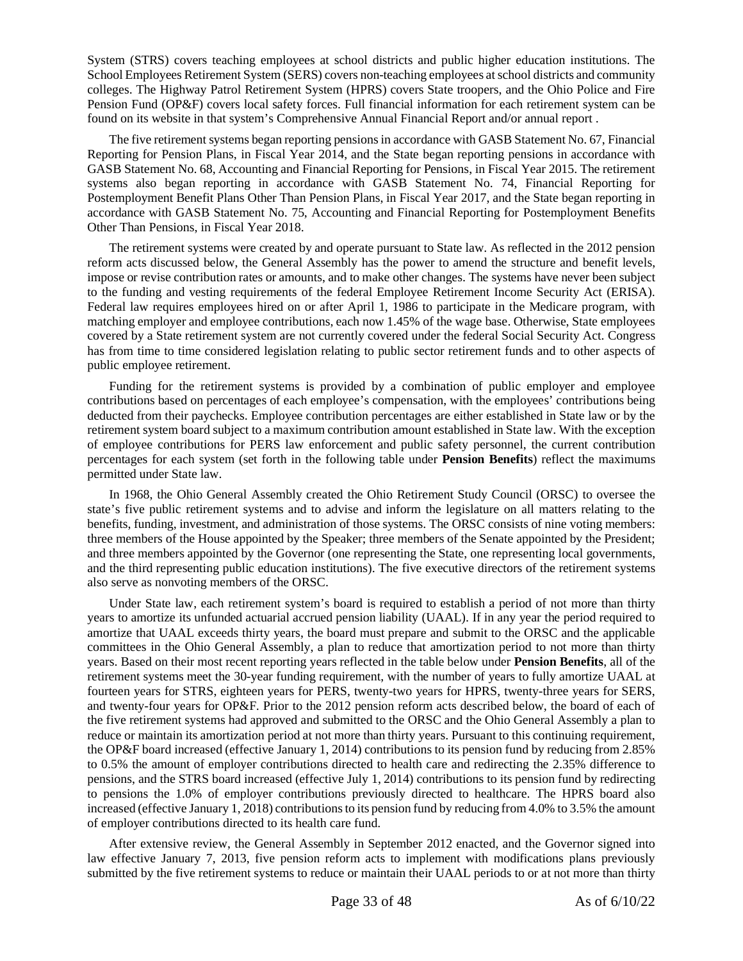System (STRS) covers teaching employees at school districts and public higher education institutions. The School Employees Retirement System (SERS) covers non-teaching employees at school districts and community colleges. The Highway Patrol Retirement System (HPRS) covers State troopers, and the Ohio Police and Fire Pension Fund (OP&F) covers local safety forces. Full financial information for each retirement system can be found on its website in that system's Comprehensive Annual Financial Report and/or annual report .

The five retirement systems began reporting pensions in accordance with GASB Statement No. 67, Financial Reporting for Pension Plans, in Fiscal Year 2014, and the State began reporting pensions in accordance with GASB Statement No. 68, Accounting and Financial Reporting for Pensions, in Fiscal Year 2015. The retirement systems also began reporting in accordance with GASB Statement No. 74, Financial Reporting for Postemployment Benefit Plans Other Than Pension Plans, in Fiscal Year 2017, and the State began reporting in accordance with GASB Statement No. 75, Accounting and Financial Reporting for Postemployment Benefits Other Than Pensions, in Fiscal Year 2018.

The retirement systems were created by and operate pursuant to State law. As reflected in the 2012 pension reform acts discussed below, the General Assembly has the power to amend the structure and benefit levels, impose or revise contribution rates or amounts, and to make other changes. The systems have never been subject to the funding and vesting requirements of the federal Employee Retirement Income Security Act (ERISA). Federal law requires employees hired on or after April 1, 1986 to participate in the Medicare program, with matching employer and employee contributions, each now 1.45% of the wage base. Otherwise, State employees covered by a State retirement system are not currently covered under the federal Social Security Act. Congress has from time to time considered legislation relating to public sector retirement funds and to other aspects of public employee retirement.

Funding for the retirement systems is provided by a combination of public employer and employee contributions based on percentages of each employee's compensation, with the employees' contributions being deducted from their paychecks. Employee contribution percentages are either established in State law or by the retirement system board subject to a maximum contribution amount established in State law. With the exception of employee contributions for PERS law enforcement and public safety personnel, the current contribution percentages for each system (set forth in the following table under **Pension Benefits**) reflect the maximums permitted under State law.

In 1968, the Ohio General Assembly created the Ohio Retirement Study Council (ORSC) to oversee the state's five public retirement systems and to advise and inform the legislature on all matters relating to the benefits, funding, investment, and administration of those systems. The ORSC consists of nine voting members: three members of the House appointed by the Speaker; three members of the Senate appointed by the President; and three members appointed by the Governor (one representing the State, one representing local governments, and the third representing public education institutions). The five executive directors of the retirement systems also serve as nonvoting members of the ORSC.

Under State law, each retirement system's board is required to establish a period of not more than thirty years to amortize its unfunded actuarial accrued pension liability (UAAL). If in any year the period required to amortize that UAAL exceeds thirty years, the board must prepare and submit to the ORSC and the applicable committees in the Ohio General Assembly, a plan to reduce that amortization period to not more than thirty years. Based on their most recent reporting years reflected in the table below under **Pension Benefits**, all of the retirement systems meet the 30-year funding requirement, with the number of years to fully amortize UAAL at fourteen years for STRS, eighteen years for PERS, twenty-two years for HPRS, twenty-three years for SERS, and twenty-four years for OP&F. Prior to the 2012 pension reform acts described below, the board of each of the five retirement systems had approved and submitted to the ORSC and the Ohio General Assembly a plan to reduce or maintain its amortization period at not more than thirty years. Pursuant to this continuing requirement, the OP&F board increased (effective January 1, 2014) contributions to its pension fund by reducing from 2.85% to 0.5% the amount of employer contributions directed to health care and redirecting the 2.35% difference to pensions, and the STRS board increased (effective July 1, 2014) contributions to its pension fund by redirecting to pensions the 1.0% of employer contributions previously directed to healthcare. The HPRS board also increased (effective January 1, 2018) contributions to its pension fund by reducing from 4.0% to 3.5% the amount of employer contributions directed to its health care fund.

After extensive review, the General Assembly in September 2012 enacted, and the Governor signed into law effective January 7, 2013, five pension reform acts to implement with modifications plans previously submitted by the five retirement systems to reduce or maintain their UAAL periods to or at not more than thirty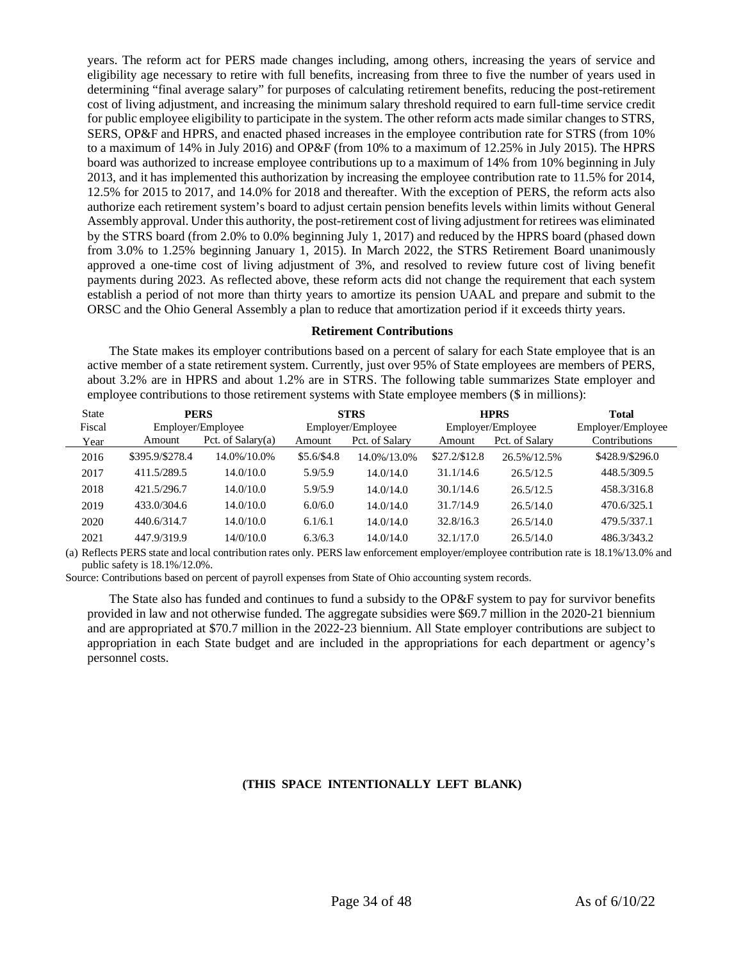years. The reform act for PERS made changes including, among others, increasing the years of service and eligibility age necessary to retire with full benefits, increasing from three to five the number of years used in determining "final average salary" for purposes of calculating retirement benefits, reducing the post-retirement cost of living adjustment, and increasing the minimum salary threshold required to earn full-time service credit for public employee eligibility to participate in the system. The other reform acts made similar changes to STRS, SERS, OP&F and HPRS, and enacted phased increases in the employee contribution rate for STRS (from 10% to a maximum of 14% in July 2016) and OP&F (from 10% to a maximum of 12.25% in July 2015). The HPRS board was authorized to increase employee contributions up to a maximum of 14% from 10% beginning in July 2013, and it has implemented this authorization by increasing the employee contribution rate to 11.5% for 2014, 12.5% for 2015 to 2017, and 14.0% for 2018 and thereafter. With the exception of PERS, the reform acts also authorize each retirement system's board to adjust certain pension benefits levels within limits without General Assembly approval. Under this authority, the post-retirement cost of living adjustment for retirees was eliminated by the STRS board (from 2.0% to 0.0% beginning July 1, 2017) and reduced by the HPRS board (phased down from 3.0% to 1.25% beginning January 1, 2015). In March 2022, the STRS Retirement Board unanimously approved a one-time cost of living adjustment of 3%, and resolved to review future cost of living benefit payments during 2023. As reflected above, these reform acts did not change the requirement that each system establish a period of not more than thirty years to amortize its pension UAAL and prepare and submit to the ORSC and the Ohio General Assembly a plan to reduce that amortization period if it exceeds thirty years.

# **Retirement Contributions**

<span id="page-33-0"></span>The State makes its employer contributions based on a percent of salary for each State employee that is an active member of a state retirement system. Currently, just over 95% of State employees are members of PERS, about 3.2% are in HPRS and about 1.2% are in STRS. The following table summarizes State employer and employee contributions to those retirement systems with State employee members (\$ in millions):

| <b>State</b> | <b>PERS</b>     |                     |            | <b>STRS</b>       |                   | <b>HPRS</b>    | <b>Total</b>      |
|--------------|-----------------|---------------------|------------|-------------------|-------------------|----------------|-------------------|
| Fiscal       |                 | Employer/Employee   |            | Employer/Employee | Employer/Employee |                | Employer/Employee |
| Year         | Amount          | Pct. of $Salarv(a)$ | Amount     | Pct. of Salary    | Amount            | Pct. of Salary | Contributions     |
| 2016         | \$395.9/\$278.4 | 14.0%/10.0%         | \$5.6/S4.8 | 14.0%/13.0%       | \$27.2/S12.8      | 26.5%/12.5%    | \$428.9/\$296.0   |
| 2017         | 411.5/289.5     | 14.0/10.0           | 5.9/5.9    | 14.0/14.0         | 31.1/14.6         | 26.5/12.5      | 448.5/309.5       |
| 2018         | 421.5/296.7     | 14.0/10.0           | 5.9/5.9    | 14.0/14.0         | 30.1/14.6         | 26.5/12.5      | 458.3/316.8       |
| 2019         | 433.0/304.6     | 14.0/10.0           | 6.0/6.0    | 14.0/14.0         | 31.7/14.9         | 26.5/14.0      | 470.6/325.1       |
| 2020         | 440.6/314.7     | 14.0/10.0           | 6.1/6.1    | 14.0/14.0         | 32.8/16.3         | 26.5/14.0      | 479.5/337.1       |
| 2021         | 447.9/319.9     | 14/0/10.0           | 6.3/6.3    | 14.0/14.0         | 32.1/17.0         | 26.5/14.0      | 486.3/343.2       |

(a) Reflects PERS state and local contribution rates only. PERS law enforcement employer/employee contribution rate is 18.1%/13.0% and public safety is 18.1%/12.0%.

Source: Contributions based on percent of payroll expenses from State of Ohio accounting system records.

The State also has funded and continues to fund a subsidy to the OP&F system to pay for survivor benefits provided in law and not otherwise funded. The aggregate subsidies were \$69.7 million in the 2020-21 biennium and are appropriated at \$70.7 million in the 2022-23 biennium. All State employer contributions are subject to appropriation in each State budget and are included in the appropriations for each department or agency's personnel costs.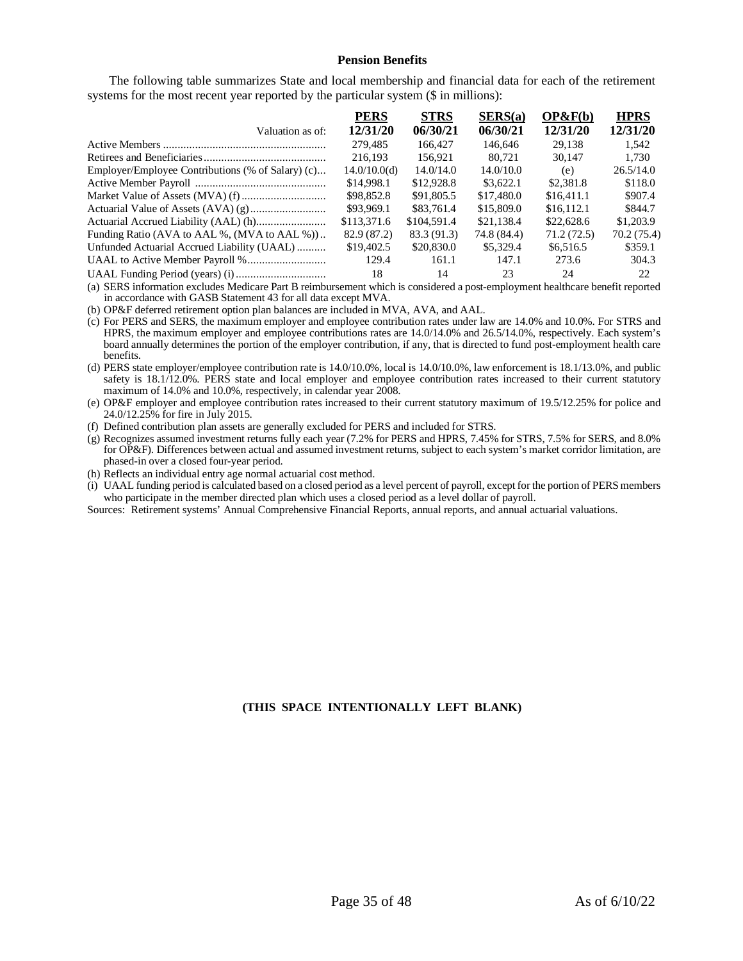#### **Pension Benefits**

<span id="page-34-0"></span>The following table summarizes State and local membership and financial data for each of the retirement systems for the most recent year reported by the particular system (\$ in millions):

|                                                   | <b>PERS</b>  | <b>STRS</b> | SERS(a)     | OP&F(b)    | <b>HPRS</b> |
|---------------------------------------------------|--------------|-------------|-------------|------------|-------------|
| Valuation as of:                                  | 12/31/20     | 06/30/21    | 06/30/21    | 12/31/20   | 12/31/20    |
|                                                   | 279,485      | 166.427     | 146,646     | 29.138     | 1.542       |
|                                                   | 216.193      | 156.921     | 80.721      | 30,147     | 1.730       |
| Employer/Employee Contributions (% of Salary) (c) | 14.0/10.0(d) | 14.0/14.0   | 14.0/10.0   | (e)        | 26.5/14.0   |
|                                                   | \$14,998.1   | \$12,928.8  | \$3,622.1   | \$2,381.8  | \$118.0     |
|                                                   | \$98,852.8   | \$91,805.5  | \$17,480.0  | \$16,411.1 | \$907.4     |
|                                                   | \$93,969.1   | \$83,761.4  | \$15,809.0  | \$16,112.1 | \$844.7     |
|                                                   | \$113,371.6  | \$104,591.4 | \$21,138.4  | \$22,628.6 | \$1,203.9   |
| Funding Ratio (AVA to AAL %, (MVA to AAL %))      | 82.9 (87.2)  | 83.3 (91.3) | 74.8 (84.4) | 71.2(72.5) | 70.2 (75.4) |
| Unfunded Actuarial Accrued Liability (UAAL)       | \$19,402.5   | \$20,830.0  | \$5,329.4   | \$6,516.5  | \$359.1     |
|                                                   | 129.4        | 161.1       | 147.1       | 273.6      | 304.3       |
|                                                   | 18           | 14          | 23          | 24         | 22.         |

(a) SERS information excludes Medicare Part B reimbursement which is considered a post-employment healthcare benefit reported in accordance with GASB Statement 43 for all data except MVA.

(b) OP&F deferred retirement option plan balances are included in MVA, AVA, and AAL.

(c) For PERS and SERS, the maximum employer and employee contribution rates under law are 14.0% and 10.0%. For STRS and HPRS, the maximum employer and employee contributions rates are 14.0/14.0% and 26.5/14.0%, respectively. Each system's board annually determines the portion of the employer contribution, if any, that is directed to fund post-employment health care benefits.

(d) PERS state employer/employee contribution rate is 14.0/10.0%, local is 14.0/10.0%, law enforcement is 18.1/13.0%, and public safety is 18.1/12.0%. PERS state and local employer and employee contribution rates increased to their current statutory maximum of 14.0% and 10.0%, respectively, in calendar year 2008.

(e) OP&F employer and employee contribution rates increased to their current statutory maximum of 19.5/12.25% for police and 24.0/12.25% for fire in July 2015.

(f) Defined contribution plan assets are generally excluded for PERS and included for STRS.

(g) Recognizes assumed investment returns fully each year (7.2% for PERS and HPRS, 7.45% for STRS, 7.5% for SERS, and 8.0% for OP&F). Differences between actual and assumed investment returns, subject to each system's market corridor limitation, are phased-in over a closed four-year period.

(h) Reflects an individual entry age normal actuarial cost method.

(i) UAAL funding period is calculated based on a closed period as a level percent of payroll, except for the portion of PERS members who participate in the member directed plan which uses a closed period as a level dollar of payroll.

Sources: Retirement systems' Annual Comprehensive Financial Reports, annual reports, and annual actuarial valuations.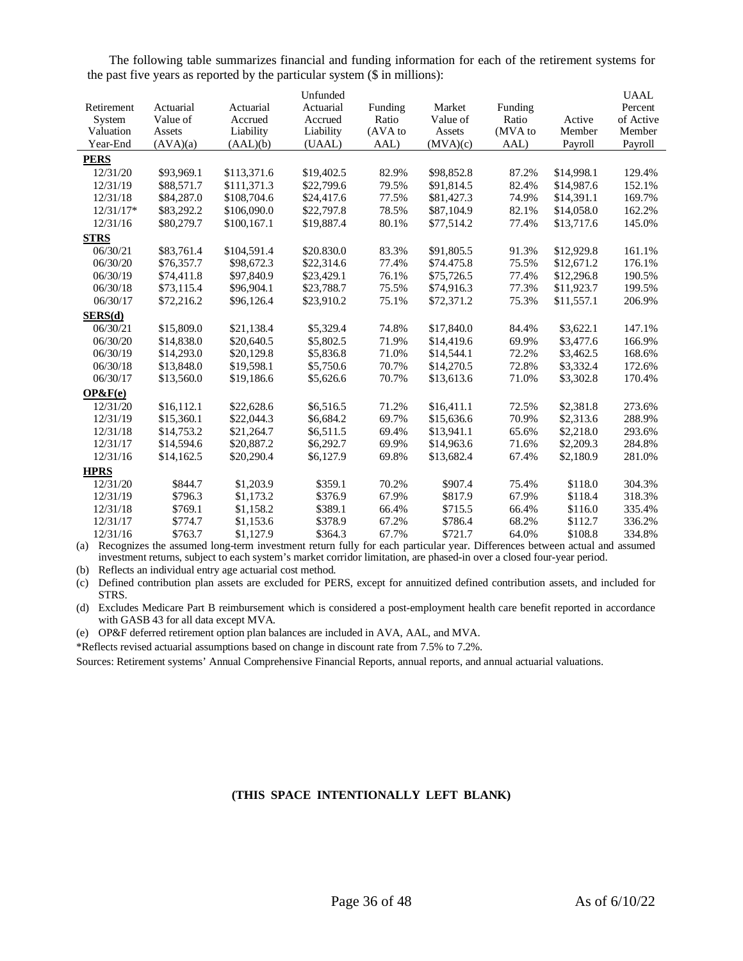The following table summarizes financial and funding information for each of the retirement systems for the past five years as reported by the particular system (\$ in millions):

|             |            |             | Unfunded   |         |            |         |            | <b>UAAL</b> |
|-------------|------------|-------------|------------|---------|------------|---------|------------|-------------|
| Retirement  | Actuarial  | Actuarial   | Actuarial  | Funding | Market     | Funding |            | Percent     |
| System      | Value of   | Accrued     | Accrued    | Ratio   | Value of   | Ratio   | Active     | of Active   |
| Valuation   | Assets     | Liability   | Liability  | (AVA to | Assets     | (MVA to | Member     | Member      |
| Year-End    | (AVA)(a)   | (AAL)(b)    | (UAAL)     | AAL)    | (MVA)(c)   | AAL)    | Payroll    | Payroll     |
| <b>PERS</b> |            |             |            |         |            |         |            |             |
| 12/31/20    | \$93,969.1 | \$113,371.6 | \$19,402.5 | 82.9%   | \$98,852.8 | 87.2%   | \$14,998.1 | 129.4%      |
| 12/31/19    | \$88,571.7 | \$111.371.3 | \$22,799.6 | 79.5%   | \$91,814.5 | 82.4%   | \$14,987.6 | 152.1%      |
| 12/31/18    | \$84,287.0 | \$108,704.6 | \$24,417.6 | 77.5%   | \$81,427.3 | 74.9%   | \$14,391.1 | 169.7%      |
| $12/31/17*$ | \$83,292.2 | \$106,090.0 | \$22,797.8 | 78.5%   | \$87,104.9 | 82.1%   | \$14,058.0 | 162.2%      |
| 12/31/16    | \$80,279.7 | \$100,167.1 | \$19,887.4 | 80.1%   | \$77,514.2 | 77.4%   | \$13,717.6 | 145.0%      |
| <b>STRS</b> |            |             |            |         |            |         |            |             |
| 06/30/21    | \$83,761.4 | \$104,591.4 | \$20.830.0 | 83.3%   | \$91,805.5 | 91.3%   | \$12,929.8 | 161.1%      |
| 06/30/20    | \$76,357.7 | \$98,672.3  | \$22,314.6 | 77.4%   | \$74.475.8 | 75.5%   | \$12,671.2 | 176.1%      |
| 06/30/19    | \$74,411.8 | \$97,840.9  | \$23,429.1 | 76.1%   | \$75,726.5 | 77.4%   | \$12,296.8 | 190.5%      |
| 06/30/18    | \$73,115.4 | \$96,904.1  | \$23,788.7 | 75.5%   | \$74,916.3 | 77.3%   | \$11,923.7 | 199.5%      |
| 06/30/17    | \$72,216.2 | \$96,126.4  | \$23,910.2 | 75.1%   | \$72,371.2 | 75.3%   | \$11,557.1 | 206.9%      |
| SERS(d)     |            |             |            |         |            |         |            |             |
| 06/30/21    | \$15,809.0 | \$21,138.4  | \$5,329.4  | 74.8%   | \$17,840.0 | 84.4%   | \$3,622.1  | 147.1%      |
| 06/30/20    | \$14,838.0 | \$20,640.5  | \$5,802.5  | 71.9%   | \$14,419.6 | 69.9%   | \$3,477.6  | 166.9%      |
| 06/30/19    | \$14,293.0 | \$20,129.8  | \$5,836.8  | 71.0%   | \$14,544.1 | 72.2%   | \$3,462.5  | 168.6%      |
| 06/30/18    | \$13,848.0 | \$19,598.1  | \$5,750.6  | 70.7%   | \$14,270.5 | 72.8%   | \$3,332.4  | 172.6%      |
| 06/30/17    | \$13,560.0 | \$19,186.6  | \$5,626.6  | 70.7%   | \$13,613.6 | 71.0%   | \$3,302.8  | 170.4%      |
| OP&F(e)     |            |             |            |         |            |         |            |             |
| 12/31/20    | \$16,112.1 | \$22,628.6  | \$6,516.5  | 71.2%   | \$16,411.1 | 72.5%   | \$2,381.8  | 273.6%      |
| 12/31/19    | \$15,360.1 | \$22,044.3  | \$6,684.2  | 69.7%   | \$15,636.6 | 70.9%   | \$2,313.6  | 288.9%      |
| 12/31/18    | \$14,753.2 | \$21,264.7  | \$6,511.5  | 69.4%   | \$13,941.1 | 65.6%   | \$2,218.0  | 293.6%      |
| 12/31/17    | \$14,594.6 | \$20,887.2  | \$6,292.7  | 69.9%   | \$14,963.6 | 71.6%   | \$2,209.3  | 284.8%      |
| 12/31/16    | \$14,162.5 | \$20,290.4  | \$6,127.9  | 69.8%   | \$13,682.4 | 67.4%   | \$2,180.9  | 281.0%      |
| <b>HPRS</b> |            |             |            |         |            |         |            |             |
| 12/31/20    | \$844.7    | \$1,203.9   | \$359.1    | 70.2%   | \$907.4    | 75.4%   | \$118.0    | 304.3%      |
| 12/31/19    | \$796.3    | \$1,173.2   | \$376.9    | 67.9%   | \$817.9    | 67.9%   | \$118.4    | 318.3%      |
| 12/31/18    | \$769.1    | \$1,158.2   | \$389.1    | 66.4%   | \$715.5    | 66.4%   | \$116.0    | 335.4%      |
| 12/31/17    | \$774.7    | \$1,153.6   | \$378.9    | 67.2%   | \$786.4    | 68.2%   | \$112.7    | 336.2%      |
| 12/31/16    | \$763.7    | \$1,127.9   | \$364.3    | 67.7%   | \$721.7    | 64.0%   | \$108.8    | 334.8%      |

(a) Recognizes the assumed long-term investment return fully for each particular year. Differences between actual and assumed investment returns, subject to each system's market corridor limitation, are phased-in over a closed four-year period.

(b) Reflects an individual entry age actuarial cost method.

(c) Defined contribution plan assets are excluded for PERS, except for annuitized defined contribution assets, and included for STRS.

(d) Excludes Medicare Part B reimbursement which is considered a post-employment health care benefit reported in accordance with GASB 43 for all data except MVA.

(e) OP&F deferred retirement option plan balances are included in AVA, AAL, and MVA.

\*Reflects revised actuarial assumptions based on change in discount rate from 7.5% to 7.2%.

Sources: Retirement systems' Annual Comprehensive Financial Reports, annual reports, and annual actuarial valuations.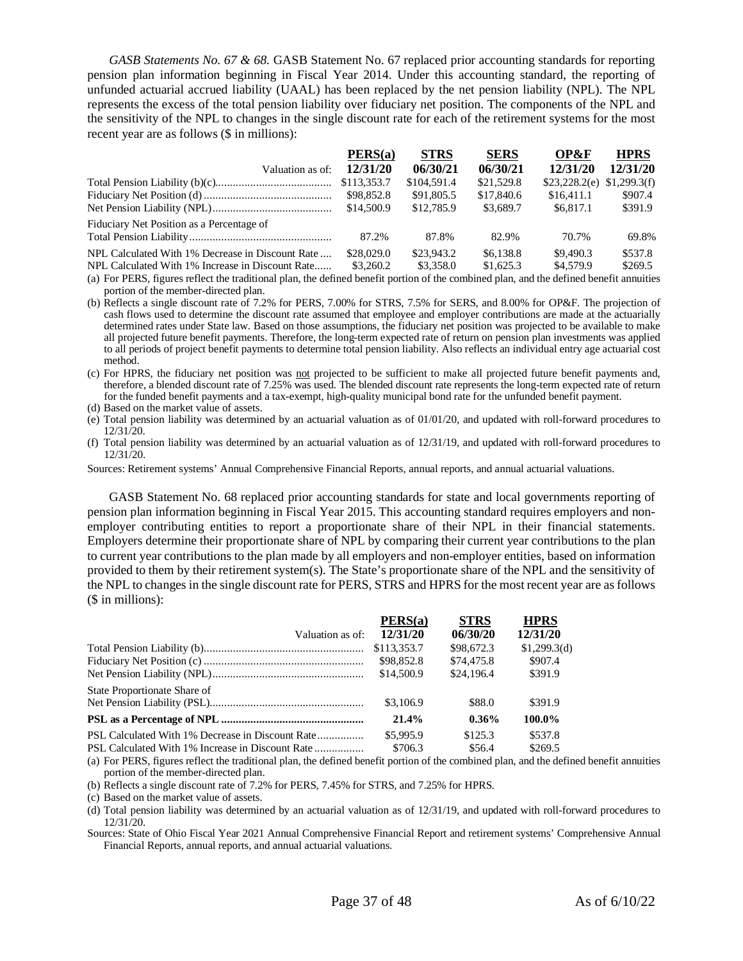*GASB Statements No. 67 & 68.* GASB Statement No. 67 replaced prior accounting standards for reporting pension plan information beginning in Fiscal Year 2014. Under this accounting standard, the reporting of unfunded actuarial accrued liability (UAAL) has been replaced by the net pension liability (NPL). The NPL represents the excess of the total pension liability over fiduciary net position. The components of the NPL and the sensitivity of the NPL to changes in the single discount rate for each of the retirement systems for the most recent year are as follows (\$ in millions):

|                                                  | PERS(a)     | <b>STRS</b> | <b>SERS</b> | OP&F          | <b>HPRS</b>  |
|--------------------------------------------------|-------------|-------------|-------------|---------------|--------------|
| Valuation as of:                                 | 12/31/20    | 06/30/21    | 06/30/21    | 12/31/20      | 12/31/20     |
|                                                  | \$113,353.7 | \$104,591.4 | \$21,529.8  | \$23,228.2(e) | \$1,299.3(f) |
|                                                  | \$98,852.8  | \$91,805.5  | \$17,840.6  | \$16,411.1    | \$907.4      |
|                                                  | \$14,500.9  | \$12,785.9  | \$3,689.7   | \$6,817.1     | \$391.9      |
| Fiduciary Net Position as a Percentage of        |             |             |             |               |              |
|                                                  | 87.2%       | 87.8%       | 82.9%       | 70.7%         | 69.8%        |
| NPL Calculated With 1% Decrease in Discount Rate | \$28,029.0  | \$23,943.2  | \$6,138.8   | \$9,490.3     | \$537.8      |
| NPL Calculated With 1% Increase in Discount Rate | \$3,260.2   | \$3,358.0   | \$1,625.3   | \$4,579.9     | \$269.5      |

(a) For PERS, figures reflect the traditional plan, the defined benefit portion of the combined plan, and the defined benefit annuities portion of the member-directed plan.

(b) Reflects a single discount rate of 7.2% for PERS, 7.00% for STRS, 7.5% for SERS, and 8.00% for OP&F. The projection of cash flows used to determine the discount rate assumed that employee and employer contributions are made at the actuarially determined rates under State law. Based on those assumptions, the fiduciary net position was projected to be available to make all projected future benefit payments. Therefore, the long-term expected rate of return on pension plan investments was applied to all periods of project benefit payments to determine total pension liability. Also reflects an individual entry age actuarial cost method.

(c) For HPRS, the fiduciary net position was not projected to be sufficient to make all projected future benefit payments and, therefore, a blended discount rate of 7.25% was used. The blended discount rate represents the long-term expected rate of return for the funded benefit payments and a tax-exempt, high-quality municipal bond rate for the unfunded benefit payment.

(d) Based on the market value of assets.

(e) Total pension liability was determined by an actuarial valuation as of 01/01/20, and updated with roll-forward procedures to 12/31/20.

(f) Total pension liability was determined by an actuarial valuation as of 12/31/19, and updated with roll-forward procedures to 12/31/20.

Sources: Retirement systems' Annual Comprehensive Financial Reports, annual reports, and annual actuarial valuations.

GASB Statement No. 68 replaced prior accounting standards for state and local governments reporting of pension plan information beginning in Fiscal Year 2015. This accounting standard requires employers and nonemployer contributing entities to report a proportionate share of their NPL in their financial statements. Employers determine their proportionate share of NPL by comparing their current year contributions to the plan to current year contributions to the plan made by all employers and non-employer entities, based on information provided to them by their retirement system(s). The State's proportionate share of the NPL and the sensitivity of the NPL to changes in the single discount rate for PERS, STRS and HPRS for the most recent year are as follows (\$ in millions):

|                              | PERS(a)     | <b>STRS</b> | <b>HPRS</b>  |
|------------------------------|-------------|-------------|--------------|
| Valuation as of:             | 12/31/20    | 06/30/20    | 12/31/20     |
|                              | \$113,353.7 | \$98,672.3  | \$1,299.3(d) |
|                              | \$98,852.8  | \$74,475.8  | \$907.4      |
|                              | \$14,500.9  | \$24,196.4  | \$391.9      |
| State Proportionate Share of |             |             |              |
|                              | \$3,106.9   | \$88.0      | \$391.9      |
|                              | 21.4%       | $0.36\%$    | 100.0%       |
|                              | \$5,995.9   | \$125.3     | \$537.8      |
|                              | \$706.3     | \$56.4      | \$269.5      |

(a) For PERS, figures reflect the traditional plan, the defined benefit portion of the combined plan, and the defined benefit annuities portion of the member-directed plan.

(b) Reflects a single discount rate of 7.2% for PERS, 7.45% for STRS, and 7.25% for HPRS.

(c) Based on the market value of assets.

(d) Total pension liability was determined by an actuarial valuation as of 12/31/19, and updated with roll-forward procedures to 12/31/20.

Sources: State of Ohio Fiscal Year 2021 Annual Comprehensive Financial Report and retirement systems' Comprehensive Annual Financial Reports, annual reports, and annual actuarial valuations.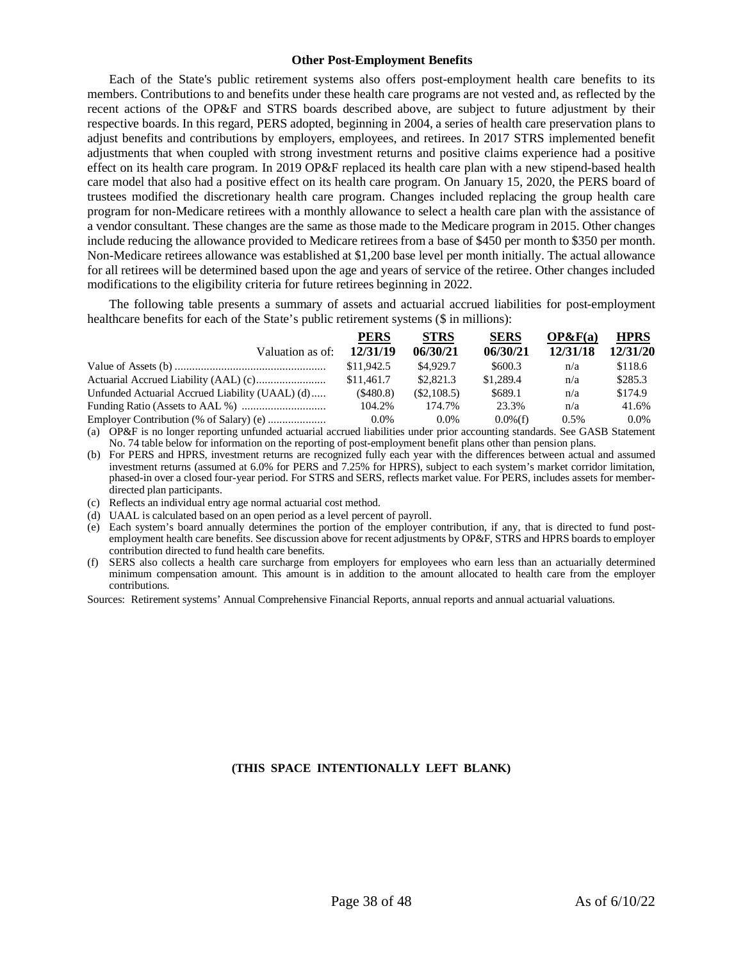# **Other Post-Employment Benefits**

<span id="page-37-0"></span>Each of the State's public retirement systems also offers post-employment health care benefits to its members. Contributions to and benefits under these health care programs are not vested and, as reflected by the recent actions of the OP&F and STRS boards described above, are subject to future adjustment by their respective boards. In this regard, PERS adopted, beginning in 2004, a series of health care preservation plans to adjust benefits and contributions by employers, employees, and retirees. In 2017 STRS implemented benefit adjustments that when coupled with strong investment returns and positive claims experience had a positive effect on its health care program. In 2019 OP&F replaced its health care plan with a new stipend-based health care model that also had a positive effect on its health care program. On January 15, 2020, the PERS board of trustees modified the discretionary health care program. Changes included replacing the group health care program for non-Medicare retirees with a monthly allowance to select a health care plan with the assistance of a vendor consultant. These changes are the same as those made to the Medicare program in 2015. Other changes include reducing the allowance provided to Medicare retirees from a base of \$450 per month to \$350 per month. Non-Medicare retirees allowance was established at \$1,200 base level per month initially. The actual allowance for all retirees will be determined based upon the age and years of service of the retiree. Other changes included modifications to the eligibility criteria for future retirees beginning in 2022.

The following table presents a summary of assets and actuarial accrued liabilities for post-employment healthcare benefits for each of the State's public retirement systems (\$ in millions):

|                                                 | <b>PERS</b> | <b>STRS</b> | <b>SERS</b> | OP&F(a)  | <b>HPRS</b> |
|-------------------------------------------------|-------------|-------------|-------------|----------|-------------|
| Valuation as of:                                | 12/31/19    | 06/30/21    | 06/30/21    | 12/31/18 | 12/31/20    |
|                                                 | \$11.942.5  | \$4,929.7   | \$600.3     | n/a      | \$118.6     |
|                                                 | \$11,461.7  | \$2,821.3   | \$1,289.4   | n/a      | \$285.3     |
| Unfunded Actuarial Accrued Liability (UAAL) (d) | (\$480.8)   | (\$2,108.5) | \$689.1     | n/a      | \$174.9     |
|                                                 | 104.2%      | 174.7%      | 23.3%       | n/a      | 41.6%       |
|                                                 | $0.0\%$     | $0.0\%$     | $0.0\%$ (f) | 0.5%     | $0.0\%$     |

(a) OP&F is no longer reporting unfunded actuarial accrued liabilities under prior accounting standards. See GASB Statement No. 74 table below for information on the reporting of post-employment benefit plans other than pension plans.

(b) For PERS and HPRS, investment returns are recognized fully each year with the differences between actual and assumed investment returns (assumed at 6.0% for PERS and 7.25% for HPRS), subject to each system's market corridor limitation, phased-in over a closed four-year period. For STRS and SERS, reflects market value. For PERS, includes assets for memberdirected plan participants.

(c) Reflects an individual entry age normal actuarial cost method.

(d) UAAL is calculated based on an open period as a level percent of payroll.

(e) Each system's board annually determines the portion of the employer contribution, if any, that is directed to fund postemployment health care benefits. See discussion above for recent adjustments by OP&F, STRS and HPRS boards to employer contribution directed to fund health care benefits.

(f) SERS also collects a health care surcharge from employers for employees who earn less than an actuarially determined minimum compensation amount. This amount is in addition to the amount allocated to health care from the employer contributions.

Sources: Retirement systems' Annual Comprehensive Financial Reports, annual reports and annual actuarial valuations.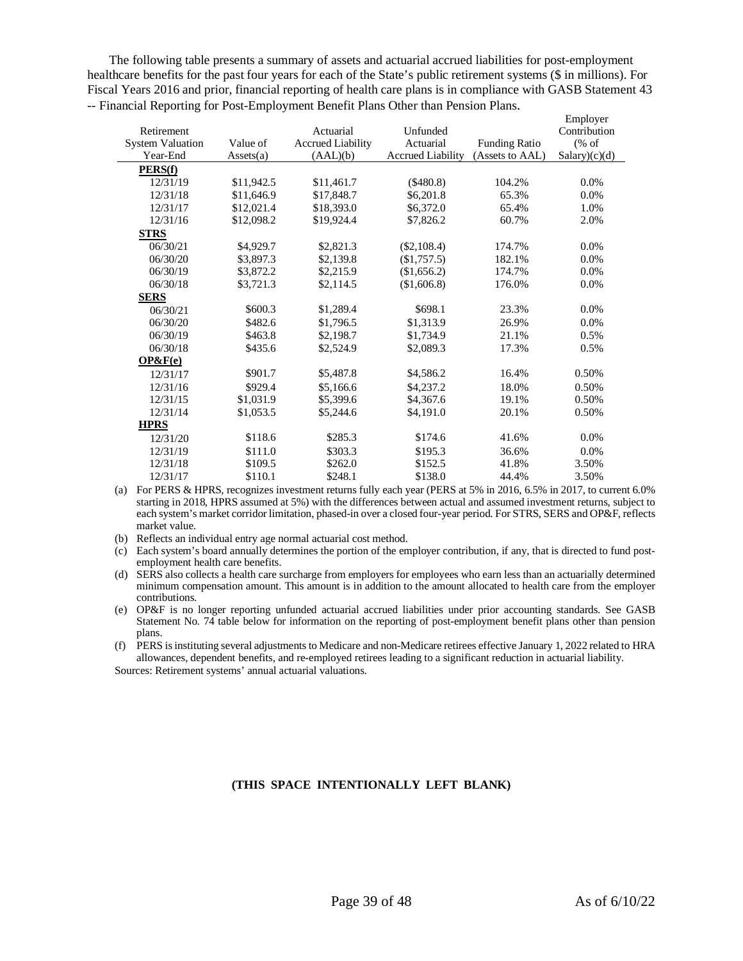The following table presents a summary of assets and actuarial accrued liabilities for post-employment healthcare benefits for the past four years for each of the State's public retirement systems (\$ in millions). For Fiscal Years 2016 and prior, financial reporting of health care plans is in compliance with GASB Statement 43 -- Financial Reporting for Post-Employment Benefit Plans Other than Pension Plans.

|                         |            |                          |                          |                      | Employer                            |
|-------------------------|------------|--------------------------|--------------------------|----------------------|-------------------------------------|
| Retirement              |            | Actuarial                | Unfunded                 |                      | Contribution                        |
| <b>System Valuation</b> | Value of   | <b>Accrued Liability</b> | Actuarial                | <b>Funding Ratio</b> | $(% \mathcal{L}_{0}^{\infty}$ (% of |
| Year-End                | Assets(a)  | (AAL)(b)                 | <b>Accrued Liability</b> | (Assets to AAL)      | Salary(c)(d)                        |
| PERS(f)                 |            |                          |                          |                      |                                     |
| 12/31/19                | \$11,942.5 | \$11,461.7               | $(\$480.8)$              | 104.2%               | 0.0%                                |
| 12/31/18                | \$11,646.9 | \$17,848.7               | \$6,201.8                | 65.3%                | 0.0%                                |
| 12/31/17                | \$12,021.4 | \$18,393.0               | \$6,372.0                | 65.4%                | 1.0%                                |
| 12/31/16                | \$12,098.2 | \$19,924.4               | \$7,826.2                | 60.7%                | 2.0%                                |
| <b>STRS</b>             |            |                          |                          |                      |                                     |
| 06/30/21                | \$4,929.7  | \$2,821.3                | $(\$2,108.4)$            | 174.7%               | 0.0%                                |
| 06/30/20                | \$3,897.3  | \$2,139.8                | (\$1,757.5)              | 182.1%               | 0.0%                                |
| 06/30/19                | \$3,872.2  | \$2,215.9                | (\$1,656.2)              | 174.7%               | 0.0%                                |
| 06/30/18                | \$3,721.3  | \$2,114.5                | (\$1,606.8)              | 176.0%               | 0.0%                                |
| <b>SERS</b>             |            |                          |                          |                      |                                     |
| 06/30/21                | \$600.3    | \$1,289.4                | \$698.1                  | 23.3%                | 0.0%                                |
| 06/30/20                | \$482.6    | \$1,796.5                | \$1,313.9                | 26.9%                | 0.0%                                |
| 06/30/19                | \$463.8    | \$2,198.7                | \$1,734.9                | 21.1%                | 0.5%                                |
| 06/30/18                | \$435.6    | \$2,524.9                | \$2,089.3                | 17.3%                | 0.5%                                |
| OP&F(e)                 |            |                          |                          |                      |                                     |
| 12/31/17                | \$901.7    | \$5,487.8                | \$4,586.2                | 16.4%                | 0.50%                               |
| 12/31/16                | \$929.4    | \$5,166.6                | \$4,237.2                | 18.0%                | 0.50%                               |
| 12/31/15                | \$1,031.9  | \$5,399.6                | \$4,367.6                | 19.1%                | 0.50%                               |
| 12/31/14                | \$1,053.5  | \$5,244.6                | \$4,191.0                | 20.1%                | 0.50%                               |
| <b>HPRS</b>             |            |                          |                          |                      |                                     |
| 12/31/20                | \$118.6    | \$285.3                  | \$174.6                  | 41.6%                | 0.0%                                |
| 12/31/19                | \$111.0    | \$303.3                  | \$195.3                  | 36.6%                | 0.0%                                |
| 12/31/18                | \$109.5    | \$262.0                  | \$152.5                  | 41.8%                | 3.50%                               |
| 12/31/17                | \$110.1    | \$248.1                  | \$138.0                  | 44.4%                | 3.50%                               |

(a) For PERS & HPRS, recognizes investment returns fully each year (PERS at 5% in 2016, 6.5% in 2017, to current 6.0% starting in 2018, HPRS assumed at 5%) with the differences between actual and assumed investment returns, subject to each system's market corridor limitation, phased-in over a closed four-year period. For STRS, SERS and OP&F, reflects market value.

(b) Reflects an individual entry age normal actuarial cost method.

(c) Each system's board annually determines the portion of the employer contribution, if any, that is directed to fund postemployment health care benefits.

(d) SERS also collects a health care surcharge from employers for employees who earn less than an actuarially determined minimum compensation amount. This amount is in addition to the amount allocated to health care from the employer contributions.

(e) OP&F is no longer reporting unfunded actuarial accrued liabilities under prior accounting standards. See GASB Statement No. 74 table below for information on the reporting of post-employment benefit plans other than pension plans.

(f) PERS is instituting several adjustments to Medicare and non-Medicare retirees effective January 1, 2022 related to HRA allowances, dependent benefits, and re-employed retirees leading to a significant reduction in actuarial liability.

Sources: Retirement systems' annual actuarial valuations.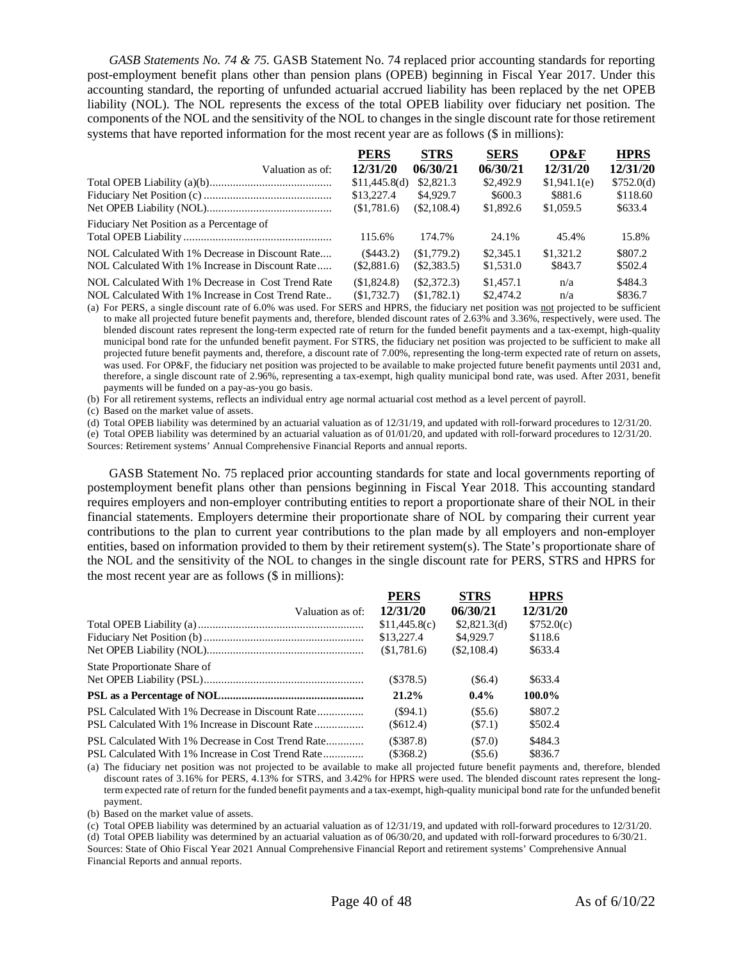*GASB Statements No. 74 & 75.* GASB Statement No. 74 replaced prior accounting standards for reporting post-employment benefit plans other than pension plans (OPEB) beginning in Fiscal Year 2017. Under this accounting standard, the reporting of unfunded actuarial accrued liability has been replaced by the net OPEB liability (NOL). The NOL represents the excess of the total OPEB liability over fiduciary net position. The components of the NOL and the sensitivity of the NOL to changes in the single discount rate for those retirement systems that have reported information for the most recent year are as follows (\$ in millions):

|                                                                                                          | <b>PERS</b>                | <b>STRS</b>                 | <b>SERS</b>            | OP&F                 | <b>HPRS</b>        |
|----------------------------------------------------------------------------------------------------------|----------------------------|-----------------------------|------------------------|----------------------|--------------------|
| Valuation as of:                                                                                         | 12/31/20                   | 06/30/21                    | 06/30/21               | 12/31/20             | 12/31/20           |
|                                                                                                          | \$11,445.8(d)              | \$2,821.3                   | \$2,492.9              | \$1,941.1(e)         | \$752.0(d)         |
|                                                                                                          | \$13,227.4                 | \$4,929.7                   | \$600.3                | \$881.6              | \$118.60           |
|                                                                                                          | \$1,781.6                  | $(\$2,108.4)$               | \$1,892.6              | \$1,059.5            | \$633.4            |
| Fiduciary Net Position as a Percentage of                                                                | 115.6%                     | 174.7%                      | 24.1%                  | 45.4%                | 15.8%              |
| NOL Calculated With 1% Decrease in Discount Rate<br>NOL Calculated With 1% Increase in Discount Rate     | $(\$443.2)$<br>(\$2,881.6) | (S1,779,2)<br>(S2, 383.5)   | \$2,345.1<br>\$1,531.0 | \$1,321.2<br>\$843.7 | \$807.2<br>\$502.4 |
| NOL Calculated With 1% Decrease in Cost Trend Rate<br>NOL Calculated With 1% Increase in Cost Trend Rate | (S1,824.8)<br>\$1,732.7    | $(\$2,372.3)$<br>(S1.782.1) | \$1,457.1<br>\$2,474.2 | n/a<br>n/a           | \$484.3<br>\$836.7 |

(a) For PERS, a single discount rate of 6.0% was used. For SERS and HPRS, the fiduciary net position was not projected to be sufficient to make all projected future benefit payments and, therefore, blended discount rates of 2.63% and 3.36%, respectively, were used. The blended discount rates represent the long-term expected rate of return for the funded benefit payments and a tax-exempt, high-quality municipal bond rate for the unfunded benefit payment. For STRS, the fiduciary net position was projected to be sufficient to make all projected future benefit payments and, therefore, a discount rate of 7.00%, representing the long-term expected rate of return on assets, was used. For OP&F, the fiduciary net position was projected to be available to make projected future benefit payments until 2031 and, therefore, a single discount rate of 2.96%, representing a tax-exempt, high quality municipal bond rate, was used. After 2031, benefit payments will be funded on a pay-as-you go basis.

(b) For all retirement systems, reflects an individual entry age normal actuarial cost method as a level percent of payroll.

(c) Based on the market value of assets.

(d) Total OPEB liability was determined by an actuarial valuation as of 12/31/19, and updated with roll-forward procedures to 12/31/20.

(e) Total OPEB liability was determined by an actuarial valuation as of 01/01/20, and updated with roll-forward procedures to 12/31/20. Sources: Retirement systems' Annual Comprehensive Financial Reports and annual reports.

GASB Statement No. 75 replaced prior accounting standards for state and local governments reporting of postemployment benefit plans other than pensions beginning in Fiscal Year 2018. This accounting standard requires employers and non-employer contributing entities to report a proportionate share of their NOL in their financial statements. Employers determine their proportionate share of NOL by comparing their current year contributions to the plan to current year contributions to the plan made by all employers and non-employer entities, based on information provided to them by their retirement system(s). The State's proportionate share of the NOL and the sensitivity of the NOL to changes in the single discount rate for PERS, STRS and HPRS for the most recent year are as follows (\$ in millions):

|                                                    | <b>PERS</b>   | <b>STRS</b>   | <b>HPRS</b> |
|----------------------------------------------------|---------------|---------------|-------------|
| Valuation as of:                                   | 12/31/20      | 06/30/21      | 12/31/20    |
|                                                    | \$11,445.8(c) | \$2,821.3(d)  | \$752.0(c)  |
|                                                    | \$13,227.4    | \$4,929.7     | \$118.6     |
|                                                    | (S1,781.6)    | $(\$2,108.4)$ | \$633.4     |
| State Proportionate Share of                       |               |               |             |
|                                                    | $(\$378.5)$   | (S6.4)        | \$633.4     |
|                                                    | 21.2%         | $0.4\%$       | 100.0%      |
|                                                    | (S94.1)       | (S5.6)        | \$807.2     |
|                                                    | $(\$612.4)$   | (S7.1)        | \$502.4     |
| PSL Calculated With 1% Decrease in Cost Trend Rate | (S387.8)      | (S7.0)        | \$484.3     |
|                                                    | $(\$368.2)$   | (S5.6)        | \$836.7     |

(a) The fiduciary net position was not projected to be available to make all projected future benefit payments and, therefore, blended discount rates of 3.16% for PERS, 4.13% for STRS, and 3.42% for HPRS were used. The blended discount rates represent the longterm expected rate of return for the funded benefit payments and a tax-exempt, high-quality municipal bond rate for the unfunded benefit payment.

(b) Based on the market value of assets.

(c) Total OPEB liability was determined by an actuarial valuation as of 12/31/19, and updated with roll-forward procedures to 12/31/20.

(d) Total OPEB liability was determined by an actuarial valuation as of 06/30/20, and updated with roll-forward procedures to 6/30/21. Sources: State of Ohio Fiscal Year 2021 Annual Comprehensive Financial Report and retirement systems' Comprehensive Annual Financial Reports and annual reports.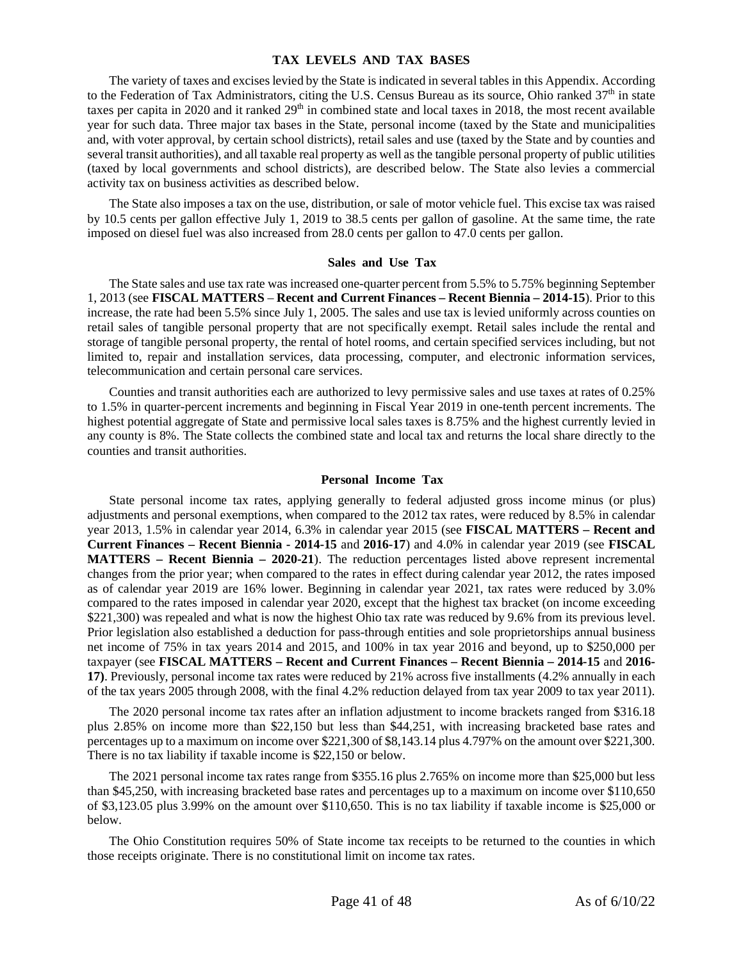# **TAX LEVELS AND TAX BASES**

<span id="page-40-0"></span>The variety of taxes and excises levied by the State is indicated in several tables in this Appendix. According to the Federation of Tax Administrators, citing the U.S. Census Bureau as its source, Ohio ranked 37<sup>th</sup> in state taxes per capita in 2020 and it ranked  $29<sup>th</sup>$  in combined state and local taxes in 2018, the most recent available year for such data. Three major tax bases in the State, personal income (taxed by the State and municipalities and, with voter approval, by certain school districts), retail sales and use (taxed by the State and by counties and several transit authorities), and all taxable real property as well as the tangible personal property of public utilities (taxed by local governments and school districts), are described below. The State also levies a commercial activity tax on business activities as described below.

The State also imposes a tax on the use, distribution, or sale of motor vehicle fuel. This excise tax was raised by 10.5 cents per gallon effective July 1, 2019 to 38.5 cents per gallon of gasoline. At the same time, the rate imposed on diesel fuel was also increased from 28.0 cents per gallon to 47.0 cents per gallon.

# **Sales and Use Tax**

<span id="page-40-1"></span>The State sales and use tax rate was increased one-quarter percent from 5.5% to 5.75% beginning September 1, 2013 (see **FISCAL MATTERS** – **Recent and Current Finances – Recent Biennia – 2014-15**). Prior to this increase, the rate had been 5.5% since July 1, 2005. The sales and use tax is levied uniformly across counties on retail sales of tangible personal property that are not specifically exempt. Retail sales include the rental and storage of tangible personal property, the rental of hotel rooms, and certain specified services including, but not limited to, repair and installation services, data processing, computer, and electronic information services, telecommunication and certain personal care services.

Counties and transit authorities each are authorized to levy permissive sales and use taxes at rates of 0.25% to 1.5% in quarter-percent increments and beginning in Fiscal Year 2019 in one-tenth percent increments. The highest potential aggregate of State and permissive local sales taxes is 8.75% and the highest currently levied in any county is 8%. The State collects the combined state and local tax and returns the local share directly to the counties and transit authorities.

# **Personal Income Tax**

<span id="page-40-2"></span>State personal income tax rates, applying generally to federal adjusted gross income minus (or plus) adjustments and personal exemptions, when compared to the 2012 tax rates, were reduced by 8.5% in calendar year 2013, 1.5% in calendar year 2014, 6.3% in calendar year 2015 (see **FISCAL MATTERS – Recent and Current Finances – Recent Biennia - 2014-15** and **2016-17**) and 4.0% in calendar year 2019 (see **FISCAL MATTERS – Recent Biennia – 2020-21**). The reduction percentages listed above represent incremental changes from the prior year; when compared to the rates in effect during calendar year 2012, the rates imposed as of calendar year 2019 are 16% lower. Beginning in calendar year 2021, tax rates were reduced by 3.0% compared to the rates imposed in calendar year 2020, except that the highest tax bracket (on income exceeding \$221,300) was repealed and what is now the highest Ohio tax rate was reduced by 9.6% from its previous level. Prior legislation also established a deduction for pass-through entities and sole proprietorships annual business net income of 75% in tax years 2014 and 2015, and 100% in tax year 2016 and beyond, up to \$250,000 per taxpayer (see **FISCAL MATTERS – Recent and Current Finances – Recent Biennia – 2014-15** and **2016- 17)**. Previously, personal income tax rates were reduced by 21% across five installments (4.2% annually in each of the tax years 2005 through 2008, with the final 4.2% reduction delayed from tax year 2009 to tax year 2011).

The 2020 personal income tax rates after an inflation adjustment to income brackets ranged from \$316.18 plus 2.85% on income more than \$22,150 but less than \$44,251, with increasing bracketed base rates and percentages up to a maximum on income over \$221,300 of \$8,143.14 plus 4.797% on the amount over \$221,300. There is no tax liability if taxable income is \$22,150 or below.

The 2021 personal income tax rates range from \$355.16 plus 2.765% on income more than \$25,000 but less than \$45,250, with increasing bracketed base rates and percentages up to a maximum on income over \$110,650 of \$3,123.05 plus 3.99% on the amount over \$110,650. This is no tax liability if taxable income is \$25,000 or below.

The Ohio Constitution requires 50% of State income tax receipts to be returned to the counties in which those receipts originate. There is no constitutional limit on income tax rates.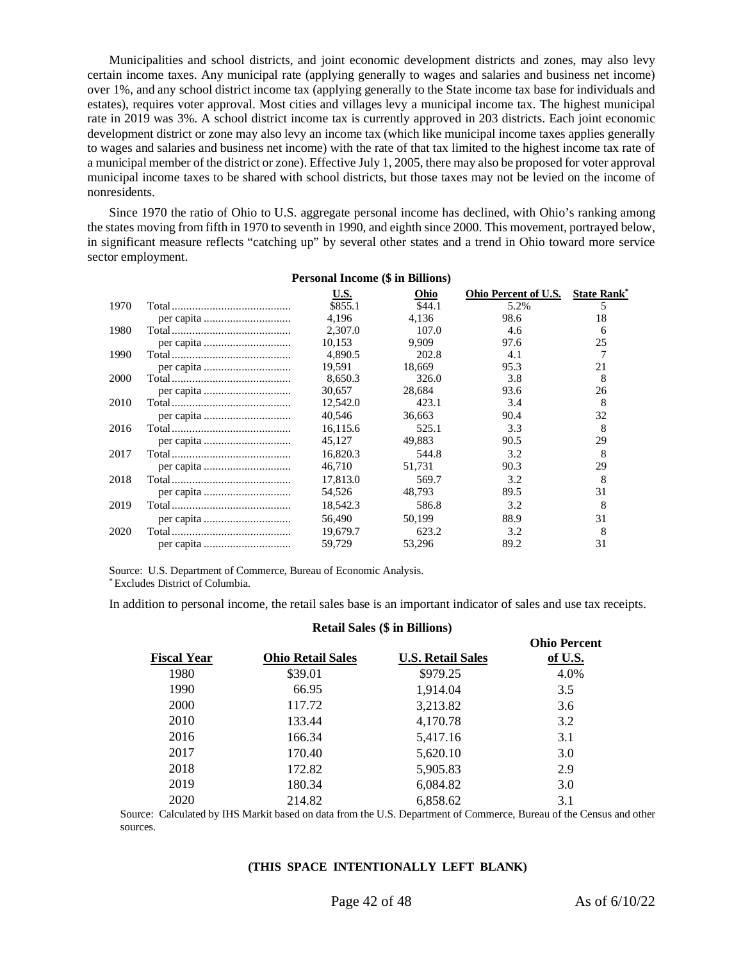Municipalities and school districts, and joint economic development districts and zones, may also levy certain income taxes. Any municipal rate (applying generally to wages and salaries and business net income) over 1%, and any school district income tax (applying generally to the State income tax base for individuals and estates), requires voter approval. Most cities and villages levy a municipal income tax. The highest municipal rate in 2019 was 3%. A school district income tax is currently approved in 203 districts. Each joint economic development district or zone may also levy an income tax (which like municipal income taxes applies generally to wages and salaries and business net income) with the rate of that tax limited to the highest income tax rate of a municipal member of the district or zone). Effective July 1, 2005, there may also be proposed for voter approval municipal income taxes to be shared with school districts, but those taxes may not be levied on the income of nonresidents.

Since 1970 the ratio of Ohio to U.S. aggregate personal income has declined, with Ohio's ranking among the states moving from fifth in 1970 to seventh in 1990, and eighth since 2000. This movement, portrayed below, in significant measure reflects "catching up" by several other states and a trend in Ohio toward more service sector employment.

| <b>Personal Income (\$ in Billions)</b> |  |          |        |                      |                     |
|-----------------------------------------|--|----------|--------|----------------------|---------------------|
|                                         |  | U.S.     | Ohio   | Ohio Percent of U.S. | <b>State Rank</b> * |
| 1970                                    |  | \$855.1  | \$44.1 | 5.2%                 | 5                   |
|                                         |  | 4.196    | 4.136  | 98.6                 | 18                  |
| 1980                                    |  | 2,307.0  | 107.0  | 4.6                  | 6                   |
|                                         |  | 10.153   | 9.909  | 97.6                 | 25                  |
| 1990                                    |  | 4.890.5  | 202.8  | 4.1                  |                     |
|                                         |  | 19.591   | 18,669 | 95.3                 | 21                  |
| 2000                                    |  | 8,650.3  | 326.0  | 3.8                  | 8                   |
|                                         |  | 30.657   | 28,684 | 93.6                 | 26                  |
| 2010                                    |  | 12,542.0 | 423.1  | 3.4                  | 8                   |
|                                         |  | 40.546   | 36.663 | 90.4                 | 32                  |
| 2016                                    |  | 16,115.6 | 525.1  | 3.3                  | 8                   |
|                                         |  | 45,127   | 49.883 | 90.5                 | 29                  |
| 2017                                    |  | 16.820.3 | 544.8  | 3.2                  | 8                   |
|                                         |  | 46.710   | 51.731 | 90.3                 | 29                  |
| 2018                                    |  | 17,813.0 | 569.7  | 3.2                  | 8                   |
|                                         |  | 54.526   | 48.793 | 89.5                 | 31                  |
| 2019                                    |  | 18,542.3 | 586.8  | 3.2                  | 8                   |
|                                         |  | 56,490   | 50.199 | 88.9                 | 31                  |
| 2020                                    |  | 19,679.7 | 623.2  | 3.2                  | 8                   |
|                                         |  | 59.729   | 53,296 | 89.2                 | 31                  |

Source: U.S. Department of Commerce, Bureau of Economic Analysis.

\*Excludes District of Columbia.

In addition to personal income, the retail sales base is an important indicator of sales and use tax receipts.

#### **Fiscal Year Ohio Retail Sales U.S. Retail Sales Ohio Percent of U.S.** 1980 \$39.01 \$979.25 4.0% 1990 66.95 1,914.04 3.5 2000 117.72 3,213.82 3.6 2010 133.44 4,170.78 3.2 2016 166.34 5,417.16 3.1

 170.40 5,620.10 3.0 172.82 5,905.83 2.9 2019 180.34 6,084.82 3.0 214.82 6,858.62 3.1

**Retail Sales (\$ in Billions)**

Source: Calculated by IHS Markit based on data from the U.S. Department of Commerce, Bureau of the Census and other sources.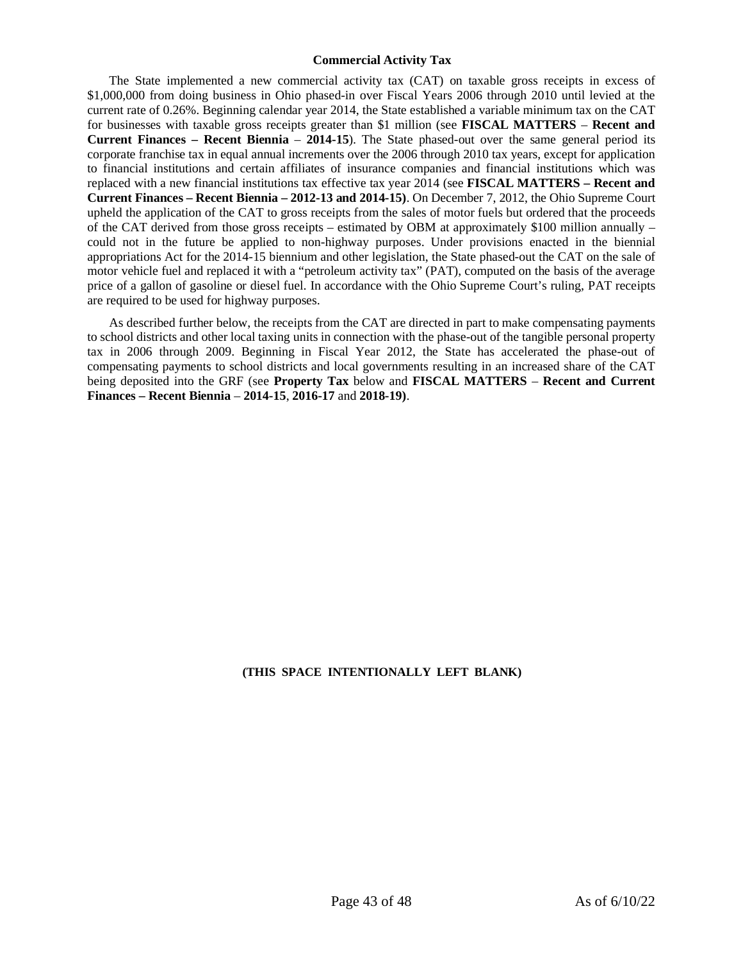# <span id="page-42-0"></span>**Commercial Activity Tax**

The State implemented a new commercial activity tax (CAT) on taxable gross receipts in excess of \$1,000,000 from doing business in Ohio phased-in over Fiscal Years 2006 through 2010 until levied at the current rate of 0.26%. Beginning calendar year 2014, the State established a variable minimum tax on the CAT for businesses with taxable gross receipts greater than \$1 million (see **FISCAL MATTERS** – **Recent and Current Finances – Recent Biennia** – **2014-15**). The State phased-out over the same general period its corporate franchise tax in equal annual increments over the 2006 through 2010 tax years, except for application to financial institutions and certain affiliates of insurance companies and financial institutions which was replaced with a new financial institutions tax effective tax year 2014 (see **FISCAL MATTERS – Recent and Current Finances – Recent Biennia – 2012-13 and 2014-15)**. On December 7, 2012, the Ohio Supreme Court upheld the application of the CAT to gross receipts from the sales of motor fuels but ordered that the proceeds of the CAT derived from those gross receipts – estimated by OBM at approximately \$100 million annually – could not in the future be applied to non-highway purposes. Under provisions enacted in the biennial appropriations Act for the 2014-15 biennium and other legislation, the State phased-out the CAT on the sale of motor vehicle fuel and replaced it with a "petroleum activity tax" (PAT), computed on the basis of the average price of a gallon of gasoline or diesel fuel. In accordance with the Ohio Supreme Court's ruling, PAT receipts are required to be used for highway purposes.

As described further below, the receipts from the CAT are directed in part to make compensating payments to school districts and other local taxing units in connection with the phase-out of the tangible personal property tax in 2006 through 2009. Beginning in Fiscal Year 2012, the State has accelerated the phase-out of compensating payments to school districts and local governments resulting in an increased share of the CAT being deposited into the GRF (see **Property Tax** below and **FISCAL MATTERS** – **Recent and Current Finances – Recent Biennia** – **2014-15**, **2016-17** and **2018-19)**.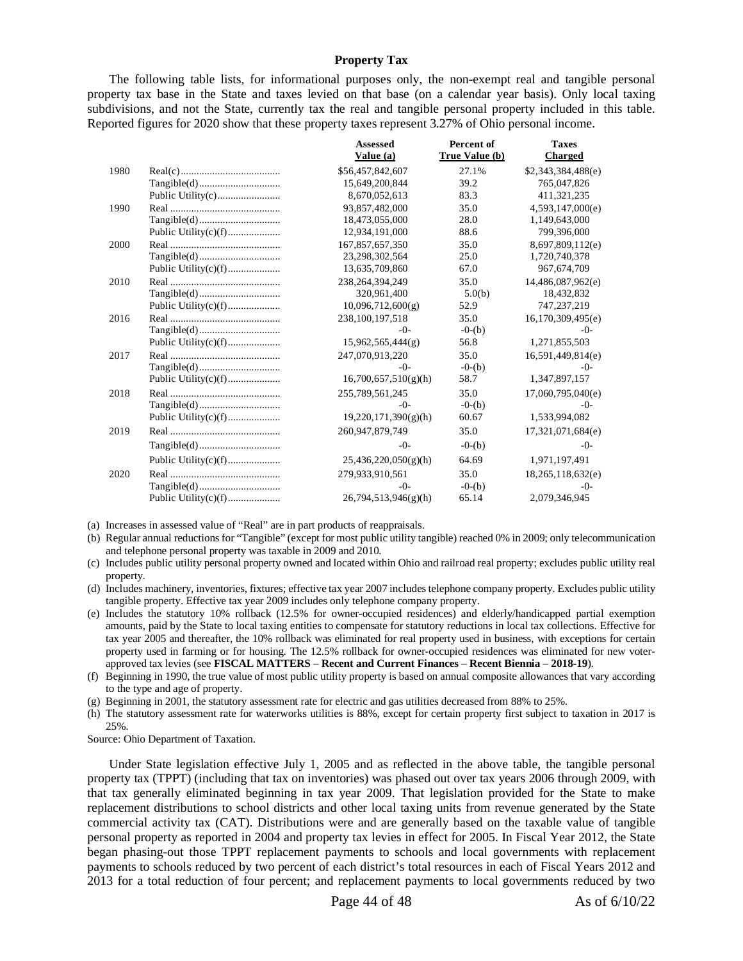# **Property Tax**

<span id="page-43-0"></span>The following table lists, for informational purposes only, the non-exempt real and tangible personal property tax base in the State and taxes levied on that base (on a calendar year basis). Only local taxing subdivisions, and not the State, currently tax the real and tangible personal property included in this table. Reported figures for 2020 show that these property taxes represent 3.27% of Ohio personal income.

|      |                      | <b>Assessed</b><br>Value (a) | Percent of<br>True Value (b) | <b>Taxes</b><br><b>Charged</b> |
|------|----------------------|------------------------------|------------------------------|--------------------------------|
| 1980 |                      | \$56,457,842,607             | 27.1%                        | \$2,343,384,488(e)             |
|      |                      | 15,649,200,844               | 39.2                         | 765,047,826                    |
|      |                      | 8,670,052,613                | 83.3                         | 411,321,235                    |
| 1990 |                      | 93,857,482,000               | 35.0                         | 4,593,147,000(e)               |
|      |                      | 18,473,055,000               | 28.0                         | 1,149,643,000                  |
|      | Public Utility(c)(f) | 12,934,191,000               | 88.6                         | 799,396,000                    |
| 2000 |                      | 167,857,657,350              | 35.0                         | 8,697,809,112(e)               |
|      |                      | 23,298,302,564               | 25.0                         | 1,720,740,378                  |
|      | Public Utility(c)(f) | 13,635,709,860               | 67.0                         | 967, 674, 709                  |
| 2010 |                      | 238, 264, 394, 249           | 35.0                         | 14,486,087,962(e)              |
|      |                      | 320,961,400                  | 5.0(b)                       | 18,432,832                     |
|      |                      | 10,096,712,600(g)            | 52.9                         | 747,237,219                    |
| 2016 |                      | 238,100,197,518              | 35.0                         | 16,170,309,495(e)              |
|      |                      | $-()$ -                      | $-0-(b)$                     | $-()$ -                        |
|      | Public Utility(c)(f) | 15,962,565,444(g)            | 56.8                         | 1,271,855,503                  |
| 2017 |                      | 247,070,913,220              | 35.0                         | 16,591,449,814(e)              |
|      |                      | $-()$ -                      | $-0-(b)$                     | -0-                            |
|      | Public Utility(c)(f) | 16,700,657,510(g)(h)         | 58.7                         | 1,347,897,157                  |
| 2018 |                      | 255,789,561,245              | 35.0                         | 17,060,795,040(e)              |
|      |                      | $-()$ -                      | $-0-(b)$                     | $-0-$                          |
|      | Public Utility(c)(f) | 19,220,171,390(g)(h)         | 60.67                        | 1,533,994,082                  |
| 2019 |                      | 260,947,879,749              | 35.0                         | 17,321,071,684(e)              |
|      |                      | $-()$ -                      | $-0-(b)$                     | $-0-$                          |
|      | Public Utility(c)(f) | 25,436,220,050(g)(h)         | 64.69                        | 1,971,197,491                  |
| 2020 |                      | 279,933,910,561              | 35.0                         | 18,265,118,632(e)              |
|      |                      | $-()$ -                      | $-0-(b)$                     | $-()$ -                        |
|      |                      | 26,794,513,946(g)(h)         | 65.14                        | 2,079,346,945                  |

(a) Increases in assessed value of "Real" are in part products of reappraisals.

- (b) Regular annual reductions for "Tangible" (except for most public utility tangible) reached 0% in 2009; only telecommunication and telephone personal property was taxable in 2009 and 2010.
- (c) Includes public utility personal property owned and located within Ohio and railroad real property; excludes public utility real property.

(d) Includes machinery, inventories, fixtures; effective tax year 2007 includes telephone company property. Excludes public utility tangible property. Effective tax year 2009 includes only telephone company property.

(e) Includes the statutory 10% rollback (12.5% for owner-occupied residences) and elderly/handicapped partial exemption amounts, paid by the State to local taxing entities to compensate for statutory reductions in local tax collections. Effective for tax year 2005 and thereafter, the 10% rollback was eliminated for real property used in business, with exceptions for certain property used in farming or for housing. The 12.5% rollback for owner-occupied residences was eliminated for new voterapproved tax levies (see **FISCAL MATTERS** – **Recent and Current Finances** – **Recent Biennia** – **2018-19**).

(f) Beginning in 1990, the true value of most public utility property is based on annual composite allowances that vary according to the type and age of property.

(g) Beginning in 2001, the statutory assessment rate for electric and gas utilities decreased from 88% to 25%.

(h) The statutory assessment rate for waterworks utilities is 88%, except for certain property first subject to taxation in 2017 is 25%.

Source: Ohio Department of Taxation.

Under State legislation effective July 1, 2005 and as reflected in the above table, the tangible personal property tax (TPPT) (including that tax on inventories) was phased out over tax years 2006 through 2009, with that tax generally eliminated beginning in tax year 2009. That legislation provided for the State to make replacement distributions to school districts and other local taxing units from revenue generated by the State commercial activity tax (CAT). Distributions were and are generally based on the taxable value of tangible personal property as reported in 2004 and property tax levies in effect for 2005. In Fiscal Year 2012, the State began phasing-out those TPPT replacement payments to schools and local governments with replacement payments to schools reduced by two percent of each district's total resources in each of Fiscal Years 2012 and 2013 for a total reduction of four percent; and replacement payments to local governments reduced by two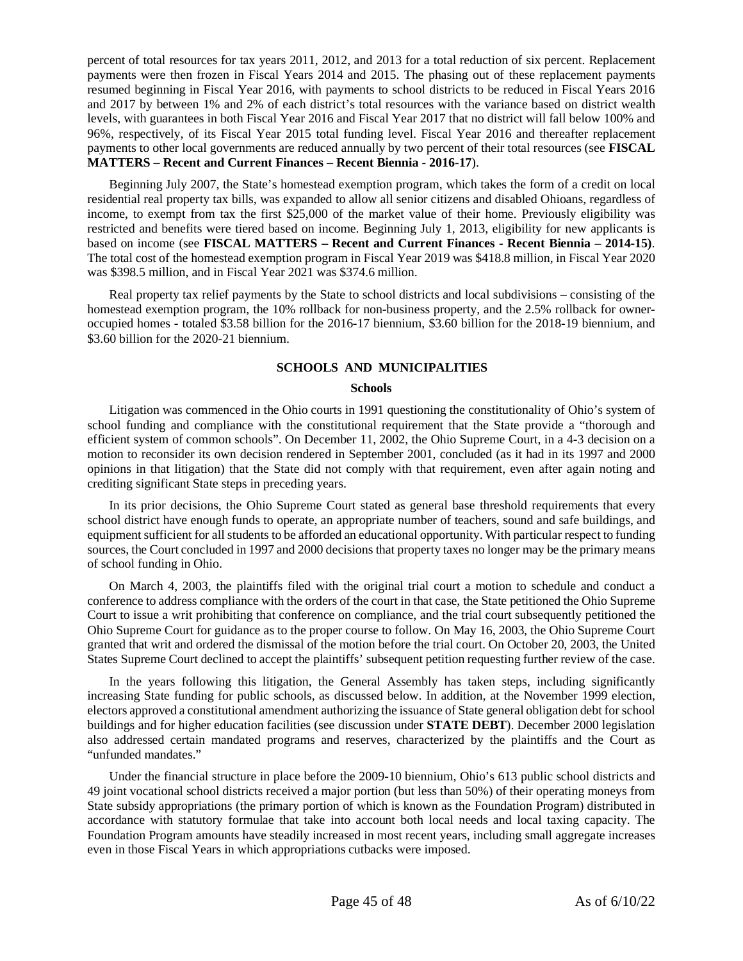percent of total resources for tax years 2011, 2012, and 2013 for a total reduction of six percent. Replacement payments were then frozen in Fiscal Years 2014 and 2015. The phasing out of these replacement payments resumed beginning in Fiscal Year 2016, with payments to school districts to be reduced in Fiscal Years 2016 and 2017 by between 1% and 2% of each district's total resources with the variance based on district wealth levels, with guarantees in both Fiscal Year 2016 and Fiscal Year 2017 that no district will fall below 100% and 96%, respectively, of its Fiscal Year 2015 total funding level. Fiscal Year 2016 and thereafter replacement payments to other local governments are reduced annually by two percent of their total resources (see **FISCAL MATTERS – Recent and Current Finances – Recent Biennia - 2016-17**).

Beginning July 2007, the State's homestead exemption program, which takes the form of a credit on local residential real property tax bills, was expanded to allow all senior citizens and disabled Ohioans, regardless of income, to exempt from tax the first \$25,000 of the market value of their home. Previously eligibility was restricted and benefits were tiered based on income. Beginning July 1, 2013, eligibility for new applicants is based on income (see **FISCAL MATTERS – Recent and Current Finances** - **Recent Biennia** – **2014-15)**. The total cost of the homestead exemption program in Fiscal Year 2019 was \$418.8 million, in Fiscal Year 2020 was \$398.5 million, and in Fiscal Year 2021 was \$374.6 million.

Real property tax relief payments by the State to school districts and local subdivisions – consisting of the homestead exemption program, the 10% rollback for non-business property, and the 2.5% rollback for owneroccupied homes - totaled \$3.58 billion for the 2016-17 biennium, \$3.60 billion for the 2018-19 biennium, and \$3.60 billion for the 2020-21 biennium.

# <span id="page-44-0"></span>**SCHOOLS AND MUNICIPALITIES**

# **Schools**

<span id="page-44-1"></span>Litigation was commenced in the Ohio courts in 1991 questioning the constitutionality of Ohio's system of school funding and compliance with the constitutional requirement that the State provide a "thorough and efficient system of common schools". On December 11, 2002, the Ohio Supreme Court, in a 4-3 decision on a motion to reconsider its own decision rendered in September 2001, concluded (as it had in its 1997 and 2000 opinions in that litigation) that the State did not comply with that requirement, even after again noting and crediting significant State steps in preceding years.

In its prior decisions, the Ohio Supreme Court stated as general base threshold requirements that every school district have enough funds to operate, an appropriate number of teachers, sound and safe buildings, and equipment sufficient for all students to be afforded an educational opportunity. With particular respect to funding sources, the Court concluded in 1997 and 2000 decisions that property taxes no longer may be the primary means of school funding in Ohio.

On March 4, 2003, the plaintiffs filed with the original trial court a motion to schedule and conduct a conference to address compliance with the orders of the court in that case, the State petitioned the Ohio Supreme Court to issue a writ prohibiting that conference on compliance, and the trial court subsequently petitioned the Ohio Supreme Court for guidance as to the proper course to follow. On May 16, 2003, the Ohio Supreme Court granted that writ and ordered the dismissal of the motion before the trial court. On October 20, 2003, the United States Supreme Court declined to accept the plaintiffs' subsequent petition requesting further review of the case.

In the years following this litigation, the General Assembly has taken steps, including significantly increasing State funding for public schools, as discussed below. In addition, at the November 1999 election, electors approved a constitutional amendment authorizing the issuance of State general obligation debt for school buildings and for higher education facilities (see discussion under **STATE DEBT**). December 2000 legislation also addressed certain mandated programs and reserves, characterized by the plaintiffs and the Court as "unfunded mandates."

Under the financial structure in place before the 2009-10 biennium, Ohio's 613 public school districts and 49 joint vocational school districts received a major portion (but less than 50%) of their operating moneys from State subsidy appropriations (the primary portion of which is known as the Foundation Program) distributed in accordance with statutory formulae that take into account both local needs and local taxing capacity. The Foundation Program amounts have steadily increased in most recent years, including small aggregate increases even in those Fiscal Years in which appropriations cutbacks were imposed.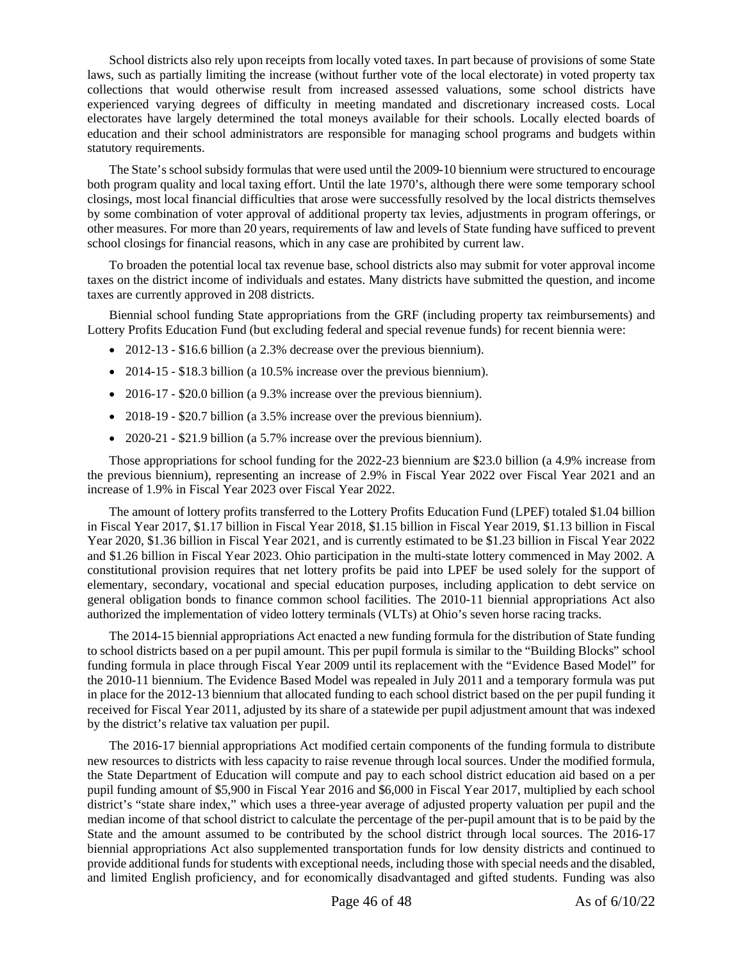School districts also rely upon receipts from locally voted taxes. In part because of provisions of some State laws, such as partially limiting the increase (without further vote of the local electorate) in voted property tax collections that would otherwise result from increased assessed valuations, some school districts have experienced varying degrees of difficulty in meeting mandated and discretionary increased costs. Local electorates have largely determined the total moneys available for their schools. Locally elected boards of education and their school administrators are responsible for managing school programs and budgets within statutory requirements.

The State's school subsidy formulas that were used until the 2009-10 biennium were structured to encourage both program quality and local taxing effort. Until the late 1970's, although there were some temporary school closings, most local financial difficulties that arose were successfully resolved by the local districts themselves by some combination of voter approval of additional property tax levies, adjustments in program offerings, or other measures. For more than 20 years, requirements of law and levels of State funding have sufficed to prevent school closings for financial reasons, which in any case are prohibited by current law.

To broaden the potential local tax revenue base, school districts also may submit for voter approval income taxes on the district income of individuals and estates. Many districts have submitted the question, and income taxes are currently approved in 208 districts.

Biennial school funding State appropriations from the GRF (including property tax reimbursements) and Lottery Profits Education Fund (but excluding federal and special revenue funds) for recent biennia were:

- 2012-13 \$16.6 billion (a 2.3% decrease over the previous biennium).
- 2014-15 \$18.3 billion (a 10.5% increase over the previous biennium).
- 2016-17 \$20.0 billion (a 9.3% increase over the previous biennium).
- 2018-19 \$20.7 billion (a 3.5% increase over the previous biennium).
- 2020-21 \$21.9 billion (a 5.7% increase over the previous biennium).

Those appropriations for school funding for the 2022-23 biennium are \$23.0 billion (a 4.9% increase from the previous biennium), representing an increase of 2.9% in Fiscal Year 2022 over Fiscal Year 2021 and an increase of 1.9% in Fiscal Year 2023 over Fiscal Year 2022.

The amount of lottery profits transferred to the Lottery Profits Education Fund (LPEF) totaled \$1.04 billion in Fiscal Year 2017, \$1.17 billion in Fiscal Year 2018, \$1.15 billion in Fiscal Year 2019, \$1.13 billion in Fiscal Year 2020, \$1.36 billion in Fiscal Year 2021, and is currently estimated to be \$1.23 billion in Fiscal Year 2022 and \$1.26 billion in Fiscal Year 2023. Ohio participation in the multi-state lottery commenced in May 2002. A constitutional provision requires that net lottery profits be paid into LPEF be used solely for the support of elementary, secondary, vocational and special education purposes, including application to debt service on general obligation bonds to finance common school facilities. The 2010-11 biennial appropriations Act also authorized the implementation of video lottery terminals (VLTs) at Ohio's seven horse racing tracks.

The 2014-15 biennial appropriations Act enacted a new funding formula for the distribution of State funding to school districts based on a per pupil amount. This per pupil formula is similar to the "Building Blocks" school funding formula in place through Fiscal Year 2009 until its replacement with the "Evidence Based Model" for the 2010-11 biennium. The Evidence Based Model was repealed in July 2011 and a temporary formula was put in place for the 2012-13 biennium that allocated funding to each school district based on the per pupil funding it received for Fiscal Year 2011, adjusted by its share of a statewide per pupil adjustment amount that was indexed by the district's relative tax valuation per pupil.

The 2016-17 biennial appropriations Act modified certain components of the funding formula to distribute new resources to districts with less capacity to raise revenue through local sources. Under the modified formula, the State Department of Education will compute and pay to each school district education aid based on a per pupil funding amount of \$5,900 in Fiscal Year 2016 and \$6,000 in Fiscal Year 2017, multiplied by each school district's "state share index," which uses a three-year average of adjusted property valuation per pupil and the median income of that school district to calculate the percentage of the per-pupil amount that is to be paid by the State and the amount assumed to be contributed by the school district through local sources. The 2016-17 biennial appropriations Act also supplemented transportation funds for low density districts and continued to provide additional funds for students with exceptional needs, including those with special needs and the disabled, and limited English proficiency, and for economically disadvantaged and gifted students. Funding was also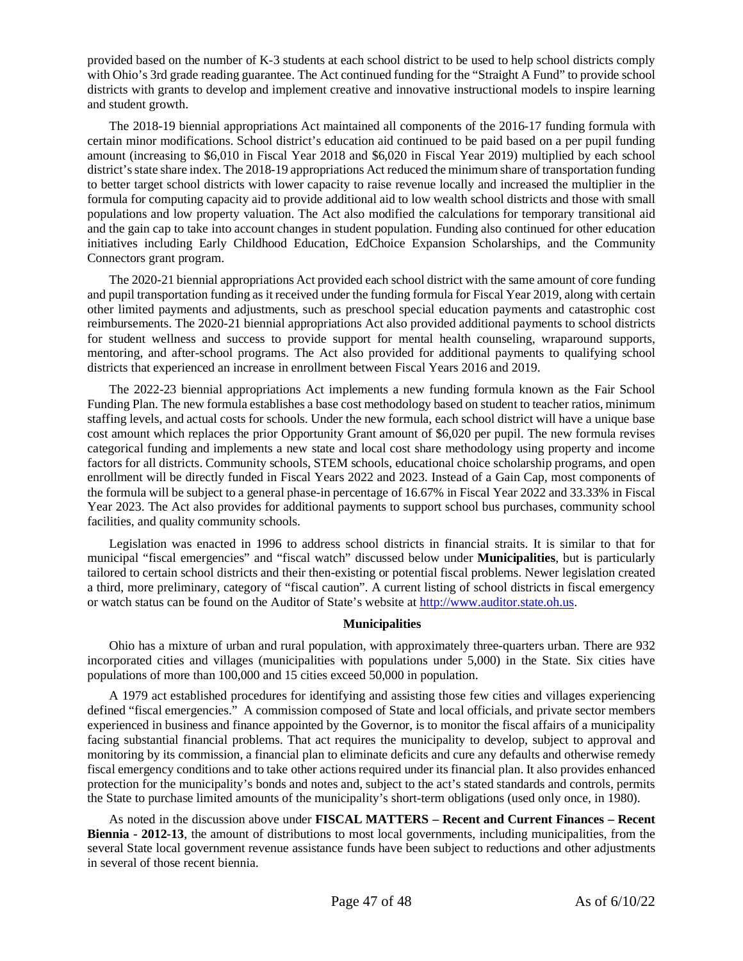provided based on the number of K-3 students at each school district to be used to help school districts comply with Ohio's 3rd grade reading guarantee. The Act continued funding for the "Straight A Fund" to provide school districts with grants to develop and implement creative and innovative instructional models to inspire learning and student growth.

The 2018-19 biennial appropriations Act maintained all components of the 2016-17 funding formula with certain minor modifications. School district's education aid continued to be paid based on a per pupil funding amount (increasing to \$6,010 in Fiscal Year 2018 and \$6,020 in Fiscal Year 2019) multiplied by each school district's state share index. The 2018-19 appropriations Act reduced the minimum share of transportation funding to better target school districts with lower capacity to raise revenue locally and increased the multiplier in the formula for computing capacity aid to provide additional aid to low wealth school districts and those with small populations and low property valuation. The Act also modified the calculations for temporary transitional aid and the gain cap to take into account changes in student population. Funding also continued for other education initiatives including Early Childhood Education, EdChoice Expansion Scholarships, and the Community Connectors grant program.

The 2020-21 biennial appropriations Act provided each school district with the same amount of core funding and pupil transportation funding as it received under the funding formula for Fiscal Year 2019, along with certain other limited payments and adjustments, such as preschool special education payments and catastrophic cost reimbursements. The 2020-21 biennial appropriations Act also provided additional payments to school districts for student wellness and success to provide support for mental health counseling, wraparound supports, mentoring, and after-school programs. The Act also provided for additional payments to qualifying school districts that experienced an increase in enrollment between Fiscal Years 2016 and 2019.

The 2022-23 biennial appropriations Act implements a new funding formula known as the Fair School Funding Plan. The new formula establishes a base cost methodology based on student to teacher ratios, minimum staffing levels, and actual costs for schools. Under the new formula, each school district will have a unique base cost amount which replaces the prior Opportunity Grant amount of \$6,020 per pupil. The new formula revises categorical funding and implements a new state and local cost share methodology using property and income factors for all districts. Community schools, STEM schools, educational choice scholarship programs, and open enrollment will be directly funded in Fiscal Years 2022 and 2023. Instead of a Gain Cap, most components of the formula will be subject to a general phase-in percentage of 16.67% in Fiscal Year 2022 and 33.33% in Fiscal Year 2023. The Act also provides for additional payments to support school bus purchases, community school facilities, and quality community schools.

Legislation was enacted in 1996 to address school districts in financial straits. It is similar to that for municipal "fiscal emergencies" and "fiscal watch" discussed below under **Municipalities**, but is particularly tailored to certain school districts and their then-existing or potential fiscal problems. Newer legislation created a third, more preliminary, category of "fiscal caution". A current listing of school districts in fiscal emergency or watch status can be found on the Auditor of State's website at [http://www.auditor.state.oh.us](http://www.auditor.state.oh.us/).

# **Municipalities**

<span id="page-46-0"></span>Ohio has a mixture of urban and rural population, with approximately three-quarters urban. There are 932 incorporated cities and villages (municipalities with populations under 5,000) in the State. Six cities have populations of more than 100,000 and 15 cities exceed 50,000 in population.

A 1979 act established procedures for identifying and assisting those few cities and villages experiencing defined "fiscal emergencies." A commission composed of State and local officials, and private sector members experienced in business and finance appointed by the Governor, is to monitor the fiscal affairs of a municipality facing substantial financial problems. That act requires the municipality to develop, subject to approval and monitoring by its commission, a financial plan to eliminate deficits and cure any defaults and otherwise remedy fiscal emergency conditions and to take other actions required under its financial plan. It also provides enhanced protection for the municipality's bonds and notes and, subject to the act's stated standards and controls, permits the State to purchase limited amounts of the municipality's short-term obligations (used only once, in 1980).

As noted in the discussion above under **FISCAL MATTERS – Recent and Current Finances – Recent Biennia - 2012-13**, the amount of distributions to most local governments, including municipalities, from the several State local government revenue assistance funds have been subject to reductions and other adjustments in several of those recent biennia.